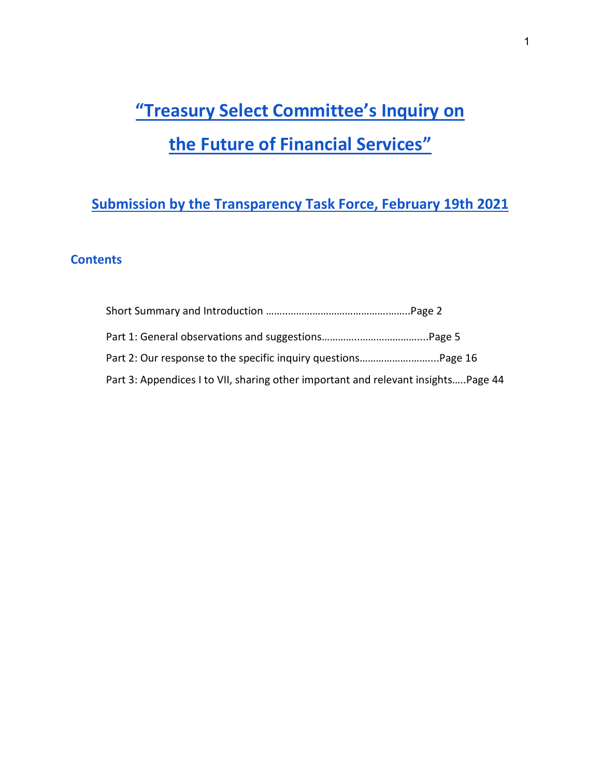# **"Treasury Select Committee's Inquiry on the Future of Financial Services"**

# **Submission by the Transparency Task Force, February 19th 2021**

### **Contents**

| Part 3: Appendices I to VII, sharing other important and relevant insightsPage 44 |  |
|-----------------------------------------------------------------------------------|--|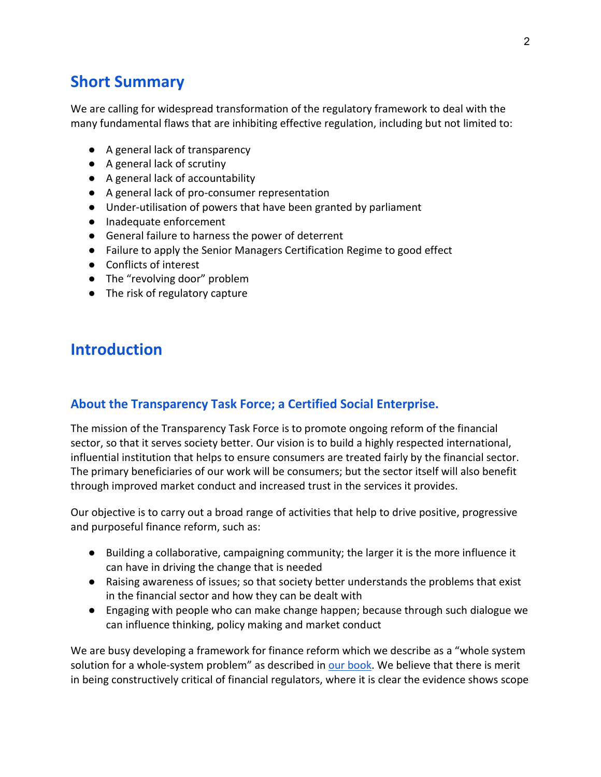# **Short Summary**

We are calling for widespread transformation of the regulatory framework to deal with the many fundamental flaws that are inhibiting effective regulation, including but not limited to:

- A general lack of transparency
- A general lack of scrutiny
- A general lack of accountability
- A general lack of pro-consumer representation
- Under-utilisation of powers that have been granted by parliament
- Inadequate enforcement
- General failure to harness the power of deterrent
- Failure to apply the Senior Managers Certification Regime to good effect
- Conflicts of interest
- The "revolving door" problem
- The risk of regulatory capture

# **Introduction**

#### **About the Transparency Task Force; a Certified Social Enterprise.**

The mission of the Transparency Task Force is to promote ongoing reform of the financial sector, so that it serves society better. Our vision is to build a highly respected international, influential institution that helps to ensure consumers are treated fairly by the financial sector. The primary beneficiaries of our work will be consumers; but the sector itself will also benefit through improved market conduct and increased trust in the services it provides.

Our objective is to carry out a broad range of activities that help to drive positive, progressive and purposeful finance reform, such as:

- Building a collaborative, campaigning community; the larger it is the more influence it can have in driving the change that is needed
- Raising awareness of issues; so that society better understands the problems that exist in the financial sector and how they can be dealt with
- Engaging with people who can make change happen; because through such dialogue we can influence thinking, policy making and market conduct

We are busy developing a framework for finance reform which we describe as a "whole system solution for a whole-system problem" as described in [our book.](https://www.transparencytaskforce.org/why-we-must-rebuild-trustworthiness-and-confidence-in-financial-services-and-how-we-can-do-it-book/) We believe that there is merit in being constructively critical of financial regulators, where it is clear the evidence shows scope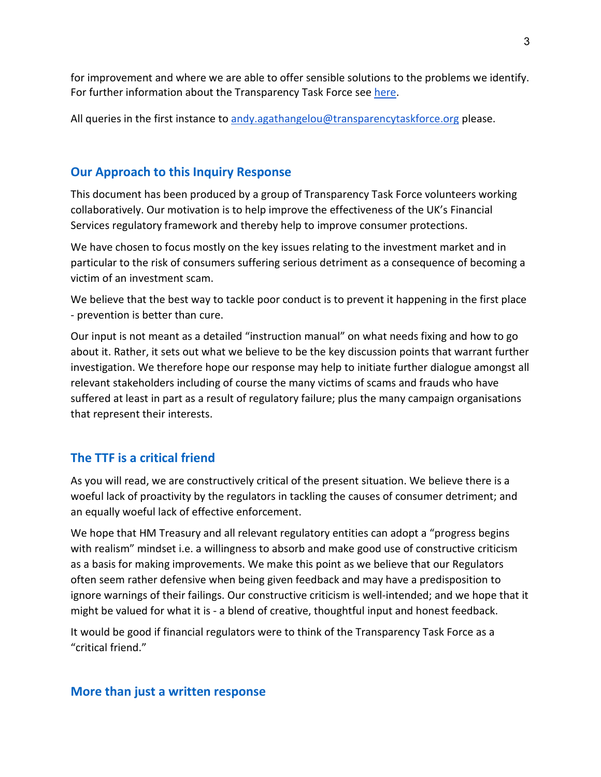for improvement and where we are able to offer sensible solutions to the problems we identify. For further information about the Transparency Task Force see [here.](https://www.transparencytaskforce.org/)

All queries in the first instance to [andy.agathangelou@transparencytaskforce.org](mailto:andy.agathangelou@transparencytaskforce.org) please.

### **Our Approach to this Inquiry Response**

This document has been produced by a group of Transparency Task Force volunteers working collaboratively. Our motivation is to help improve the effectiveness of the UK's Financial Services regulatory framework and thereby help to improve consumer protections.

We have chosen to focus mostly on the key issues relating to the investment market and in particular to the risk of consumers suffering serious detriment as a consequence of becoming a victim of an investment scam.

We believe that the best way to tackle poor conduct is to prevent it happening in the first place - prevention is better than cure.

Our input is not meant as a detailed "instruction manual" on what needs fixing and how to go about it. Rather, it sets out what we believe to be the key discussion points that warrant further investigation. We therefore hope our response may help to initiate further dialogue amongst all relevant stakeholders including of course the many victims of scams and frauds who have suffered at least in part as a result of regulatory failure; plus the many campaign organisations that represent their interests.

### **The TTF is a critical friend**

As you will read, we are constructively critical of the present situation. We believe there is a woeful lack of proactivity by the regulators in tackling the causes of consumer detriment; and an equally woeful lack of effective enforcement.

We hope that HM Treasury and all relevant regulatory entities can adopt a "progress begins with realism" mindset i.e. a willingness to absorb and make good use of constructive criticism as a basis for making improvements. We make this point as we believe that our Regulators often seem rather defensive when being given feedback and may have a predisposition to ignore warnings of their failings. Our constructive criticism is well-intended; and we hope that it might be valued for what it is - a blend of creative, thoughtful input and honest feedback.

It would be good if financial regulators were to think of the Transparency Task Force as a "critical friend."

#### **More than just a written response**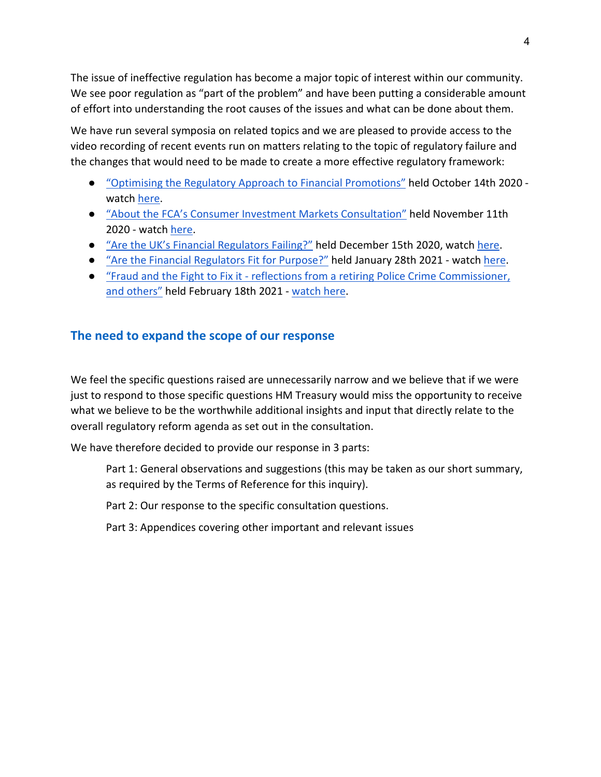The issue of ineffective regulation has become a major topic of interest within our community. We see poor regulation as "part of the problem" and have been putting a considerable amount of effort into understanding the root causes of the issues and what can be done about them.

We have run several symposia on related topics and we are pleased to provide access to the video recording of recent events run on matters relating to the topic of regulatory failure and the changes that would need to be made to create a more effective regulatory framework:

- ["Optimising the Regulatory Approach to Financial Promotions"](https://www.transparencytaskforce.org/previous-events-old/optimising-the-regulatory-approach-to-approving-financial-promotions/) held October 14th 2020 watch [here.](https://www.youtube.com/watch?v=tn7aqcm8anE)
- ["About the FCA's Consumer Investment Markets Consultation"](https://www.transparencytaskforce.org/previous-events-old/about-the-fcas-consumer-investments-market-consultation/) held November 11th 2020 - watch [here.](https://www.youtube.com/watch?v=kIqr5PBKMk8&t=3s)
- ["Are the UK's Financial Regulators Failing?"](https://www.transparencytaskforce.org/previous-events-old/are-the-uks-financial-regulators-failing/) held December 15th 2020, watch [here.](https://www.youtube.com/watch?v=vs3JGzUuPlg&t=1335s)
- ["Are the Financial Regulators Fit for Purpose?"](https://www.transparencytaskforce.org/previous-events-old/are-the-regulators-fit-for-purpose/) held January 28th 2021 watch [here.](https://www.youtube.com/watch?v=5luvLfVwJRY&t=289s)
- "Fraud and the Fight to Fix it [reflections from a retiring Police Crime Commissioner,](https://www.transparencytaskforce.org/previous-events-old/fraud-and-the-fight-to-fix-it-reflections-from-a-retiring-police-crime-commissioner-and-others/)  [and others"](https://www.transparencytaskforce.org/previous-events-old/fraud-and-the-fight-to-fix-it-reflections-from-a-retiring-police-crime-commissioner-and-others/) held February 18th 2021 - [watch here.](https://www.youtube.com/watch?v=9sYJ2dAw6Ug)

### **The need to expand the scope of our response**

We feel the specific questions raised are unnecessarily narrow and we believe that if we were just to respond to those specific questions HM Treasury would miss the opportunity to receive what we believe to be the worthwhile additional insights and input that directly relate to the overall regulatory reform agenda as set out in the consultation.

We have therefore decided to provide our response in 3 parts:

Part 1: General observations and suggestions (this may be taken as our short summary, as required by the Terms of Reference for this inquiry).

Part 2: Our response to the specific consultation questions.

Part 3: Appendices covering other important and relevant issues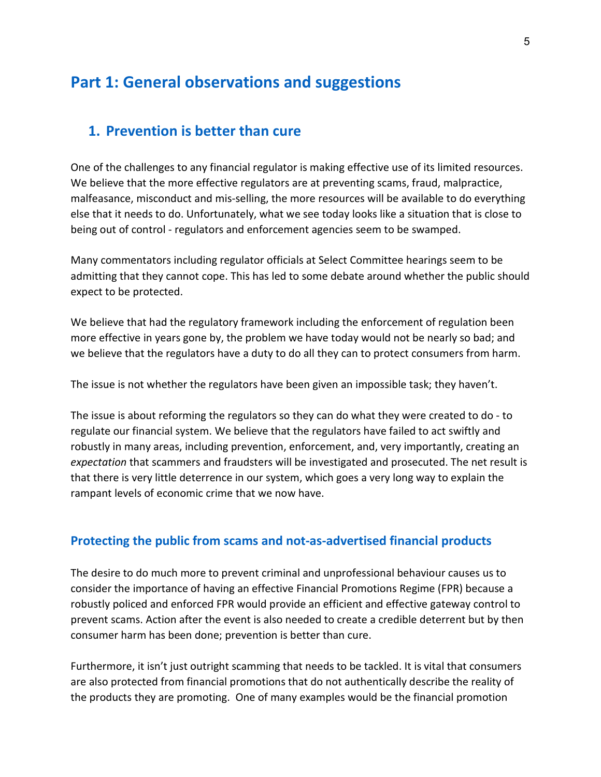# **Part 1: General observations and suggestions**

### **1. Prevention is better than cure**

One of the challenges to any financial regulator is making effective use of its limited resources. We believe that the more effective regulators are at preventing scams, fraud, malpractice, malfeasance, misconduct and mis-selling, the more resources will be available to do everything else that it needs to do. Unfortunately, what we see today looks like a situation that is close to being out of control - regulators and enforcement agencies seem to be swamped.

Many commentators including regulator officials at Select Committee hearings seem to be admitting that they cannot cope. This has led to some debate around whether the public should expect to be protected.

We believe that had the regulatory framework including the enforcement of regulation been more effective in years gone by, the problem we have today would not be nearly so bad; and we believe that the regulators have a duty to do all they can to protect consumers from harm.

The issue is not whether the regulators have been given an impossible task; they haven't.

The issue is about reforming the regulators so they can do what they were created to do - to regulate our financial system. We believe that the regulators have failed to act swiftly and robustly in many areas, including prevention, enforcement, and, very importantly, creating an *expectation* that scammers and fraudsters will be investigated and prosecuted. The net result is that there is very little deterrence in our system, which goes a very long way to explain the rampant levels of economic crime that we now have.

#### **Protecting the public from scams and not-as-advertised financial products**

The desire to do much more to prevent criminal and unprofessional behaviour causes us to consider the importance of having an effective Financial Promotions Regime (FPR) because a robustly policed and enforced FPR would provide an efficient and effective gateway control to prevent scams. Action after the event is also needed to create a credible deterrent but by then consumer harm has been done; prevention is better than cure.

Furthermore, it isn't just outright scamming that needs to be tackled. It is vital that consumers are also protected from financial promotions that do not authentically describe the reality of the products they are promoting. One of many examples would be the financial promotion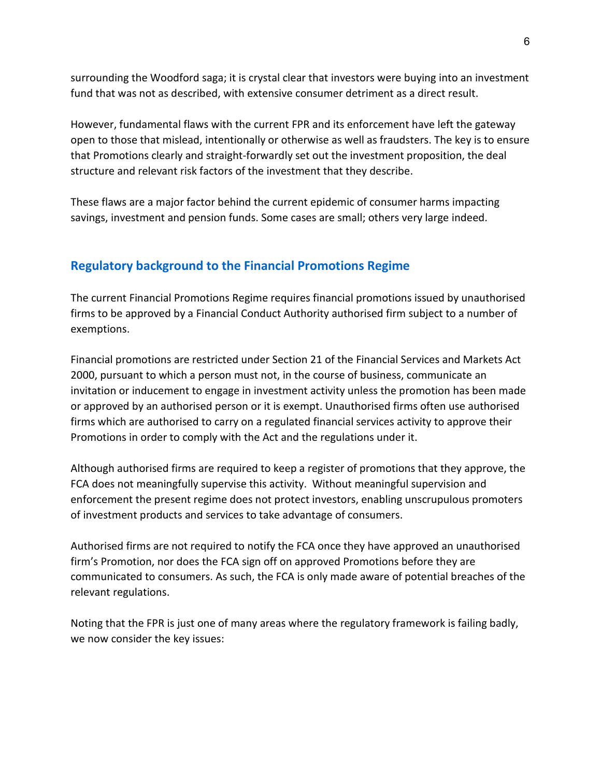surrounding the Woodford saga; it is crystal clear that investors were buying into an investment fund that was not as described, with extensive consumer detriment as a direct result.

However, fundamental flaws with the current FPR and its enforcement have left the gateway open to those that mislead, intentionally or otherwise as well as fraudsters. The key is to ensure that Promotions clearly and straight-forwardly set out the investment proposition, the deal structure and relevant risk factors of the investment that they describe.

These flaws are a major factor behind the current epidemic of consumer harms impacting savings, investment and pension funds. Some cases are small; others very large indeed.

### **Regulatory background to the Financial Promotions Regime**

The current Financial Promotions Regime requires financial promotions issued by unauthorised firms to be approved by a Financial Conduct Authority authorised firm subject to a number of exemptions.

Financial promotions are restricted under Section 21 of the Financial Services and Markets Act 2000, pursuant to which a person must not, in the course of business, communicate an invitation or inducement to engage in investment activity unless the promotion has been made or approved by an authorised person or it is exempt. Unauthorised firms often use authorised firms which are authorised to carry on a regulated financial services activity to approve their Promotions in order to comply with the Act and the regulations under it.

Although authorised firms are required to keep a register of promotions that they approve, the FCA does not meaningfully supervise this activity. Without meaningful supervision and enforcement the present regime does not protect investors, enabling unscrupulous promoters of investment products and services to take advantage of consumers.

Authorised firms are not required to notify the FCA once they have approved an unauthorised firm's Promotion, nor does the FCA sign off on approved Promotions before they are communicated to consumers. As such, the FCA is only made aware of potential breaches of the relevant regulations.

Noting that the FPR is just one of many areas where the regulatory framework is failing badly, we now consider the key issues: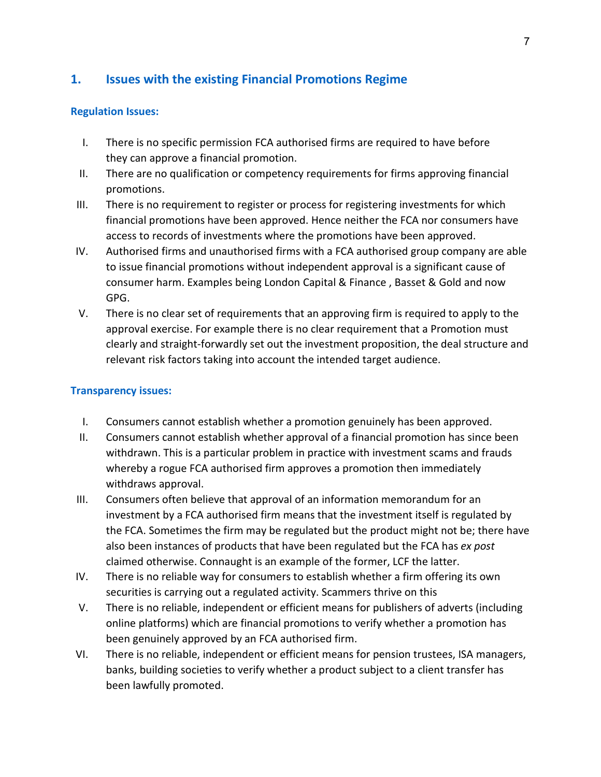### **1. Issues with the existing Financial Promotions Regime**

#### **Regulation Issues:**

- I. There is no specific permission FCA authorised firms are required to have before they can approve a financial promotion.
- II. There are no qualification or competency requirements for firms approving financial promotions.
- III. There is no requirement to register or process for registering investments for which financial promotions have been approved. Hence neither the FCA nor consumers have access to records of investments where the promotions have been approved.
- IV. Authorised firms and unauthorised firms with a FCA authorised group company are able to issue financial promotions without independent approval is a significant cause of consumer harm. Examples being London Capital & Finance , Basset & Gold and now GPG.
- V. There is no clear set of requirements that an approving firm is required to apply to the approval exercise. For example there is no clear requirement that a Promotion must clearly and straight-forwardly set out the investment proposition, the deal structure and relevant risk factors taking into account the intended target audience.

#### **Transparency issues:**

- I. Consumers cannot establish whether a promotion genuinely has been approved.
- II. Consumers cannot establish whether approval of a financial promotion has since been withdrawn. This is a particular problem in practice with investment scams and frauds whereby a rogue FCA authorised firm approves a promotion then immediately withdraws approval.
- III. Consumers often believe that approval of an information memorandum for an investment by a FCA authorised firm means that the investment itself is regulated by the FCA. Sometimes the firm may be regulated but the product might not be; there have also been instances of products that have been regulated but the FCA has *ex post* claimed otherwise. Connaught is an example of the former, LCF the latter.
- IV. There is no reliable way for consumers to establish whether a firm offering its own securities is carrying out a regulated activity. Scammers thrive on this
- V. There is no reliable, independent or efficient means for publishers of adverts (including online platforms) which are financial promotions to verify whether a promotion has been genuinely approved by an FCA authorised firm.
- VI. There is no reliable, independent or efficient means for pension trustees, ISA managers, banks, building societies to verify whether a product subject to a client transfer has been lawfully promoted.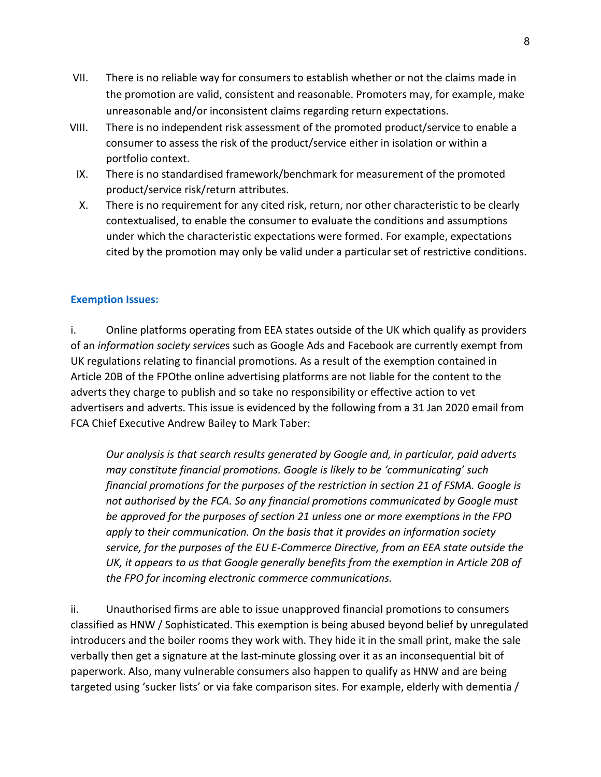- VII. There is no reliable way for consumers to establish whether or not the claims made in the promotion are valid, consistent and reasonable. Promoters may, for example, make unreasonable and/or inconsistent claims regarding return expectations.
- VIII. There is no independent risk assessment of the promoted product/service to enable a consumer to assess the risk of the product/service either in isolation or within a portfolio context.
	- IX. There is no standardised framework/benchmark for measurement of the promoted product/service risk/return attributes.
	- X. There is no requirement for any cited risk, return, nor other characteristic to be clearly contextualised, to enable the consumer to evaluate the conditions and assumptions under which the characteristic expectations were formed. For example, expectations cited by the promotion may only be valid under a particular set of restrictive conditions.

#### **Exemption Issues:**

i. Online platforms operating from EEA states outside of the UK which qualify as providers of an *[information society service](https://www.handbook.fca.org.uk/handbook/glossary/G544.html?date=2020-10-24)*s such as Google Ads and Facebook are currently exempt from UK regulations relating to financial promotions. As a result of the exemption contained in Article 20B of the FPOthe online advertising platforms are not liable for the content to the adverts they charge to publish and so take no responsibility or effective action to vet advertisers and adverts. This issue is evidenced by the following from a 31 Jan 2020 email from FCA Chief Executive Andrew Bailey to Mark Taber:

*Our analysis is that search results generated by Google and, in particular, paid adverts may constitute financial promotions. Google is likely to be 'communicating' such financial promotions for the purposes of the restriction in section 21 of FSMA. Google is not authorised by the FCA. So any financial promotions communicated by Google must be approved for the purposes of section 21 unless one or more exemptions in the FPO apply to their communication. On the basis that it provides an information society service, for the purposes of the EU E-Commerce Directive, from an EEA state outside the UK, it appears to us that Google generally benefits from the exemption in Article 20B of the FPO for incoming electronic commerce communications.* 

ii. Unauthorised firms are able to issue unapproved financial promotions to consumers classified as HNW / Sophisticated. This exemption is being abused beyond belief by unregulated introducers and the boiler rooms they work with. They hide it in the small print, make the sale verbally then get a signature at the last-minute glossing over it as an inconsequential bit of paperwork. Also, many vulnerable consumers also happen to qualify as HNW and are being targeted using 'sucker lists' or via fake comparison sites. For example, elderly with dementia /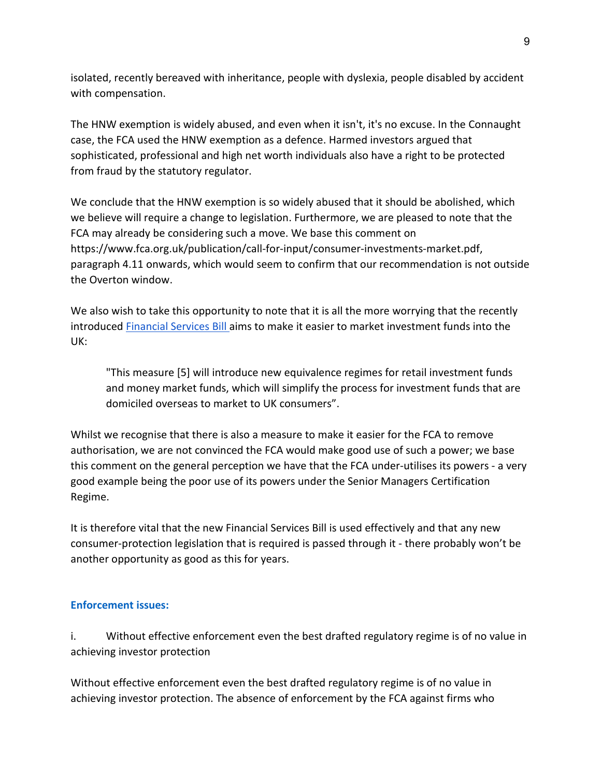isolated, recently bereaved with inheritance, people with dyslexia, people disabled by accident with compensation.

The HNW exemption is widely abused, and even when it isn't, it's no excuse. In the Connaught case, the FCA used the HNW exemption as a defence. Harmed investors argued that sophisticated, professional and high net worth individuals also have a right to be protected from fraud by the statutory regulator.

We conclude that the HNW exemption is so widely abused that it should be abolished, which we believe will require a change to legislation. Furthermore, we are pleased to note that the FCA may already be considering such a move. We base this comment on [https://www.fca.org.uk/publication/call-for-input/consumer-investments-market.pdf,](https://www.fca.org.uk/publication/call-for-input/consumer-investments-market.pdf) paragraph 4.11 onwards, which would seem to confirm that our recommendation is not outside the Overton window.

We also wish to take this opportunity to note that it is all the more worrying that the recently introduced [Financial Services Bill a](https://www.gov.uk/government/news/financial-services-bill-introduced-today)ims to make it easier to market investment funds into the UK:

"This measure [5] will introduce new equivalence regimes for retail investment funds and money market funds, which will simplify the process for investment funds that are domiciled overseas to market to UK consumers".

Whilst we recognise that there is also a measure to make it easier for the FCA to remove authorisation, we are not convinced the FCA would make good use of such a power; we base this comment on the general perception we have that the FCA under-utilises its powers - a very good example being the poor use of its powers under the Senior Managers Certification Regime.

It is therefore vital that the new Financial Services Bill is used effectively and that any new consumer-protection legislation that is required is passed through it - there probably won't be another opportunity as good as this for years.

#### **Enforcement issues:**

i. Without effective enforcement even the best drafted regulatory regime is of no value in achieving investor protection

Without effective enforcement even the best drafted regulatory regime is of no value in achieving investor protection. The absence of enforcement by the FCA against firms who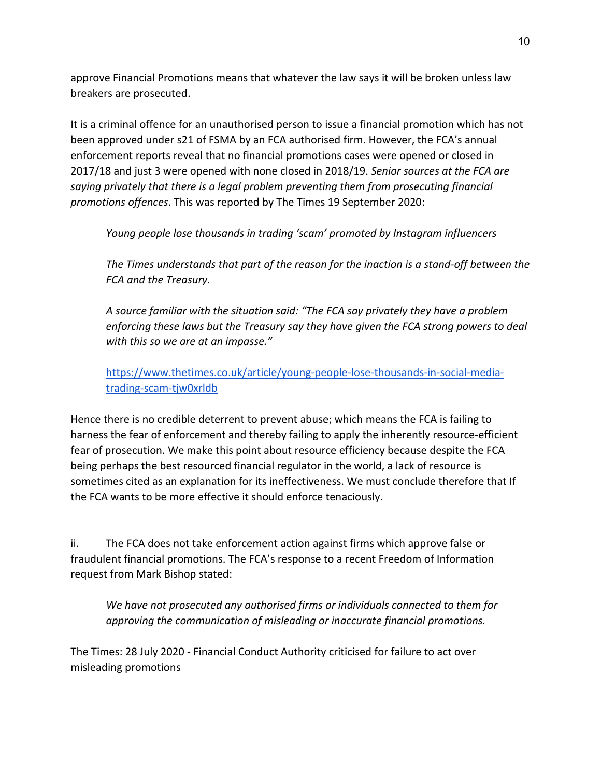approve Financial Promotions means that whatever the law says it will be broken unless law breakers are prosecuted.

It is a criminal offence for an unauthorised person to issue a financial promotion which has not been approved under s21 of FSMA by an FCA authorised firm. However, the FCA's annual enforcement reports reveal that no financial promotions cases were opened or closed in 2017/18 and just 3 were opened with none closed in 2018/19. *Senior sources at the FCA are saying privately that there is a legal problem preventing them from prosecuting financial promotions offences*. This was reported by The Times 19 September 2020:

*Young people lose thousands in trading 'scam' promoted by Instagram influencers*

*The Times understands that part of the reason for the inaction is a stand-off between the FCA and the Treasury.*

*A source familiar with the situation said: "The FCA say privately they have a problem enforcing these laws but the Treasury say they have given the FCA strong powers to deal with this so we are at an impasse."*

[https://www.thetimes.co.uk/article/young-people-lose-thousands-in-social-media](https://www.thetimes.co.uk/article/young-people-lose-thousands-in-social-media-trading-scam-tjw0xrldb)[trading-scam-tjw0xrldb](https://www.thetimes.co.uk/article/young-people-lose-thousands-in-social-media-trading-scam-tjw0xrldb)

Hence there is no credible deterrent to prevent abuse; which means the FCA is failing to harness the fear of enforcement and thereby failing to apply the inherently resource-efficient fear of prosecution. We make this point about resource efficiency because despite the FCA being perhaps the best resourced financial regulator in the world, a lack of resource is sometimes cited as an explanation for its ineffectiveness. We must conclude therefore that If the FCA wants to be more effective it should enforce tenaciously.

ii. The FCA does not take enforcement action against firms which approve false or fraudulent financial promotions. The FCA's response to a recent Freedom of Information request from Mark Bishop stated:

*We have not prosecuted any authorised firms or individuals connected to them for approving the communication of misleading or inaccurate financial promotions.*

The Times: 28 July 2020 - Financial Conduct Authority criticised for failure to act over misleading promotions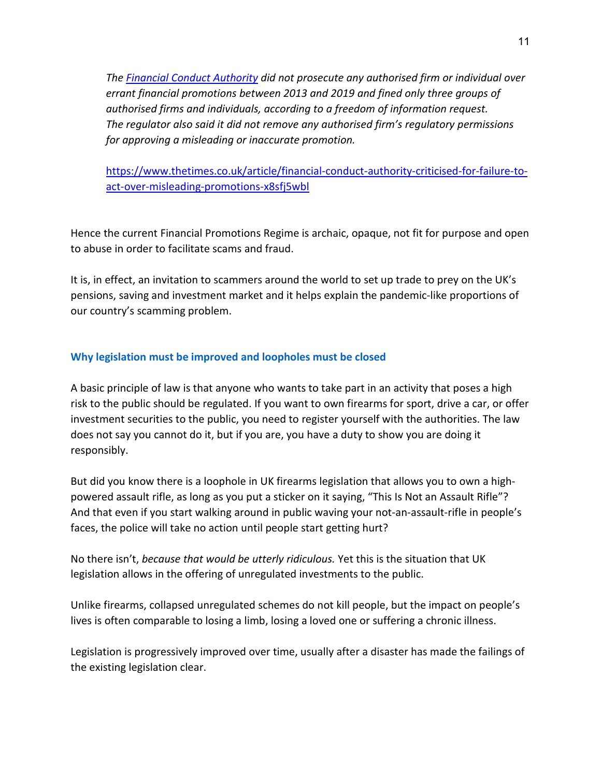*The [Financial Conduct Authority](https://www.thetimes.co.uk/article/andrew-bailey-rebuked-over-poorly-performing-financial-conduct-authority-2f863rb0p) did not prosecute any authorised firm or individual over errant financial promotions between 2013 and 2019 and fined only three groups of authorised firms and individuals, according to a freedom of information request. The regulator also said it did not remove any authorised firm's regulatory permissions for approving a misleading or inaccurate promotion.*

[https://www.thetimes.co.uk/article/financial-conduct-authority-criticised-for-failure-to](https://www.thetimes.co.uk/article/financial-conduct-authority-criticised-for-failure-to-act-over-misleading-promotions-x8sfj5wbl)[act-over-misleading-promotions-x8sfj5wbl](https://www.thetimes.co.uk/article/financial-conduct-authority-criticised-for-failure-to-act-over-misleading-promotions-x8sfj5wbl)

Hence the current Financial Promotions Regime is archaic, opaque, not fit for purpose and open to abuse in order to facilitate scams and fraud.

It is, in effect, an invitation to scammers around the world to set up trade to prey on the UK's pensions, saving and investment market and it helps explain the pandemic-like proportions of our country's scamming problem.

#### **Why legislation must be improved and loopholes must be closed**

A basic principle of law is that anyone who wants to take part in an activity that poses a high risk to the public should be regulated. If you want to own firearms for sport, drive a car, or offer investment securities to the public, you need to register yourself with the authorities. The law does not say you cannot do it, but if you are, you have a duty to show you are doing it responsibly.

But did you know there is a loophole in UK firearms legislation that allows you to own a highpowered assault rifle, as long as you put a sticker on it saying, "This Is Not an Assault Rifle"? And that even if you start walking around in public waving your not-an-assault-rifle in people's faces, the police will take no action until people start getting hurt?

No there isn't, *because that would be utterly ridiculous.* Yet this is the situation that UK legislation allows in the offering of unregulated investments to the public.

Unlike firearms, collapsed unregulated schemes do not kill people, but the impact on people's lives is often comparable to losing a limb, losing a loved one or suffering a chronic illness.

Legislation is progressively improved over time, usually after a disaster has made the failings of the existing legislation clear.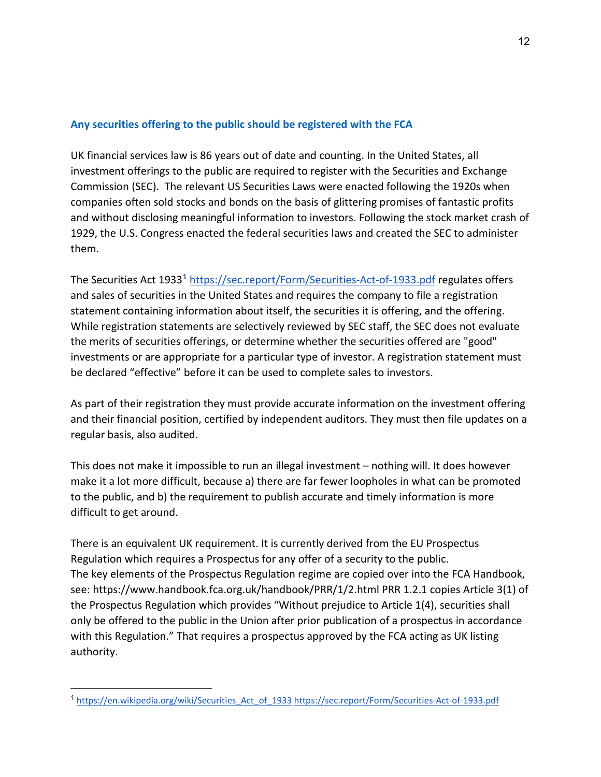#### **Any securities offering to the public should be registered with the FCA**

UK financial services law is 86 years out of date and counting. In the United States, all investment offerings to the public are required to register with the Securities and Exchange Commission (SEC). The relevant US Securities Laws were enacted following the 1920s when companies often sold stocks and bonds on the basis of glittering promises of fantastic profits and without disclosing meaningful information to investors. Following the stock market crash of 1929, the U.S. Congress enacted the federal securities laws and created the SEC to administer them.

The Securities Act [1](#page-11-0)933<sup>1</sup> <https://sec.report/Form/Securities-Act-of-1933.pdf> regulates offers and sales of securities in the United States and requires the company to file a registration statement containing information about itself, the securities it is offering, and the offering. While registration statements are selectively reviewed by SEC staff, the SEC does not evaluate the merits of securities offerings, or determine whether the securities offered are "good" investments or are appropriate for a particular type of investor. A registration statement must be declared "effective" before it can be used to complete sales to investors.

As part of their registration they must provide accurate information on the investment offering and their financial position, certified by independent auditors. They must then file updates on a regular basis, also audited.

This does not make it impossible to run an illegal investment – nothing will. It does however make it a lot more difficult, because a) there are far fewer loopholes in what can be promoted to the public, and b) the requirement to publish accurate and timely information is more difficult to get around.

There is an equivalent UK requirement. It is currently derived from the EU Prospectus Regulation which requires a Prospectus for any offer of a security to the public. The key elements of the Prospectus Regulation regime are copied over into the FCA Handbook, see:<https://www.handbook.fca.org.uk/handbook/PRR/1/2.html> PRR 1.2.1 copies Article 3(1) of the Prospectus Regulation which provides "Without prejudice to Article 1(4), securities shall only be offered to the public in the Union after prior publication of a prospectus in accordance with this Regulation." That requires a prospectus approved by the FCA acting as UK listing authority.

<span id="page-11-0"></span><sup>1</sup> [https://en.wikipedia.org/wiki/Securities\\_Act\\_of\\_1933](https://en.wikipedia.org/wiki/Securities_Act_of_1933) <https://sec.report/Form/Securities-Act-of-1933.pdf>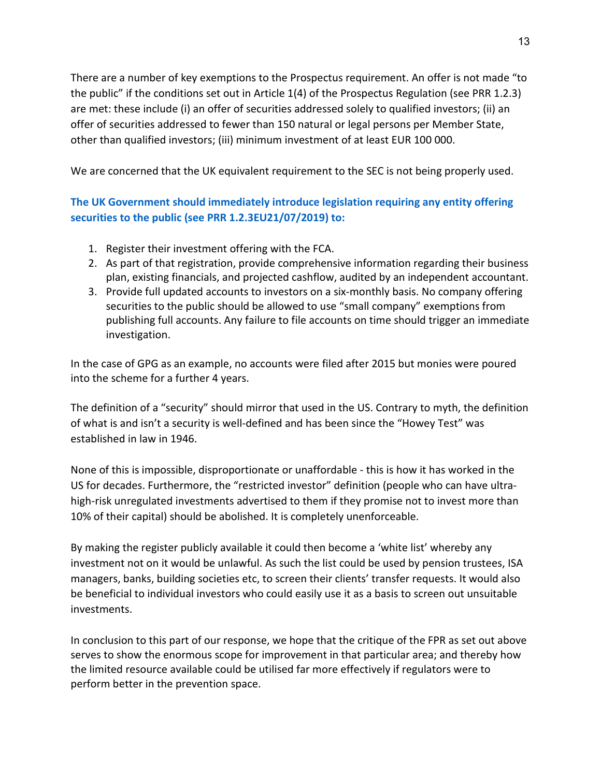There are a number of key exemptions to the Prospectus requirement. An offer is not made "to the public" if the conditions set out in Article 1(4) of the Prospectus Regulation (see PRR 1.2.3) are met: these include (i) an offer of securities addressed solely to qualified investors; (ii) an offer of securities addressed to fewer than 150 natural or legal persons per Member State, other than qualified investors; (iii) minimum investment of at least EUR 100 000.

We are concerned that the UK equivalent requirement to the SEC is not being properly used.

#### **The UK Government should immediately introduce legislation requiring any entity offering securities to the public (see PRR 1.2.3EU21/07/2019) to:**

- 1. Register their investment offering with the FCA.
- 2. As part of that registration, provide comprehensive information regarding their business plan, existing financials, and projected cashflow, audited by an independent accountant.
- 3. Provide full updated accounts to investors on a six-monthly basis. No company offering securities to the public should be allowed to use "small company" exemptions from publishing full accounts. Any failure to file accounts on time should trigger an immediate investigation.

In the case of GPG as an example, no accounts were filed after 2015 but monies were poured into the scheme for a further 4 years.

The definition of a "security" should mirror that used in the US. Contrary to myth, the definition of what is and isn't a security is well-defined and has been since the "Howey Test" was established in law in 1946.

None of this is impossible, disproportionate or unaffordable - this is how it has worked in the US for decades. Furthermore, the "restricted investor" definition (people who can have ultrahigh-risk unregulated investments advertised to them if they promise not to invest more than 10% of their capital) should be abolished. It is completely unenforceable.

By making the register publicly available it could then become a 'white list' whereby any investment not on it would be unlawful. As such the list could be used by pension trustees, ISA managers, banks, building societies etc, to screen their clients' transfer requests. It would also be beneficial to individual investors who could easily use it as a basis to screen out unsuitable investments.

In conclusion to this part of our response, we hope that the critique of the FPR as set out above serves to show the enormous scope for improvement in that particular area; and thereby how the limited resource available could be utilised far more effectively if regulators were to perform better in the prevention space.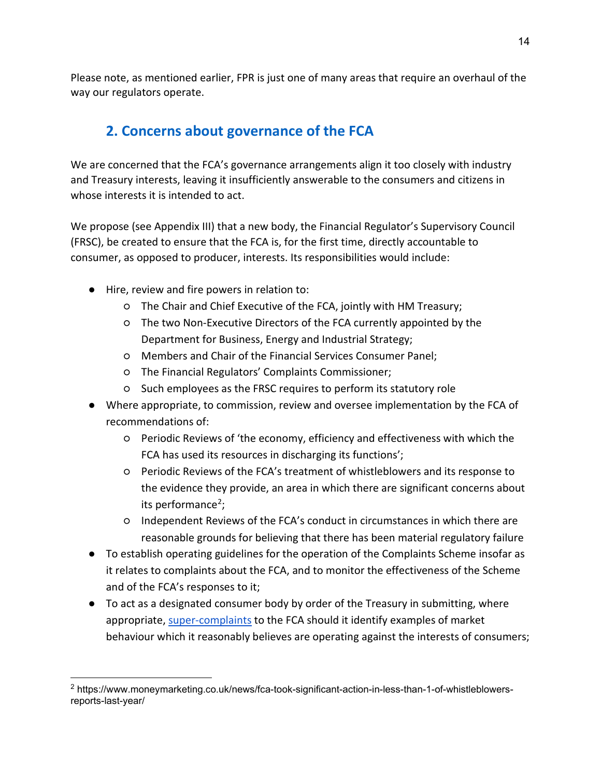Please note, as mentioned earlier, FPR is just one of many areas that require an overhaul of the way our regulators operate.

# **2. Concerns about governance of the FCA**

We are concerned that the FCA's governance arrangements align it too closely with industry and Treasury interests, leaving it insufficiently answerable to the consumers and citizens in whose interests it is intended to act.

We propose (see Appendix III) that a new body, the Financial Regulator's Supervisory Council (FRSC), be created to ensure that the FCA is, for the first time, directly accountable to consumer, as opposed to producer, interests. Its responsibilities would include:

- Hire, review and fire powers in relation to:
	- The Chair and Chief Executive of the FCA, jointly with HM Treasury;
	- The two Non-Executive Directors of the FCA currently appointed by the Department for Business, Energy and Industrial Strategy;
	- Members and Chair of the Financial Services Consumer Panel;
	- The Financial Regulators' Complaints Commissioner;
	- Such employees as the FRSC requires to perform its statutory role
- Where appropriate, to commission, review and oversee implementation by the FCA of recommendations of:
	- Periodic Reviews of 'the economy, efficiency and effectiveness with which the FCA has used its resources in discharging its functions';
	- Periodic Reviews of the FCA's treatment of whistleblowers and its response to the evidence they provide, an area in which there are significant concerns about its performance<sup>[2](#page-13-0)</sup>;
	- Independent Reviews of the FCA's conduct in circumstances in which there are reasonable grounds for believing that there has been material regulatory failure
- To establish operating guidelines for the operation of the Complaints Scheme insofar as it relates to complaints about the FCA, and to monitor the effectiveness of the Scheme and of the FCA's responses to it;
- To act as a designated consumer body by order of the Treasury in submitting, where appropriate, [super-complaints](https://www.fca.org.uk/publication/finalised-guidance/fg13-01-designated-consumer-bodies.pdf) to the FCA should it identify examples of market behaviour which it reasonably believes are operating against the interests of consumers;

<span id="page-13-0"></span><sup>2</sup> https://www.moneymarketing.co.uk/news/fca-took-significant-action-in-less-than-1-of-whistleblowersreports-last-year/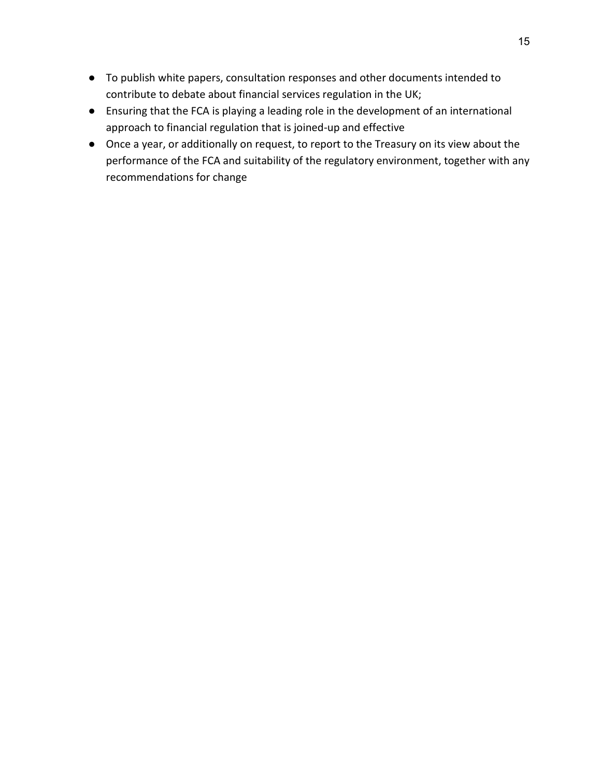- To publish white papers, consultation responses and other documents intended to contribute to debate about financial services regulation in the UK;
- Ensuring that the FCA is playing a leading role in the development of an international approach to financial regulation that is joined-up and effective
- Once a year, or additionally on request, to report to the Treasury on its view about the performance of the FCA and suitability of the regulatory environment, together with any recommendations for change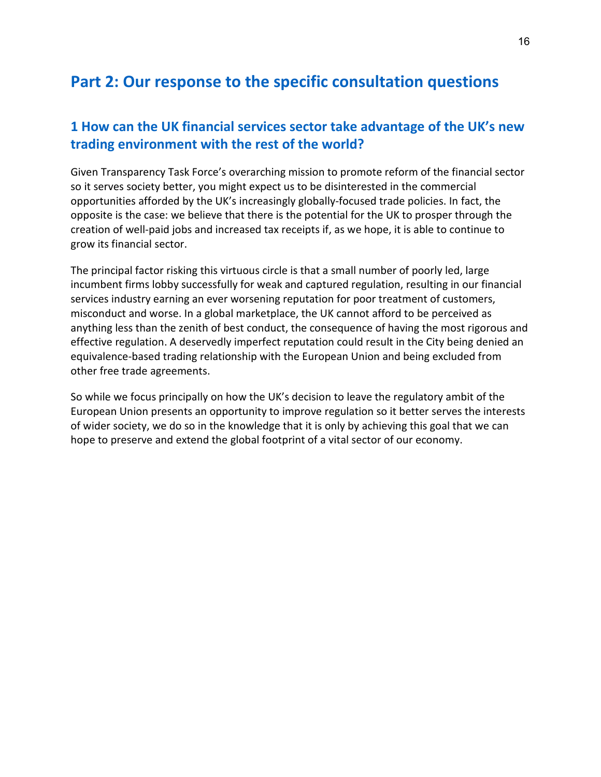# **Part 2: Our response to the specific consultation questions**

### **1 How can the UK financial services sector take advantage of the UK's new trading environment with the rest of the world?**

Given Transparency Task Force's overarching mission to promote reform of the financial sector so it serves society better, you might expect us to be disinterested in the commercial opportunities afforded by the UK's increasingly globally-focused trade policies. In fact, the opposite is the case: we believe that there is the potential for the UK to prosper through the creation of well-paid jobs and increased tax receipts if, as we hope, it is able to continue to grow its financial sector.

The principal factor risking this virtuous circle is that a small number of poorly led, large incumbent firms lobby successfully for weak and captured regulation, resulting in our financial services industry earning an ever worsening reputation for poor treatment of customers, misconduct and worse. In a global marketplace, the UK cannot afford to be perceived as anything less than the zenith of best conduct, the consequence of having the most rigorous and effective regulation. A deservedly imperfect reputation could result in the City being denied an equivalence-based trading relationship with the European Union and being excluded from other free trade agreements.

So while we focus principally on how the UK's decision to leave the regulatory ambit of the European Union presents an opportunity to improve regulation so it better serves the interests of wider society, we do so in the knowledge that it is only by achieving this goal that we can hope to preserve and extend the global footprint of a vital sector of our economy.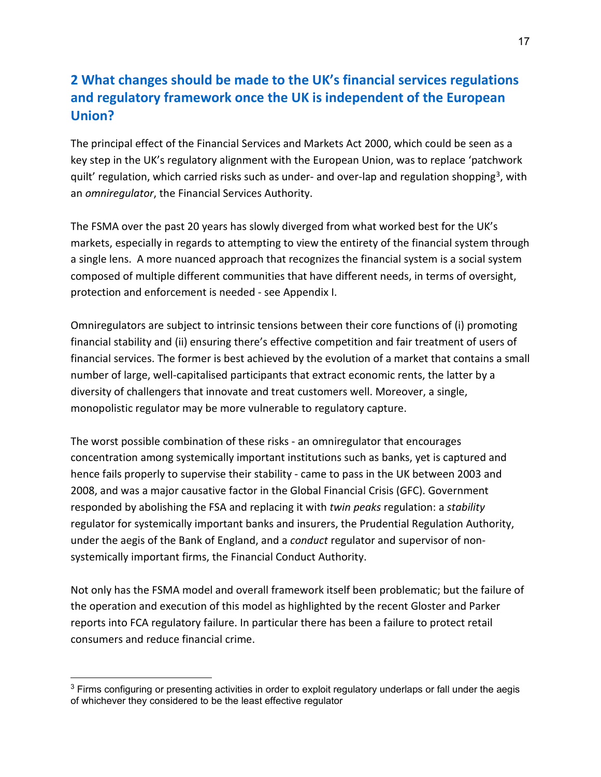### **2 What changes should be made to the UK's financial services regulations and regulatory framework once the UK is independent of the European Union?**

The principal effect of the Financial Services and Markets Act 2000, which could be seen as a key step in the UK's regulatory alignment with the European Union, was to replace 'patchwork quilt' regulation, which carried risks such as under- and over-lap and regulation shopping<sup>3</sup>, with an *omniregulator*, the Financial Services Authority.

The FSMA over the past 20 years has slowly diverged from what worked best for the UK's markets, especially in regards to attempting to view the entirety of the financial system through a single lens. A more nuanced approach that recognizes the financial system is a social system composed of multiple different communities that have different needs, in terms of oversight, protection and enforcement is needed - see Appendix I.

Omniregulators are subject to intrinsic tensions between their core functions of (i) promoting financial stability and (ii) ensuring there's effective competition and fair treatment of users of financial services. The former is best achieved by the evolution of a market that contains a small number of large, well-capitalised participants that extract economic rents, the latter by a diversity of challengers that innovate and treat customers well. Moreover, a single, monopolistic regulator may be more vulnerable to regulatory capture.

The worst possible combination of these risks - an omniregulator that encourages concentration among systemically important institutions such as banks, yet is captured and hence fails properly to supervise their stability - came to pass in the UK between 2003 and 2008, and was a major causative factor in the Global Financial Crisis (GFC). Government responded by abolishing the FSA and replacing it with *twin peaks* regulation: a *stability* regulator for systemically important banks and insurers, the Prudential Regulation Authority, under the aegis of the Bank of England, and a *conduct* regulator and supervisor of nonsystemically important firms, the Financial Conduct Authority.

Not only has the FSMA model and overall framework itself been problematic; but the failure of the operation and execution of this model as highlighted by the recent Gloster and Parker reports into FCA regulatory failure. In particular there has been a failure to protect retail consumers and reduce financial crime.

<span id="page-16-0"></span><sup>&</sup>lt;sup>3</sup> Firms configuring or presenting activities in order to exploit regulatory underlaps or fall under the aegis of whichever they considered to be the least effective regulator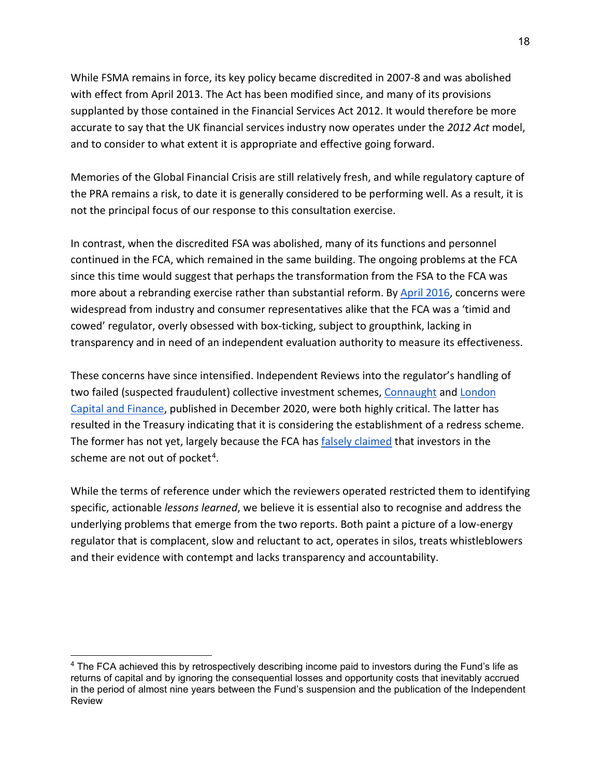While FSMA remains in force, its key policy became discredited in 2007-8 and was abolished with effect from April 2013. The Act has been modified since, and many of its provisions supplanted by those contained in the Financial Services Act 2012. It would therefore be more accurate to say that the UK financial services industry now operates under the *2012 Act* model, and to consider to what extent it is appropriate and effective going forward.

Memories of the Global Financial Crisis are still relatively fresh, and while regulatory capture of the PRA remains a risk, to date it is generally considered to be performing well. As a result, it is not the principal focus of our response to this consultation exercise.

In contrast, when the discredited FSA was abolished, many of its functions and personnel continued in the FCA, which remained in the same building. The ongoing problems at the FCA since this time would suggest that perhaps the transformation from the FSA to the FCA was more about a rebranding exercise rather than substantial reform. By [April 2016,](https://newcityagenda.co.uk/culture_of_regulators/) concerns were widespread from industry and consumer representatives alike that the FCA was a 'timid and cowed' regulator, overly obsessed with box-ticking, subject to groupthink, lacking in transparency and in need of an independent evaluation authority to measure its effectiveness.

These concerns have since intensified. Independent Reviews into the regulator's handling of two failed (suspected fraudulent) collective investment schemes[, Connaught](https://www.fca.org.uk/publication/corporate/connaught-independent-review.pdf) and London [Capital and Finance,](https://assets.publishing.service.gov.uk/government/uploads/system/uploads/attachment_data/file/945247/Gloster_Report_FINAL.pdf) published in December 2020, were both highly critical. The latter has resulted in the Treasury indicating that it is considering the establishment of a redress scheme. The former has not yet, largely because the FCA has [falsely claimed](https://www.fca.org.uk/publication/corporate/connaught-independent-review-response.pdf) that investors in the scheme are not out of pocket<sup>[4](#page-17-0)</sup>.

While the terms of reference under which the reviewers operated restricted them to identifying specific, actionable *lessons learned*, we believe it is essential also to recognise and address the underlying problems that emerge from the two reports. Both paint a picture of a low-energy regulator that is complacent, slow and reluctant to act, operates in silos, treats whistleblowers and their evidence with contempt and lacks transparency and accountability.

<span id="page-17-0"></span><sup>&</sup>lt;sup>4</sup> The FCA achieved this by retrospectively describing income paid to investors during the Fund's life as returns of capital and by ignoring the consequential losses and opportunity costs that inevitably accrued in the period of almost nine years between the Fund's suspension and the publication of the Independent Review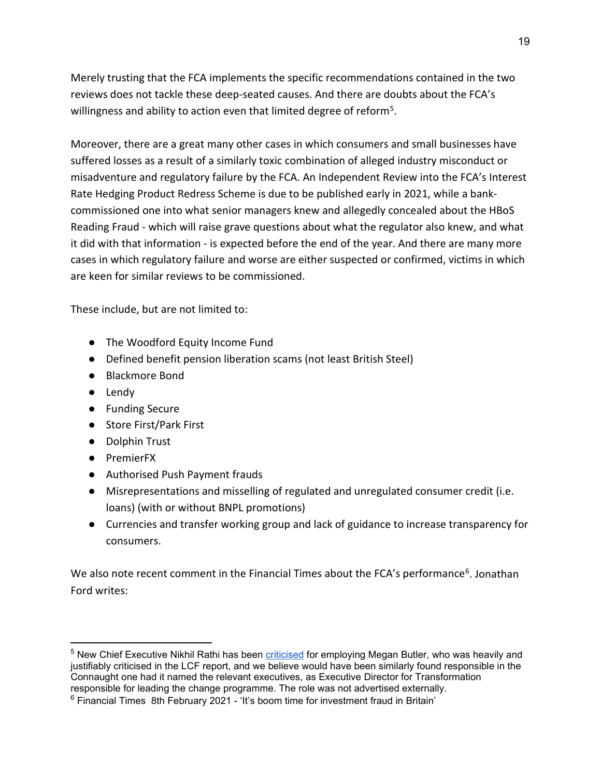Merely trusting that the FCA implements the specific recommendations contained in the two reviews does not tackle these deep-seated causes. And there are doubts about the FCA's willingness and ability to action even that limited degree of reform<sup>5</sup>.

Moreover, there are a great many other cases in which consumers and small businesses have suffered losses as a result of a similarly toxic combination of alleged industry misconduct or misadventure and regulatory failure by the FCA. An Independent Review into the FCA's Interest Rate Hedging Product Redress Scheme is due to be published early in 2021, while a bankcommissioned one into what senior managers knew and allegedly concealed about the HBoS Reading Fraud - which will raise grave questions about what the regulator also knew, and what it did with that information - is expected before the end of the year. And there are many more cases in which regulatory failure and worse are either suspected or confirmed, victims in which are keen for similar reviews to be commissioned.

These include, but are not limited to:

- The Woodford Equity Income Fund
- Defined benefit pension liberation scams (not least British Steel)
- Blackmore Bond
- Lendy
- Funding Secure
- Store First/Park First
- Dolphin Trust
- PremierFX
- Authorised Push Payment frauds
- Misrepresentations and misselling of regulated and unregulated consumer credit (i.e. loans) (with or without BNPL promotions)
- Currencies and transfer working group and lack of guidance to increase transparency for consumers.

We also note recent comment in the Financial Times about the FCA's performance<sup>[6](#page-18-1)</sup>. Jonathan Ford writes:

<span id="page-18-0"></span><sup>5</sup> New Chief Executive Nikhil Rathi has been [criticised](https://www.moneymarketing.co.uk/news/mps-to-start-parliamentary-debate-on-whats-needed-to-get-the-fca-fit-for-purpose/) for employing Megan Butler, who was heavily and justifiably criticised in the LCF report, and we believe would have been similarly found responsible in the Connaught one had it named the relevant executives, as Executive Director for Transformation responsible for leading the change programme. The role was not advertised externally.

<span id="page-18-1"></span> $6$  Financial Times 8th February 2021 - 'It's boom time for investment fraud in Britain'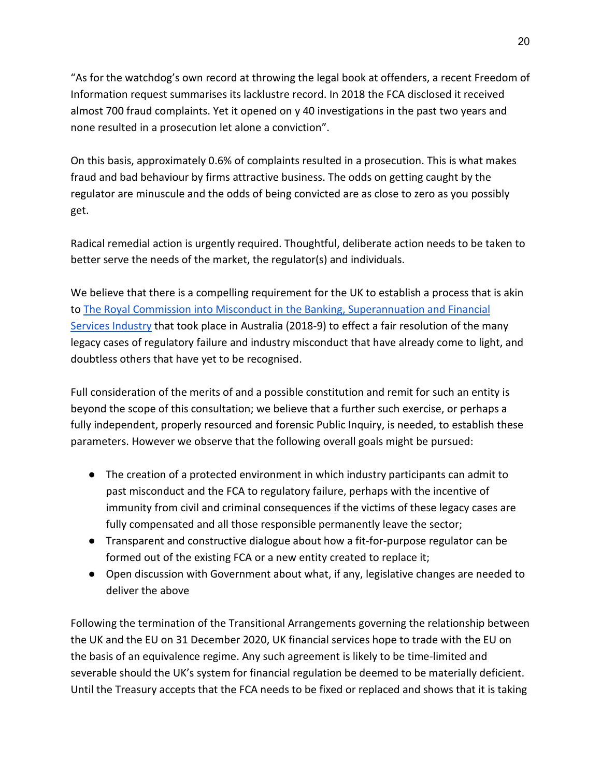"As for the watchdog's own record at throwing the legal book at offenders, a recent Freedom of Information request summarises its lacklustre record. In 2018 the FCA disclosed it received almost 700 fraud complaints. Yet it opened on y 40 investigations in the past two years and none resulted in a prosecution let alone a conviction".

On this basis, approximately 0.6% of complaints resulted in a prosecution. This is what makes fraud and bad behaviour by firms attractive business. The odds on getting caught by the regulator are minuscule and the odds of being convicted are as close to zero as you possibly get.

Radical remedial action is urgently required. Thoughtful, deliberate action needs to be taken to better serve the needs of the market, the regulator(s) and individuals.

We believe that there is a compelling requirement for the UK to establish a process that is akin to [The Royal Commission into Misconduct in the Banking, Superannuation and Financial](https://financialservices.royalcommission.gov.au/Pages/default.html)  [Services Industry](https://financialservices.royalcommission.gov.au/Pages/default.html) that took place in Australia (2018-9) to effect a fair resolution of the many legacy cases of regulatory failure and industry misconduct that have already come to light, and doubtless others that have yet to be recognised.

Full consideration of the merits of and a possible constitution and remit for such an entity is beyond the scope of this consultation; we believe that a further such exercise, or perhaps a fully independent, properly resourced and forensic Public Inquiry, is needed, to establish these parameters. However we observe that the following overall goals might be pursued:

- The creation of a protected environment in which industry participants can admit to past misconduct and the FCA to regulatory failure, perhaps with the incentive of immunity from civil and criminal consequences if the victims of these legacy cases are fully compensated and all those responsible permanently leave the sector;
- Transparent and constructive dialogue about how a fit-for-purpose regulator can be formed out of the existing FCA or a new entity created to replace it;
- Open discussion with Government about what, if any, legislative changes are needed to deliver the above

Following the termination of the Transitional Arrangements governing the relationship between the UK and the EU on 31 December 2020, UK financial services hope to trade with the EU on the basis of an equivalence regime. Any such agreement is likely to be time-limited and severable should the UK's system for financial regulation be deemed to be materially deficient. Until the Treasury accepts that the FCA needs to be fixed or replaced and shows that it is taking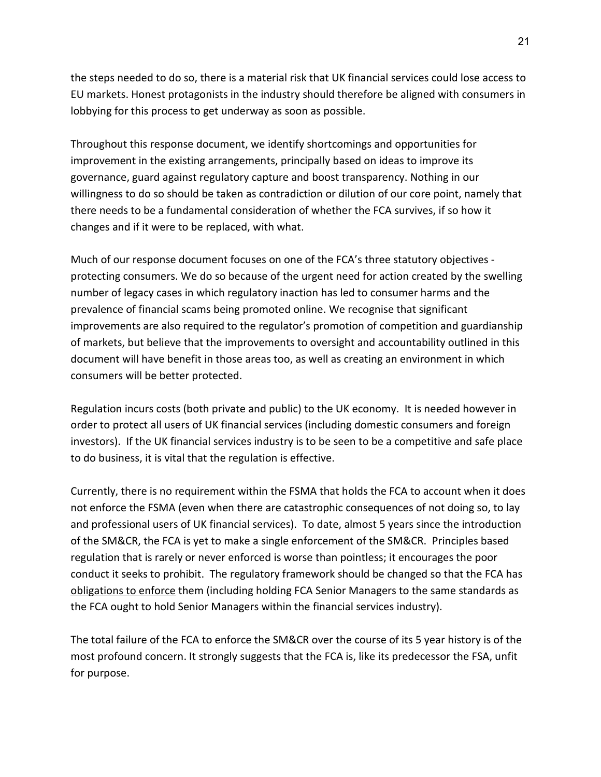the steps needed to do so, there is a material risk that UK financial services could lose access to EU markets. Honest protagonists in the industry should therefore be aligned with consumers in lobbying for this process to get underway as soon as possible.

Throughout this response document, we identify shortcomings and opportunities for improvement in the existing arrangements, principally based on ideas to improve its governance, guard against regulatory capture and boost transparency. Nothing in our willingness to do so should be taken as contradiction or dilution of our core point, namely that there needs to be a fundamental consideration of whether the FCA survives, if so how it changes and if it were to be replaced, with what.

Much of our response document focuses on one of the FCA's three statutory objectives protecting consumers. We do so because of the urgent need for action created by the swelling number of legacy cases in which regulatory inaction has led to consumer harms and the prevalence of financial scams being promoted online. We recognise that significant improvements are also required to the regulator's promotion of competition and guardianship of markets, but believe that the improvements to oversight and accountability outlined in this document will have benefit in those areas too, as well as creating an environment in which consumers will be better protected.

Regulation incurs costs (both private and public) to the UK economy. It is needed however in order to protect all users of UK financial services (including domestic consumers and foreign investors). If the UK financial services industry is to be seen to be a competitive and safe place to do business, it is vital that the regulation is effective.

Currently, there is no requirement within the FSMA that holds the FCA to account when it does not enforce the FSMA (even when there are catastrophic consequences of not doing so, to lay and professional users of UK financial services). To date, almost 5 years since the introduction of the SM&CR, the FCA is yet to make a single enforcement of the SM&CR. Principles based regulation that is rarely or never enforced is worse than pointless; it encourages the poor conduct it seeks to prohibit. The regulatory framework should be changed so that the FCA has obligations to enforce them (including holding FCA Senior Managers to the same standards as the FCA ought to hold Senior Managers within the financial services industry).

The total failure of the FCA to enforce the SM&CR over the course of its 5 year history is of the most profound concern. It strongly suggests that the FCA is, like its predecessor the FSA, unfit for purpose.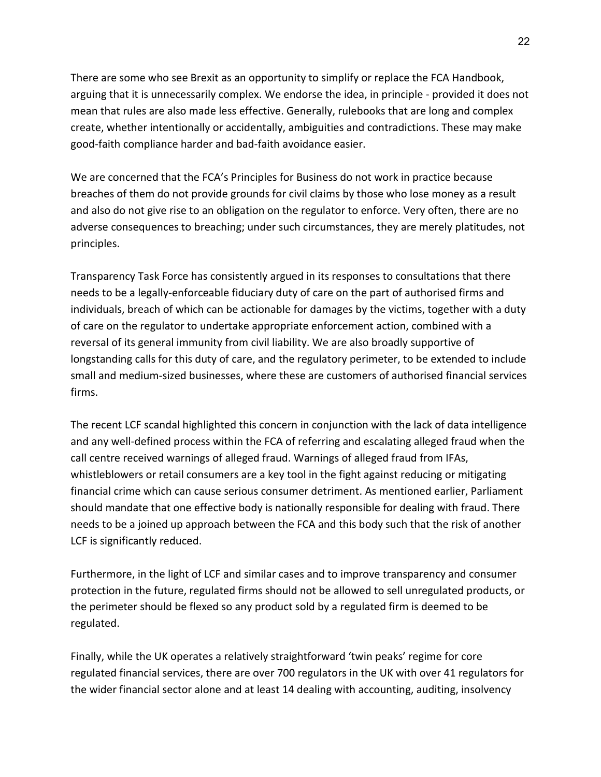There are some who see Brexit as an opportunity to simplify or replace the FCA Handbook, arguing that it is unnecessarily complex. We endorse the idea, in principle - provided it does not mean that rules are also made less effective. Generally, rulebooks that are long and complex create, whether intentionally or accidentally, ambiguities and contradictions. These may make good-faith compliance harder and bad-faith avoidance easier.

We are concerned that the FCA's Principles for Business do not work in practice because breaches of them do not provide grounds for civil claims by those who lose money as a result and also do not give rise to an obligation on the regulator to enforce. Very often, there are no adverse consequences to breaching; under such circumstances, they are merely platitudes, not principles.

Transparency Task Force has consistently argued in its responses to consultations that there needs to be a legally-enforceable fiduciary duty of care on the part of authorised firms and individuals, breach of which can be actionable for damages by the victims, together with a duty of care on the regulator to undertake appropriate enforcement action, combined with a reversal of its general immunity from civil liability. We are also broadly supportive of longstanding calls for this duty of care, and the regulatory perimeter, to be extended to include small and medium-sized businesses, where these are customers of authorised financial services firms.

The recent LCF scandal highlighted this concern in conjunction with the lack of data intelligence and any well-defined process within the FCA of referring and escalating alleged fraud when the call centre received warnings of alleged fraud. Warnings of alleged fraud from IFAs, whistleblowers or retail consumers are a key tool in the fight against reducing or mitigating financial crime which can cause serious consumer detriment. As mentioned earlier, Parliament should mandate that one effective body is nationally responsible for dealing with fraud. There needs to be a joined up approach between the FCA and this body such that the risk of another LCF is significantly reduced.

Furthermore, in the light of LCF and similar cases and to improve transparency and consumer protection in the future, regulated firms should not be allowed to sell unregulated products, or the perimeter should be flexed so any product sold by a regulated firm is deemed to be regulated.

Finally, while the UK operates a relatively straightforward 'twin peaks' regime for core regulated financial services, there are over 700 regulators in the UK with over 41 regulators for the wider financial sector alone and at least 14 dealing with accounting, auditing, insolvency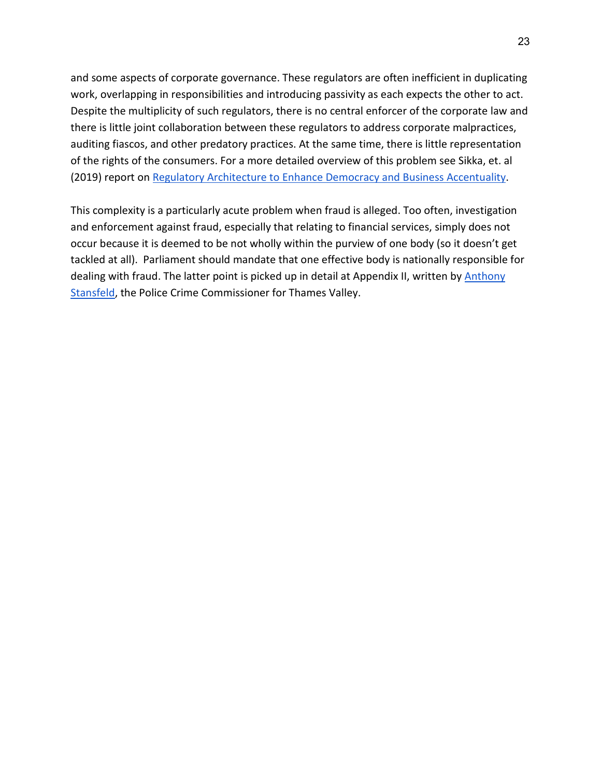and some aspects of corporate governance. These regulators are often inefficient in duplicating work, overlapping in responsibilities and introducing passivity as each expects the other to act. Despite the multiplicity of such regulators, there is no central enforcer of the corporate law and there is little joint collaboration between these regulators to address corporate malpractices, auditing fiascos, and other predatory practices. At the same time, there is little representation of the rights of the consumers. For a more detailed overview of this problem see Sikka, et. al (2019) report on [Regulatory Architecture to Enhance Democracy and Business Accentuality.](https://www.researchgate.net/profile/Prem_Sikka/publication/331432153_REGULATORY_ARCHITECTURE_TO_ENHANCE_DEMOCRACY_AND_BUSINESS_ACCOUNTABILITY/links/5c790863299bf1268d2e39d4/REGULATORY-ARCHITECTURE-TO-ENHANCE-DEMOCRACY-AND-BUSINESS-ACCOUNTABILITY.pdf?origin=publication_detail)

This complexity is a particularly acute problem when fraud is alleged. Too often, investigation and enforcement against fraud, especially that relating to financial services, simply does not occur because it is deemed to be not wholly within the purview of one body (so it doesn't get tackled at all). Parliament should mandate that one effective body is nationally responsible for dealing with fraud. The latter point is picked up in detail at Appendix II, written by **Anthony** [Stansfeld,](https://en.wikipedia.org/wiki/Anthony_Stansfeld) the Police Crime Commissioner for Thames Valley.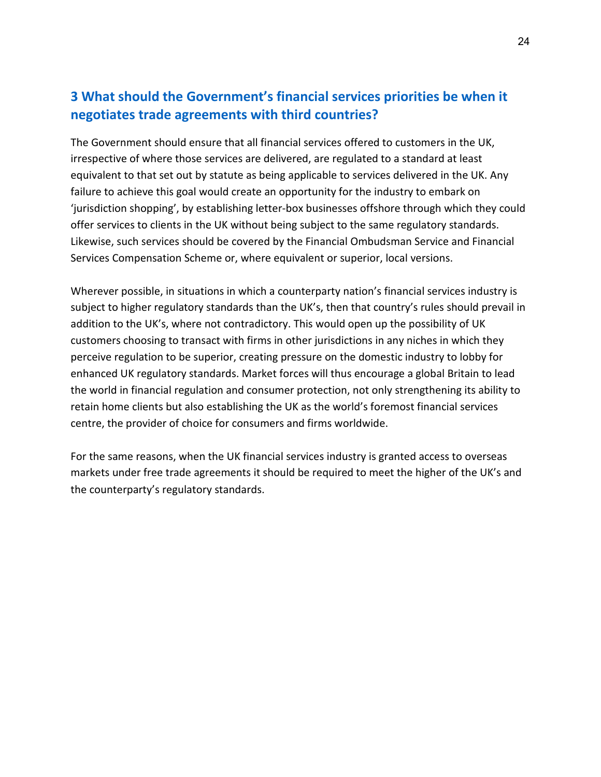### **3 What should the Government's financial services priorities be when it negotiates trade agreements with third countries?**

The Government should ensure that all financial services offered to customers in the UK, irrespective of where those services are delivered, are regulated to a standard at least equivalent to that set out by statute as being applicable to services delivered in the UK. Any failure to achieve this goal would create an opportunity for the industry to embark on 'jurisdiction shopping', by establishing letter-box businesses offshore through which they could offer services to clients in the UK without being subject to the same regulatory standards. Likewise, such services should be covered by the Financial Ombudsman Service and Financial Services Compensation Scheme or, where equivalent or superior, local versions.

Wherever possible, in situations in which a counterparty nation's financial services industry is subject to higher regulatory standards than the UK's, then that country's rules should prevail in addition to the UK's, where not contradictory. This would open up the possibility of UK customers choosing to transact with firms in other jurisdictions in any niches in which they perceive regulation to be superior, creating pressure on the domestic industry to lobby for enhanced UK regulatory standards. Market forces will thus encourage a global Britain to lead the world in financial regulation and consumer protection, not only strengthening its ability to retain home clients but also establishing the UK as the world's foremost financial services centre, the provider of choice for consumers and firms worldwide.

For the same reasons, when the UK financial services industry is granted access to overseas markets under free trade agreements it should be required to meet the higher of the UK's and the counterparty's regulatory standards.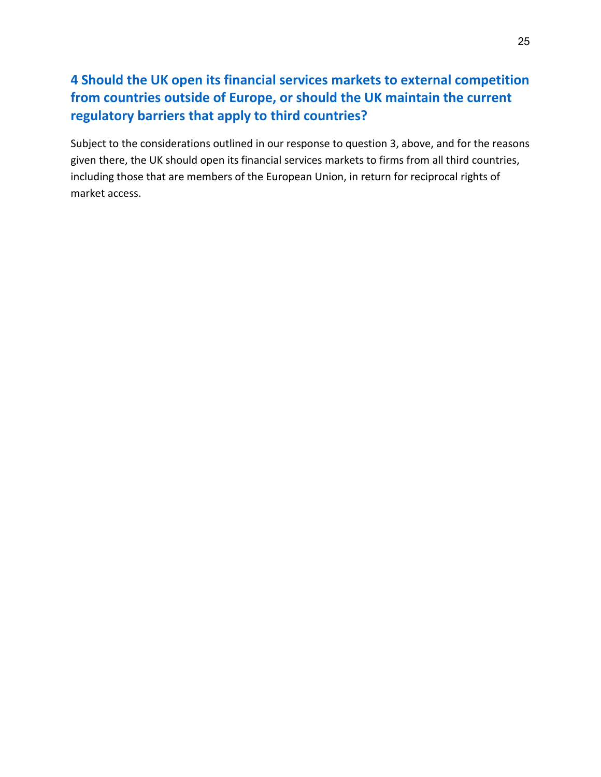# **4 Should the UK open its financial services markets to external competition from countries outside of Europe, or should the UK maintain the current regulatory barriers that apply to third countries?**

Subject to the considerations outlined in our response to question 3, above, and for the reasons given there, the UK should open its financial services markets to firms from all third countries, including those that are members of the European Union, in return for reciprocal rights of market access.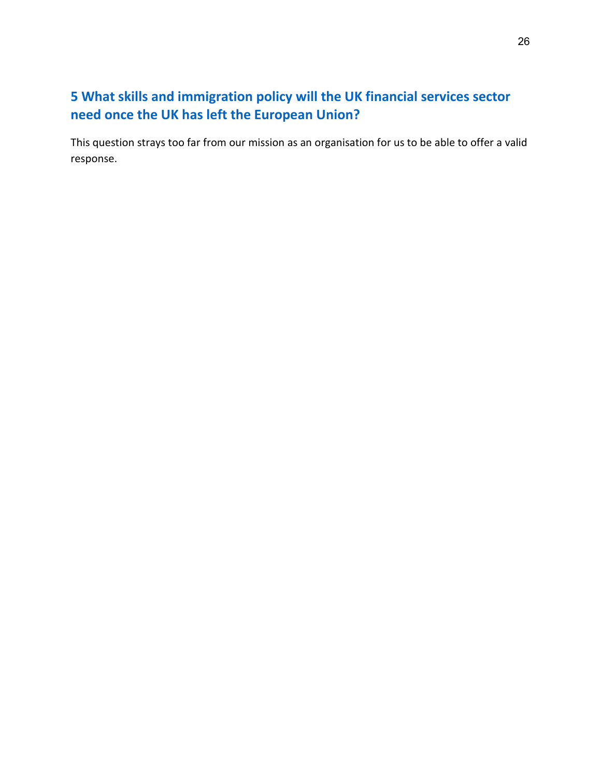# **5 What skills and immigration policy will the UK financial services sector need once the UK has left the European Union?**

This question strays too far from our mission as an organisation for us to be able to offer a valid response.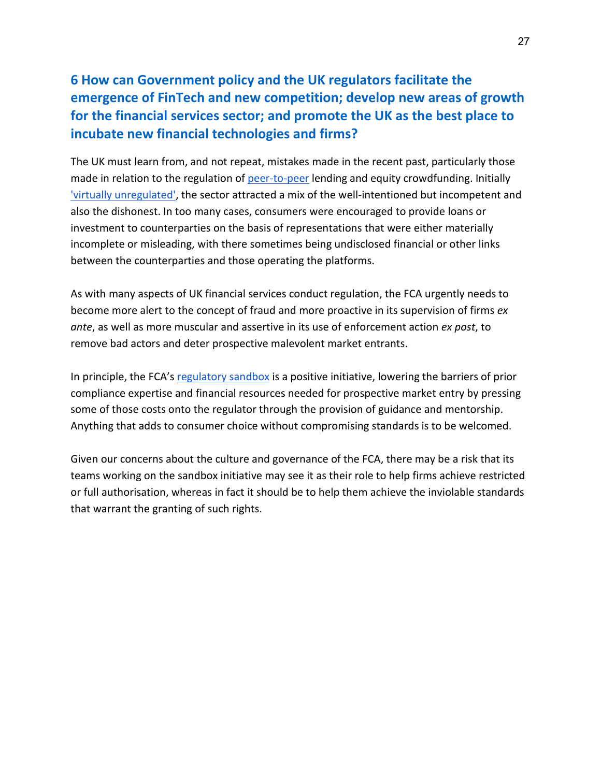### **6 How can Government policy and the UK regulators facilitate the emergence of FinTech and new competition; develop new areas of growth for the financial services sector; and promote the UK as the best place to incubate new financial technologies and firms?**

The UK must learn from, and not repeat, mistakes made in the recent past, particularly those made in relation to the regulation of [peer-to-peer](https://www2.deloitte.com/uk/en/blog/auditandassurance/2020/changes-and-concerns-in-the-peer-to-peer-p2p-lending-market.html) lending and equity crowdfunding. Initially ['virtually unregulated',](https://www.financierworldwide.com/taming-the-beast-the-need-for-regulation-in-peer-to-peer-lending#.YCuYas_7Qdk) the sector attracted a mix of the well-intentioned but incompetent and also the dishonest. In too many cases, consumers were encouraged to provide loans or investment to counterparties on the basis of representations that were either materially incomplete or misleading, with there sometimes being undisclosed financial or other links between the counterparties and those operating the platforms.

As with many aspects of UK financial services conduct regulation, the FCA urgently needs to become more alert to the concept of fraud and more proactive in its supervision of firms *ex ante*, as well as more muscular and assertive in its use of enforcement action *ex post*, to remove bad actors and deter prospective malevolent market entrants.

In principle, the FCA's [regulatory sandbox](https://www.fca.org.uk/firms/innovation/regulatory-sandbox) is a positive initiative, lowering the barriers of prior compliance expertise and financial resources needed for prospective market entry by pressing some of those costs onto the regulator through the provision of guidance and mentorship. Anything that adds to consumer choice without compromising standards is to be welcomed.

Given our concerns about the culture and governance of the FCA, there may be a risk that its teams working on the sandbox initiative may see it as their role to help firms achieve restricted or full authorisation, whereas in fact it should be to help them achieve the inviolable standards that warrant the granting of such rights.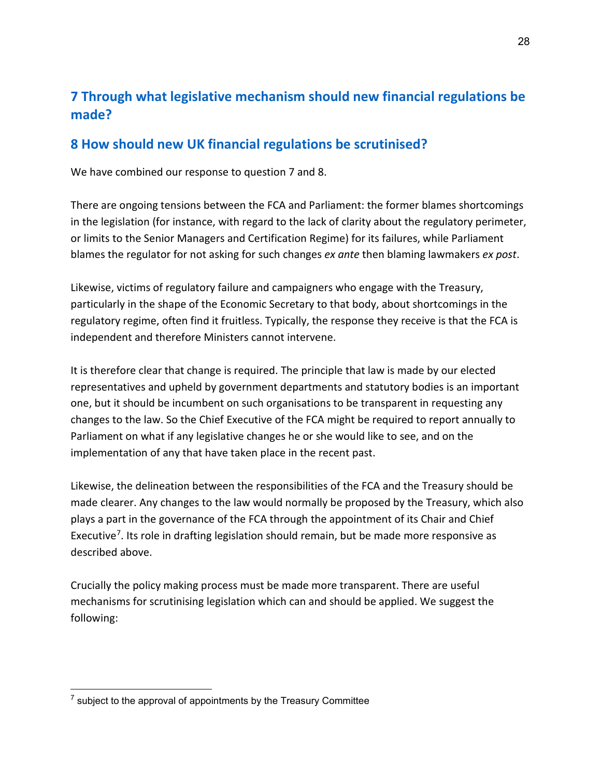# **7 Through what legislative mechanism should new financial regulations be made?**

### **8 How should new UK financial regulations be scrutinised?**

We have combined our response to question 7 and 8.

There are ongoing tensions between the FCA and Parliament: the former blames shortcomings in the legislation (for instance, with regard to the lack of clarity about the regulatory perimeter, or limits to the Senior Managers and Certification Regime) for its failures, while Parliament blames the regulator for not asking for such changes *ex ante* then blaming lawmakers *ex post*.

Likewise, victims of regulatory failure and campaigners who engage with the Treasury, particularly in the shape of the Economic Secretary to that body, about shortcomings in the regulatory regime, often find it fruitless. Typically, the response they receive is that the FCA is independent and therefore Ministers cannot intervene.

It is therefore clear that change is required. The principle that law is made by our elected representatives and upheld by government departments and statutory bodies is an important one, but it should be incumbent on such organisations to be transparent in requesting any changes to the law. So the Chief Executive of the FCA might be required to report annually to Parliament on what if any legislative changes he or she would like to see, and on the implementation of any that have taken place in the recent past.

Likewise, the delineation between the responsibilities of the FCA and the Treasury should be made clearer. Any changes to the law would normally be proposed by the Treasury, which also plays a part in the governance of the FCA through the appointment of its Chair and Chief Executive[7](#page-27-0). Its role in drafting legislation should remain, but be made more responsive as described above.

Crucially the policy making process must be made more transparent. There are useful mechanisms for scrutinising legislation which can and should be applied. We suggest the following:

<span id="page-27-0"></span> $<sup>7</sup>$  subject to the approval of appointments by the Treasury Committee</sup>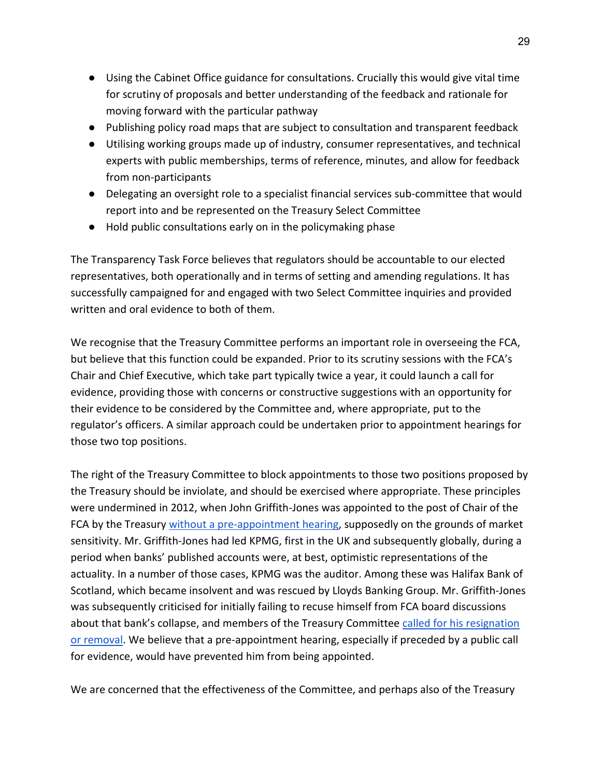- Using the Cabinet Office guidance for consultations. Crucially this would give vital time for scrutiny of proposals and better understanding of the feedback and rationale for moving forward with the particular pathway
- Publishing policy road maps that are subject to consultation and transparent feedback
- Utilising working groups made up of industry, consumer representatives, and technical experts with public memberships, terms of reference, minutes, and allow for feedback from non-participants
- Delegating an oversight role to a specialist financial services sub-committee that would report into and be represented on the Treasury Select Committee
- Hold public consultations early on in the policymaking phase

The Transparency Task Force believes that regulators should be accountable to our elected representatives, both operationally and in terms of setting and amending regulations. It has successfully campaigned for and engaged with two Select Committee inquiries and provided written and oral evidence to both of them.

We recognise that the Treasury Committee performs an important role in overseeing the FCA, but believe that this function could be expanded. Prior to its scrutiny sessions with the FCA's Chair and Chief Executive, which take part typically twice a year, it could launch a call for evidence, providing those with concerns or constructive suggestions with an opportunity for their evidence to be considered by the Committee and, where appropriate, put to the regulator's officers. A similar approach could be undertaken prior to appointment hearings for those two top positions.

The right of the Treasury Committee to block appointments to those two positions proposed by the Treasury should be inviolate, and should be exercised where appropriate. These principles were undermined in 2012, when John Griffith-Jones was appointed to the post of Chair of the FCA by the Treasury [without a pre-appointment hearing,](https://publications.parliament.uk/pa/cm201213/cmselect/cmtreasy/721/72104.htm) supposedly on the grounds of market sensitivity. Mr. Griffith-Jones had led KPMG, first in the UK and subsequently globally, during a period when banks' published accounts were, at best, optimistic representations of the actuality. In a number of those cases, KPMG was the auditor. Among these was Halifax Bank of Scotland, which became insolvent and was rescued by Lloyds Banking Group. Mr. Griffith-Jones was subsequently criticised for initially failing to recuse himself from FCA board discussions about that bank's collapse, and members of the Treasury Committee [called for his resignation](https://www.mortgagesolutions.co.uk/news/2013/04/09/fca-chairman-griffithjones-under-fire-over-collapse-of-hbos/)  [or removal.](https://www.mortgagesolutions.co.uk/news/2013/04/09/fca-chairman-griffithjones-under-fire-over-collapse-of-hbos/) We believe that a pre-appointment hearing, especially if preceded by a public call for evidence, would have prevented him from being appointed.

We are concerned that the effectiveness of the Committee, and perhaps also of the Treasury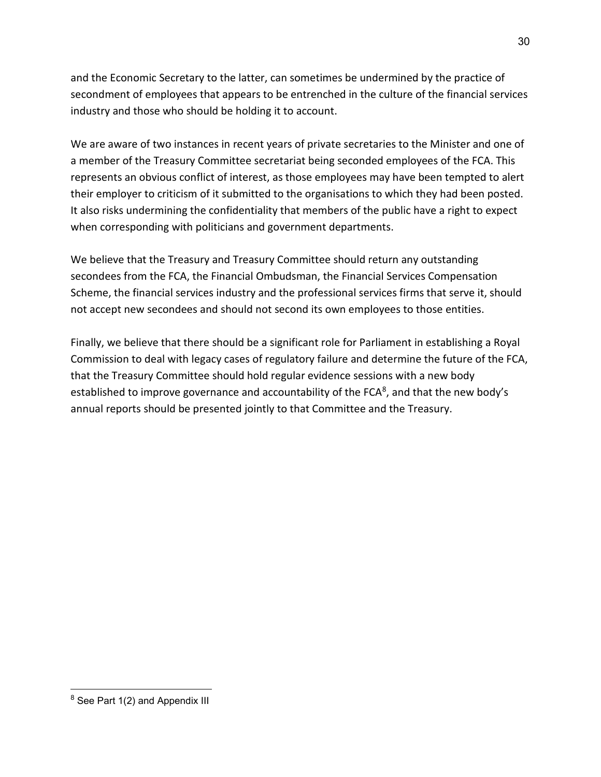and the Economic Secretary to the latter, can sometimes be undermined by the practice of secondment of employees that appears to be entrenched in the culture of the financial services industry and those who should be holding it to account.

We are aware of two instances in recent years of private secretaries to the Minister and one of a member of the Treasury Committee secretariat being seconded employees of the FCA. This represents an obvious conflict of interest, as those employees may have been tempted to alert their employer to criticism of it submitted to the organisations to which they had been posted. It also risks undermining the confidentiality that members of the public have a right to expect when corresponding with politicians and government departments.

We believe that the Treasury and Treasury Committee should return any outstanding secondees from the FCA, the Financial Ombudsman, the Financial Services Compensation Scheme, the financial services industry and the professional services firms that serve it, should not accept new secondees and should not second its own employees to those entities.

Finally, we believe that there should be a significant role for Parliament in establishing a Royal Commission to deal with legacy cases of regulatory failure and determine the future of the FCA, that the Treasury Committee should hold regular evidence sessions with a new body established to improve governance and accountability of the FCA $^8$ , and that the new body's annual reports should be presented jointly to that Committee and the Treasury.

<span id="page-29-0"></span><sup>&</sup>lt;sup>8</sup> See Part 1(2) and Appendix III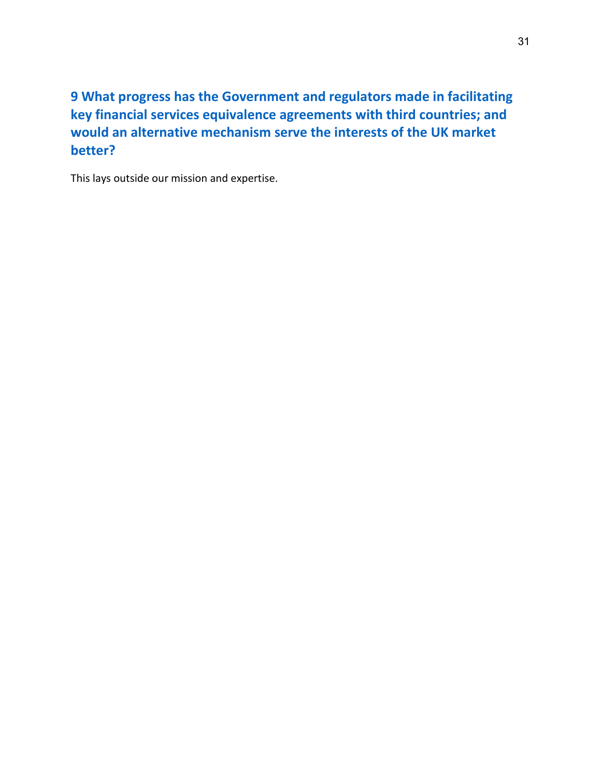### **9 What progress has the Government and regulators made in facilitating key financial services equivalence agreements with third countries; and would an alternative mechanism serve the interests of the UK market better?**

This lays outside our mission and expertise.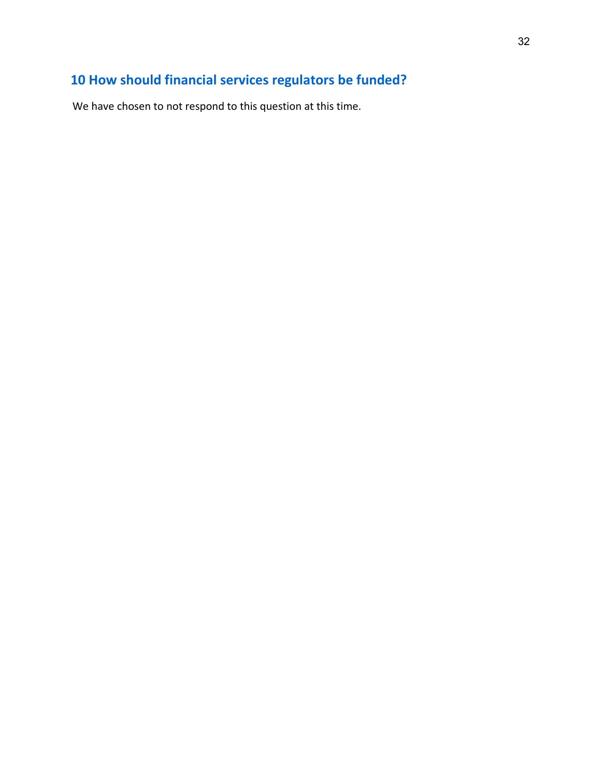# **10 How should financial services regulators be funded?**

We have chosen to not respond to this question at this time.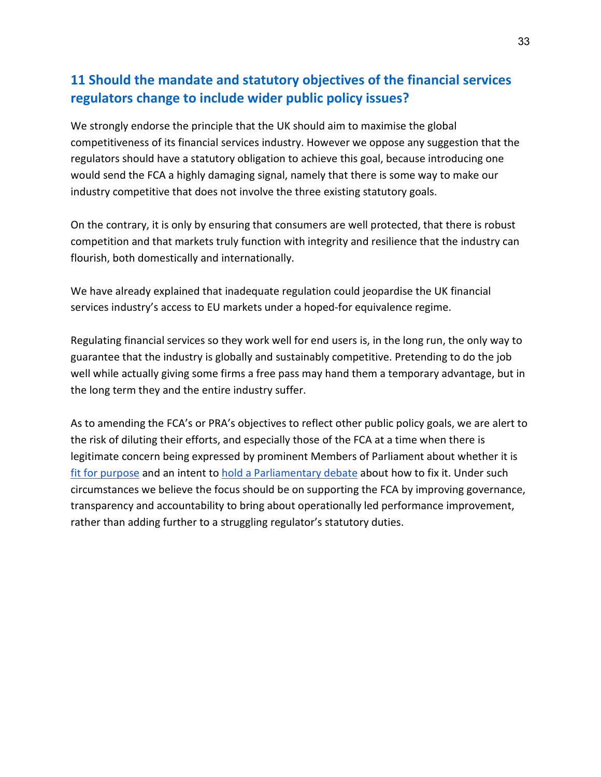### **11 Should the mandate and statutory objectives of the financial services regulators change to include wider public policy issues?**

We strongly endorse the principle that the UK should aim to maximise the global competitiveness of its financial services industry. However we oppose any suggestion that the regulators should have a statutory obligation to achieve this goal, because introducing one would send the FCA a highly damaging signal, namely that there is some way to make our industry competitive that does not involve the three existing statutory goals.

On the contrary, it is only by ensuring that consumers are well protected, that there is robust competition and that markets truly function with integrity and resilience that the industry can flourish, both domestically and internationally.

We have already explained that inadequate regulation could jeopardise the UK financial services industry's access to EU markets under a hoped-for equivalence regime.

Regulating financial services so they work well for end users is, in the long run, the only way to guarantee that the industry is globally and sustainably competitive. Pretending to do the job well while actually giving some firms a free pass may hand them a temporary advantage, but in the long term they and the entire industry suffer.

As to amending the FCA's or PRA's objectives to reflect other public policy goals, we are alert to the risk of diluting their efforts, and especially those of the FCA at a time when there is legitimate concern being expressed by prominent Members of Parliament about whether it is [fit for purpose](https://www.standard.co.uk/business/mps-in-pension-scandal-financial-conduct-authority-unfit-for-purpose-fca-british-steel-bsps-b900647.html) and an intent to [hold a Parliamentary debate](https://appgonpersonalbankingandfairerfinancialservices.org/in-the-press) about how to fix it. Under such circumstances we believe the focus should be on supporting the FCA by improving governance, transparency and accountability to bring about operationally led performance improvement, rather than adding further to a struggling regulator's statutory duties.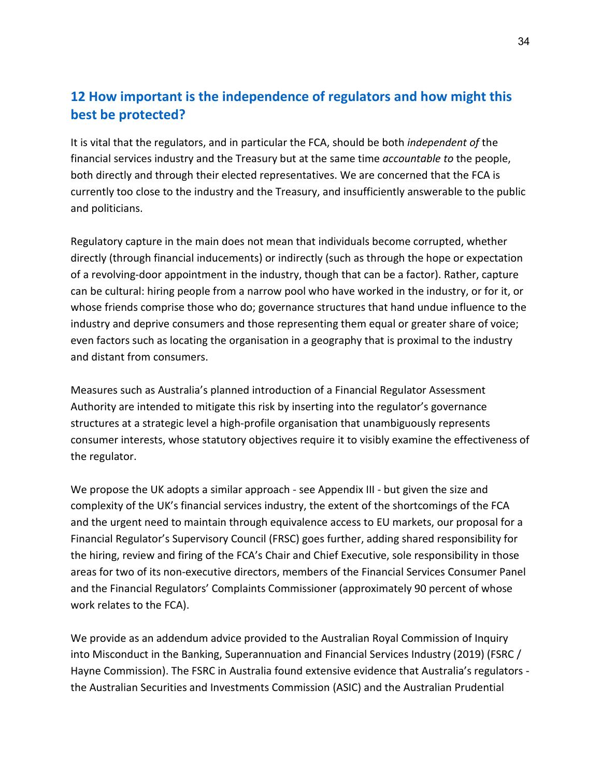### **12 How important is the independence of regulators and how might this best be protected?**

It is vital that the regulators, and in particular the FCA, should be both *independent of* the financial services industry and the Treasury but at the same time *accountable to* the people, both directly and through their elected representatives. We are concerned that the FCA is currently too close to the industry and the Treasury, and insufficiently answerable to the public and politicians.

Regulatory capture in the main does not mean that individuals become corrupted, whether directly (through financial inducements) or indirectly (such as through the hope or expectation of a revolving-door appointment in the industry, though that can be a factor). Rather, capture can be cultural: hiring people from a narrow pool who have worked in the industry, or for it, or whose friends comprise those who do; governance structures that hand undue influence to the industry and deprive consumers and those representing them equal or greater share of voice; even factors such as locating the organisation in a geography that is proximal to the industry and distant from consumers.

Measures such as Australia's planned introduction of a Financial Regulator Assessment Authority are intended to mitigate this risk by inserting into the regulator's governance structures at a strategic level a high-profile organisation that unambiguously represents consumer interests, whose statutory objectives require it to visibly examine the effectiveness of the regulator.

We propose the UK adopts a similar approach - see Appendix III - but given the size and complexity of the UK's financial services industry, the extent of the shortcomings of the FCA and the urgent need to maintain through equivalence access to EU markets, our proposal for a Financial Regulator's Supervisory Council (FRSC) goes further, adding shared responsibility for the hiring, review and firing of the FCA's Chair and Chief Executive, sole responsibility in those areas for two of its non-executive directors, members of the Financial Services Consumer Panel and the Financial Regulators' Complaints Commissioner (approximately 90 percent of whose work relates to the FCA).

We provide as an addendum advice provided to the Australian Royal Commission of Inquiry into Misconduct in the Banking, Superannuation and Financial Services Industry (2019) (FSRC / Hayne Commission). The FSRC in Australia found extensive evidence that Australia's regulators the Australian Securities and Investments Commission (ASIC) and the Australian Prudential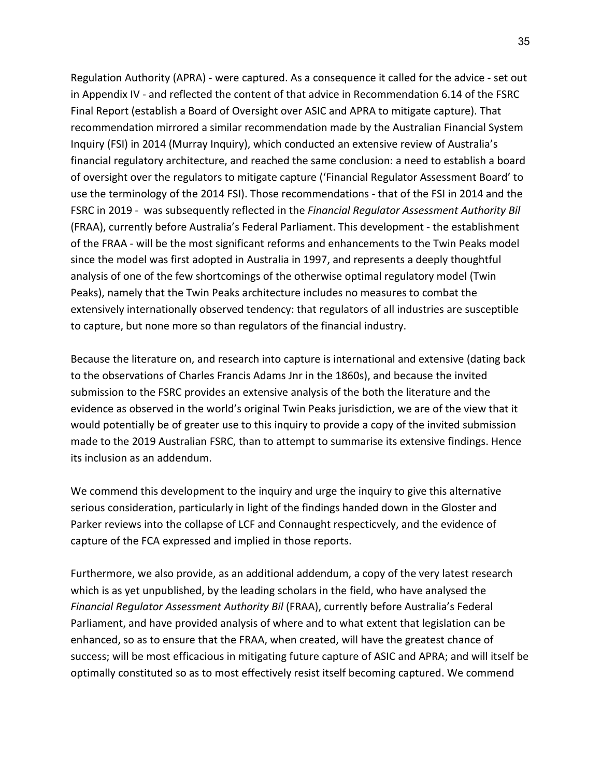Regulation Authority (APRA) - were captured. As a consequence it called for the advice - set out in Appendix IV - and reflected the content of that advice in Recommendation 6.14 of the FSRC Final Report (establish a Board of Oversight over ASIC and APRA to mitigate capture). That recommendation mirrored a similar recommendation made by the Australian Financial System Inquiry (FSI) in 2014 (Murray Inquiry), which conducted an extensive review of Australia's financial regulatory architecture, and reached the same conclusion: a need to establish a board of oversight over the regulators to mitigate capture ('Financial Regulator Assessment Board' to use the terminology of the 2014 FSI). Those recommendations - that of the FSI in 2014 and the FSRC in 2019 - was subsequently reflected in the *Financial Regulator Assessment Authority Bil* (FRAA), currently before Australia's Federal Parliament. This development - the establishment of the FRAA - will be the most significant reforms and enhancements to the Twin Peaks model since the model was first adopted in Australia in 1997, and represents a deeply thoughtful analysis of one of the few shortcomings of the otherwise optimal regulatory model (Twin Peaks), namely that the Twin Peaks architecture includes no measures to combat the extensively internationally observed tendency: that regulators of all industries are susceptible to capture, but none more so than regulators of the financial industry.

Because the literature on, and research into capture is international and extensive (dating back to the observations of Charles Francis Adams Jnr in the 1860s), and because the invited submission to the FSRC provides an extensive analysis of the both the literature and the evidence as observed in the world's original Twin Peaks jurisdiction, we are of the view that it would potentially be of greater use to this inquiry to provide a copy of the invited submission made to the 2019 Australian FSRC, than to attempt to summarise its extensive findings. Hence its inclusion as an addendum.

We commend this development to the inquiry and urge the inquiry to give this alternative serious consideration, particularly in light of the findings handed down in the Gloster and Parker reviews into the collapse of LCF and Connaught respecticvely, and the evidence of capture of the FCA expressed and implied in those reports.

Furthermore, we also provide, as an additional addendum, a copy of the very latest research which is as yet unpublished, by the leading scholars in the field, who have analysed the *Financial Regulator Assessment Authority Bil* (FRAA), currently before Australia's Federal Parliament, and have provided analysis of where and to what extent that legislation can be enhanced, so as to ensure that the FRAA, when created, will have the greatest chance of success; will be most efficacious in mitigating future capture of ASIC and APRA; and will itself be optimally constituted so as to most effectively resist itself becoming captured. We commend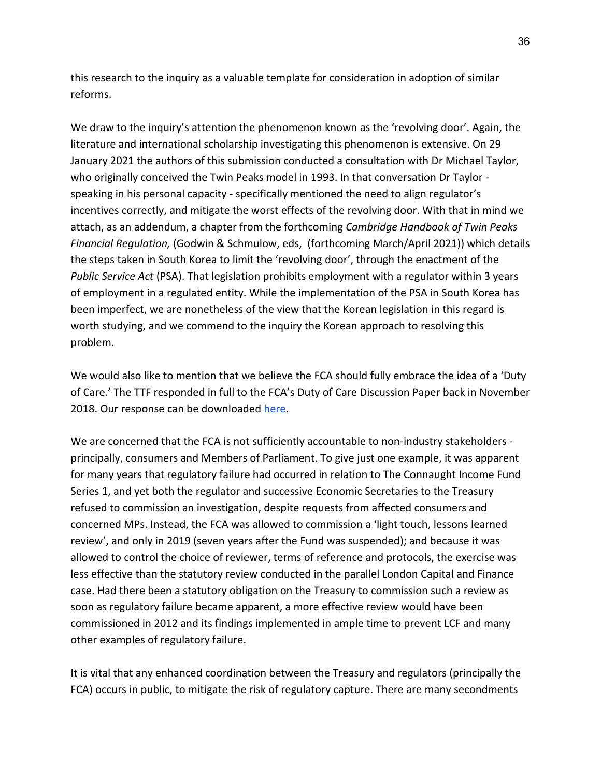this research to the inquiry as a valuable template for consideration in adoption of similar reforms.

We draw to the inquiry's attention the phenomenon known as the 'revolving door'. Again, the literature and international scholarship investigating this phenomenon is extensive. On 29 January 2021 the authors of this submission conducted a consultation with Dr Michael Taylor, who originally conceived the Twin Peaks model in 1993. In that conversation Dr Taylor speaking in his personal capacity - specifically mentioned the need to align regulator's incentives correctly, and mitigate the worst effects of the revolving door. With that in mind we attach, as an addendum, a chapter from the forthcoming *Cambridge Handbook of Twin Peaks Financial Regulation,* (Godwin & Schmulow, eds, (forthcoming March/April 2021)) which details the steps taken in South Korea to limit the 'revolving door', through the enactment of the *Public Service Act* (PSA). That legislation prohibits employment with a regulator within 3 years of employment in a regulated entity. While the implementation of the PSA in South Korea has been imperfect, we are nonetheless of the view that the Korean legislation in this regard is worth studying, and we commend to the inquiry the Korean approach to resolving this problem.

We would also like to mention that we believe the FCA should fully embrace the idea of a 'Duty of Care.' The TTF responded in full to the FCA's Duty of Care Discussion Paper back in November 2018. Our response can be downloaded [here.](https://www.transparencytaskforce.org/wp-content/uploads/2020/09/TTF-Response-the-FCAs-Duty-of-Care-Discussion-Paper.pdf)

We are concerned that the FCA is not sufficiently accountable to non-industry stakeholders principally, consumers and Members of Parliament. To give just one example, it was apparent for many years that regulatory failure had occurred in relation to The Connaught Income Fund Series 1, and yet both the regulator and successive Economic Secretaries to the Treasury refused to commission an investigation, despite requests from affected consumers and concerned MPs. Instead, the FCA was allowed to commission a 'light touch, lessons learned review', and only in 2019 (seven years after the Fund was suspended); and because it was allowed to control the choice of reviewer, terms of reference and protocols, the exercise was less effective than the statutory review conducted in the parallel London Capital and Finance case. Had there been a statutory obligation on the Treasury to commission such a review as soon as regulatory failure became apparent, a more effective review would have been commissioned in 2012 and its findings implemented in ample time to prevent LCF and many other examples of regulatory failure.

It is vital that any enhanced coordination between the Treasury and regulators (principally the FCA) occurs in public, to mitigate the risk of regulatory capture. There are many secondments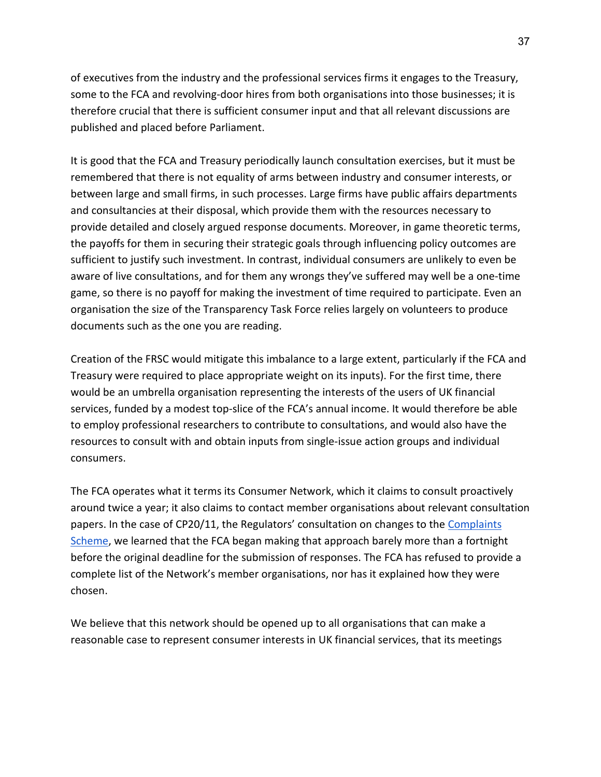of executives from the industry and the professional services firms it engages to the Treasury, some to the FCA and revolving-door hires from both organisations into those businesses; it is therefore crucial that there is sufficient consumer input and that all relevant discussions are published and placed before Parliament.

It is good that the FCA and Treasury periodically launch consultation exercises, but it must be remembered that there is not equality of arms between industry and consumer interests, or between large and small firms, in such processes. Large firms have public affairs departments and consultancies at their disposal, which provide them with the resources necessary to provide detailed and closely argued response documents. Moreover, in game theoretic terms, the payoffs for them in securing their strategic goals through influencing policy outcomes are sufficient to justify such investment. In contrast, individual consumers are unlikely to even be aware of live consultations, and for them any wrongs they've suffered may well be a one-time game, so there is no payoff for making the investment of time required to participate. Even an organisation the size of the Transparency Task Force relies largely on volunteers to produce documents such as the one you are reading.

Creation of the FRSC would mitigate this imbalance to a large extent, particularly if the FCA and Treasury were required to place appropriate weight on its inputs). For the first time, there would be an umbrella organisation representing the interests of the users of UK financial services, funded by a modest top-slice of the FCA's annual income. It would therefore be able to employ professional researchers to contribute to consultations, and would also have the resources to consult with and obtain inputs from single-issue action groups and individual consumers.

The FCA operates what it terms its Consumer Network, which it claims to consult proactively around twice a year; it also claims to contact member organisations about relevant consultation papers. In the case of CP20/11, the Regulators' consultation on changes to the [Complaints](https://www.fca.org.uk/publications/consultation-papers/cp20-11-complaints-against-regulators-fca-pra-boe)  [Scheme,](https://www.fca.org.uk/publications/consultation-papers/cp20-11-complaints-against-regulators-fca-pra-boe) we learned that the FCA began making that approach barely more than a fortnight before the original deadline for the submission of responses. The FCA has refused to provide a complete list of the Network's member organisations, nor has it explained how they were chosen.

We believe that this network should be opened up to all organisations that can make a reasonable case to represent consumer interests in UK financial services, that its meetings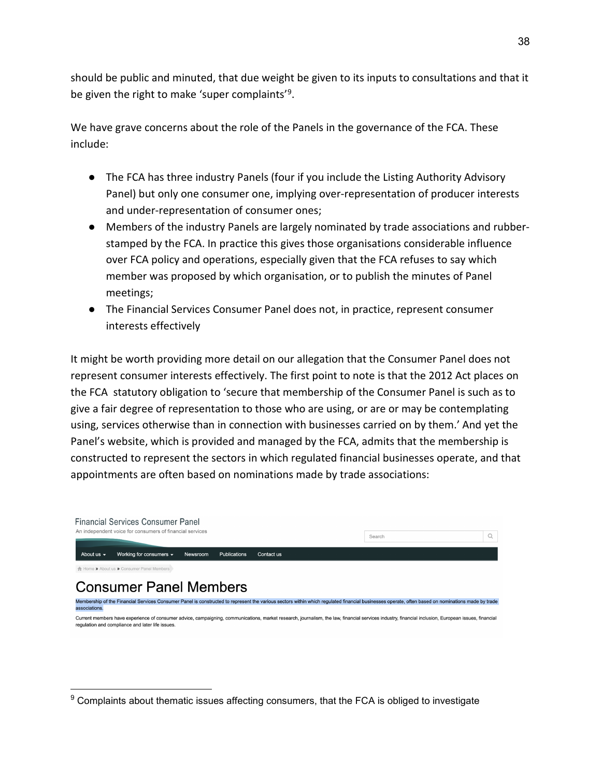should be public and minuted, that due weight be given to its inputs to consultations and that it be given the right to make 'super complaints'[9](#page-37-0).

We have grave concerns about the role of the Panels in the governance of the FCA. These include:

- The FCA has three industry Panels (four if you include the Listing Authority Advisory Panel) but only one consumer one, implying over-representation of producer interests and under-representation of consumer ones;
- Members of the industry Panels are largely nominated by trade associations and rubberstamped by the FCA. In practice this gives those organisations considerable influence over FCA policy and operations, especially given that the FCA refuses to say which member was proposed by which organisation, or to publish the minutes of Panel meetings;
- The Financial Services Consumer Panel does not, in practice, represent consumer interests effectively

It might be worth providing more detail on our allegation that the Consumer Panel does not represent consumer interests effectively. The first point to note is that the 2012 Act places on the FCA statutory obligation to 'secure that membership of the Consumer Panel is such as to give a fair degree of representation to those who are using, or are or may be contemplating using, services otherwise than in connection with businesses carried on by them.' And yet the Panel's website, which is provided and managed by the FCA, admits that the membership is constructed to represent the sectors in which regulated financial businesses operate, and that appointments are often based on nominations made by trade associations:



<span id="page-37-0"></span> $9$  Complaints about thematic issues affecting consumers, that the FCA is obliged to investigate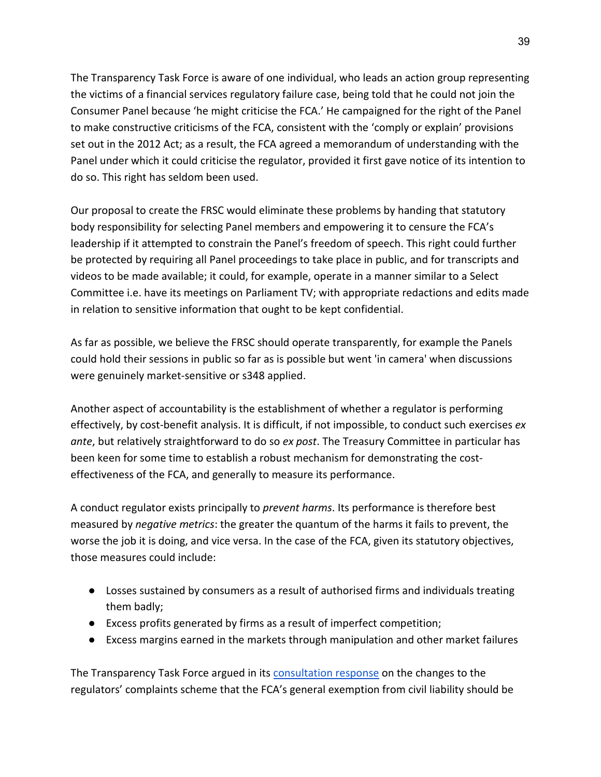The Transparency Task Force is aware of one individual, who leads an action group representing the victims of a financial services regulatory failure case, being told that he could not join the Consumer Panel because 'he might criticise the FCA.' He campaigned for the right of the Panel to make constructive criticisms of the FCA, consistent with the 'comply or explain' provisions set out in the 2012 Act; as a result, the FCA agreed a memorandum of understanding with the Panel under which it could criticise the regulator, provided it first gave notice of its intention to do so. This right has seldom been used.

Our proposal to create the FRSC would eliminate these problems by handing that statutory body responsibility for selecting Panel members and empowering it to censure the FCA's leadership if it attempted to constrain the Panel's freedom of speech. This right could further be protected by requiring all Panel proceedings to take place in public, and for transcripts and videos to be made available; it could, for example, operate in a manner similar to a Select Committee i.e. have its meetings on Parliament TV; with appropriate redactions and edits made in relation to sensitive information that ought to be kept confidential.

As far as possible, we believe the FRSC should operate transparently, for example the Panels could hold their sessions in public so far as is possible but went 'in camera' when discussions were genuinely market-sensitive or s348 applied.

Another aspect of accountability is the establishment of whether a regulator is performing effectively, by cost-benefit analysis. It is difficult, if not impossible, to conduct such exercises *ex ante*, but relatively straightforward to do so *ex post*. The Treasury Committee in particular has been keen for some time to establish a robust mechanism for demonstrating the costeffectiveness of the FCA, and generally to measure its performance.

A conduct regulator exists principally to *prevent harms*. Its performance is therefore best measured by *negative metrics*: the greater the quantum of the harms it fails to prevent, the worse the job it is doing, and vice versa. In the case of the FCA, given its statutory objectives, those measures could include:

- Losses sustained by consumers as a result of authorised firms and individuals treating them badly;
- Excess profits generated by firms as a result of imperfect competition;
- Excess margins earned in the markets through manipulation and other market failures

The Transparency Task Force argued in its [consultation response](https://www.transparencytaskforce.org/wp-content/uploads/2020/10/Complaints-agains-the-Regulators-CP2011-1.pdf) on the changes to the regulators' complaints scheme that the FCA's general exemption from civil liability should be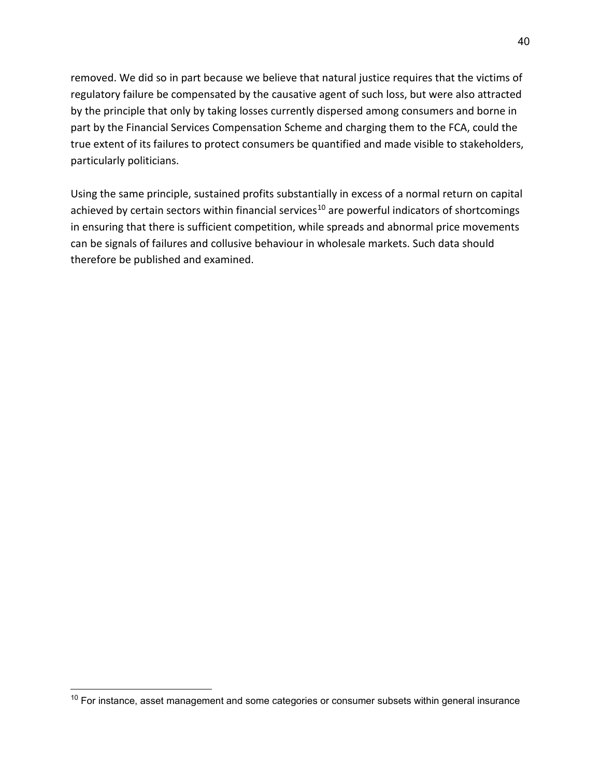removed. We did so in part because we believe that natural justice requires that the victims of regulatory failure be compensated by the causative agent of such loss, but were also attracted by the principle that only by taking losses currently dispersed among consumers and borne in part by the Financial Services Compensation Scheme and charging them to the FCA, could the true extent of its failures to protect consumers be quantified and made visible to stakeholders, particularly politicians.

Using the same principle, sustained profits substantially in excess of a normal return on capital achieved by certain sectors within financial services<sup>[10](#page-39-0)</sup> are powerful indicators of shortcomings in ensuring that there is sufficient competition, while spreads and abnormal price movements can be signals of failures and collusive behaviour in wholesale markets. Such data should therefore be published and examined.

<span id="page-39-0"></span> $10$  For instance, asset management and some categories or consumer subsets within general insurance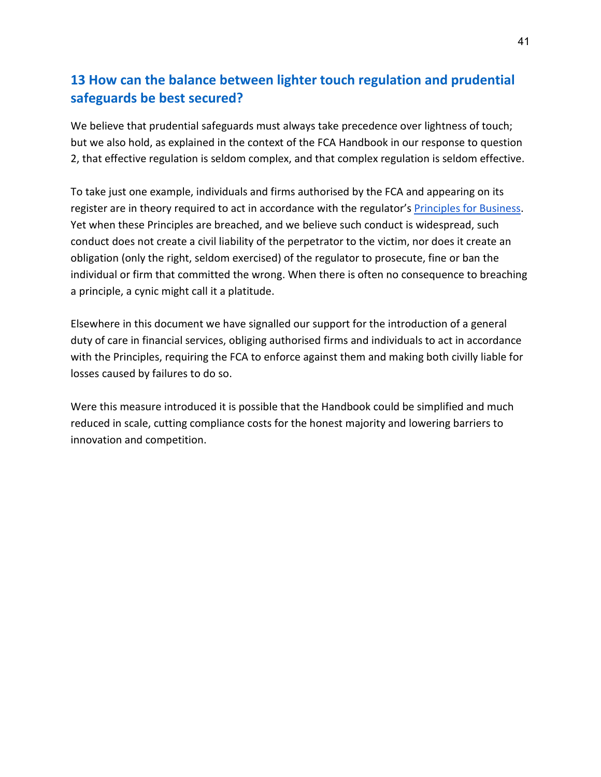# **13 How can the balance between lighter touch regulation and prudential safeguards be best secured?**

We believe that prudential safeguards must always take precedence over lightness of touch; but we also hold, as explained in the context of the FCA Handbook in our response to question 2, that effective regulation is seldom complex, and that complex regulation is seldom effective.

To take just one example, individuals and firms authorised by the FCA and appearing on its register are in theory required to act in accordance with the regulator's [Principles for Business.](https://www.handbook.fca.org.uk/handbook/PRIN/2/1.html) Yet when these Principles are breached, and we believe such conduct is widespread, such conduct does not create a civil liability of the perpetrator to the victim, nor does it create an obligation (only the right, seldom exercised) of the regulator to prosecute, fine or ban the individual or firm that committed the wrong. When there is often no consequence to breaching a principle, a cynic might call it a platitude.

Elsewhere in this document we have signalled our support for the introduction of a general duty of care in financial services, obliging authorised firms and individuals to act in accordance with the Principles, requiring the FCA to enforce against them and making both civilly liable for losses caused by failures to do so.

Were this measure introduced it is possible that the Handbook could be simplified and much reduced in scale, cutting compliance costs for the honest majority and lowering barriers to innovation and competition.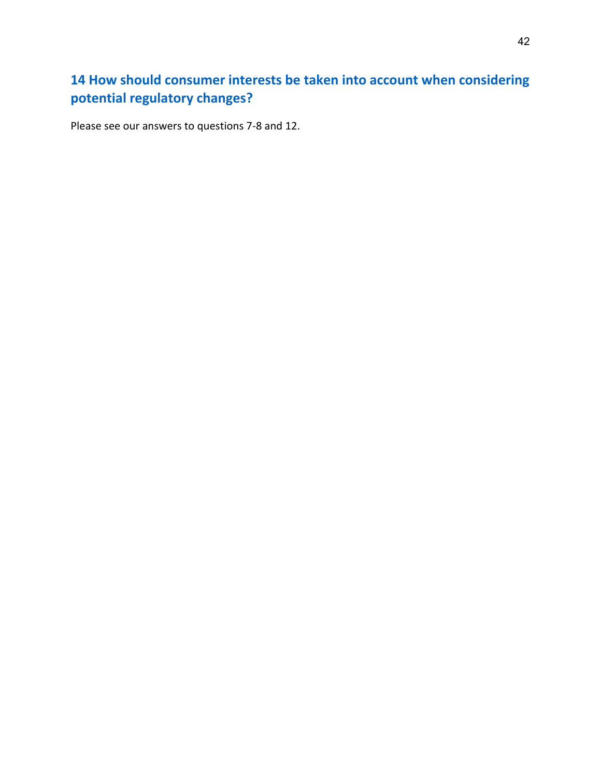# **14 How should consumer interests be taken into account when considering potential regulatory changes?**

Please see our answers to questions 7-8 and 12.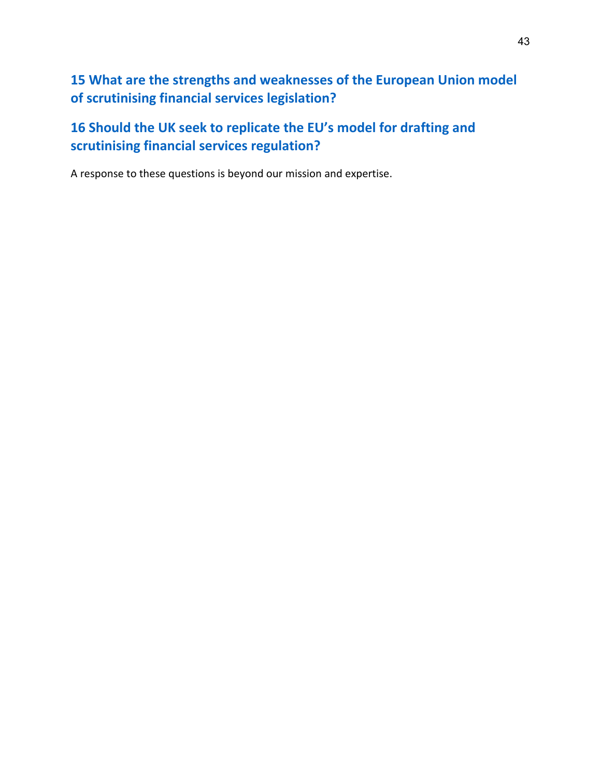**15 What are the strengths and weaknesses of the European Union model of scrutinising financial services legislation?**

**16 Should the UK seek to replicate the EU's model for drafting and scrutinising financial services regulation?**

A response to these questions is beyond our mission and expertise.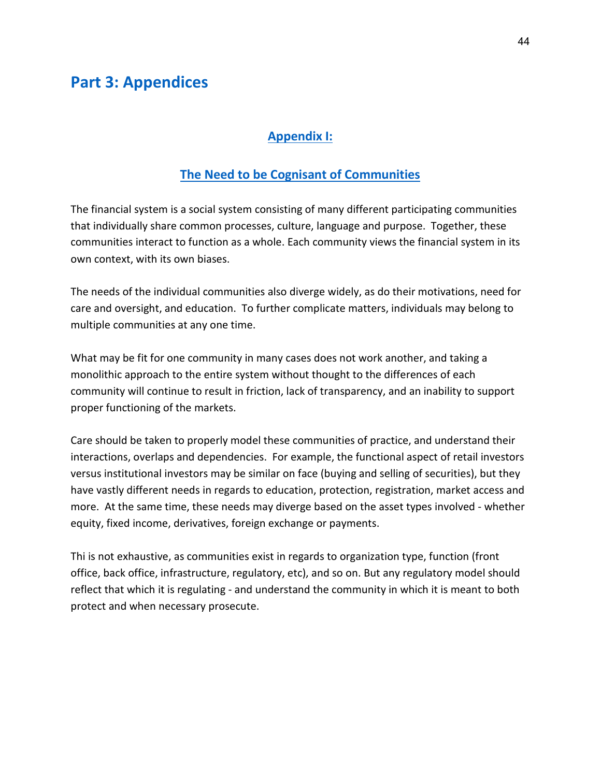## **Part 3: Appendices**

### **Appendix I:**

### **The Need to be Cognisant of Communities**

The financial system is a social system consisting of many different participating communities that individually share common processes, culture, language and purpose. Together, these communities interact to function as a whole. Each community views the financial system in its own context, with its own biases.

The needs of the individual communities also diverge widely, as do their motivations, need for care and oversight, and education. To further complicate matters, individuals may belong to multiple communities at any one time.

What may be fit for one community in many cases does not work another, and taking a monolithic approach to the entire system without thought to the differences of each community will continue to result in friction, lack of transparency, and an inability to support proper functioning of the markets.

Care should be taken to properly model these communities of practice, and understand their interactions, overlaps and dependencies. For example, the functional aspect of retail investors versus institutional investors may be similar on face (buying and selling of securities), but they have vastly different needs in regards to education, protection, registration, market access and more. At the same time, these needs may diverge based on the asset types involved - whether equity, fixed income, derivatives, foreign exchange or payments.

Thi is not exhaustive, as communities exist in regards to organization type, function (front office, back office, infrastructure, regulatory, etc), and so on. But any regulatory model should reflect that which it is regulating - and understand the community in which it is meant to both protect and when necessary prosecute.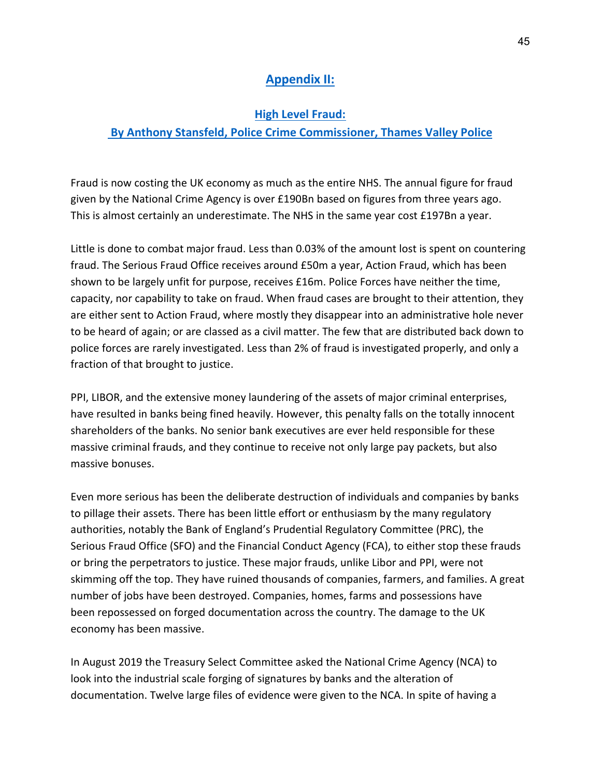## **Appendix II:**

#### **High Level Fraud:**

### **By Anthony Stansfeld, Police Crime Commissioner, Thames Valley Police**

Fraud is now costing the UK economy as much as the entire NHS. The annual figure for fraud given by the National Crime Agency is over £190Bn based on figures from three years ago. This is almost certainly an underestimate. The NHS in the same year cost £197Bn a year.

Little is done to combat major fraud. Less than 0.03% of the amount lost is spent on countering fraud. The Serious Fraud Office receives around £50m a year, Action Fraud, which has been shown to be largely unfit for purpose, receives £16m. Police Forces have neither the time, capacity, nor capability to take on fraud. When fraud cases are brought to their attention, they are either sent to Action Fraud, where mostly they disappear into an administrative hole never to be heard of again; or are classed as a civil matter. The few that are distributed back down to police forces are rarely investigated. Less than 2% of fraud is investigated properly, and only a fraction of that brought to justice.

PPI, LIBOR, and the extensive money laundering of the assets of major criminal enterprises, have resulted in banks being fined heavily. However, this penalty falls on the totally innocent shareholders of the banks. No senior bank executives are ever held responsible for these massive criminal frauds, and they continue to receive not only large pay packets, but also massive bonuses.

Even more serious has been the deliberate destruction of individuals and companies by banks to pillage their assets. There has been little effort or enthusiasm by the many regulatory authorities, notably the Bank of England's Prudential Regulatory Committee (PRC), the Serious Fraud Office (SFO) and the Financial Conduct Agency (FCA), to either stop these frauds or bring the perpetrators to justice. These major frauds, unlike Libor and PPI, were not skimming off the top. They have ruined thousands of companies, farmers, and families. A great number of jobs have been destroyed. Companies, homes, farms and possessions have been repossessed on forged documentation across the country. The damage to the UK economy has been massive.

In August 2019 the Treasury Select Committee asked the National Crime Agency (NCA) to look into the industrial scale forging of signatures by banks and the alteration of documentation. Twelve large files of evidence were given to the NCA. In spite of having a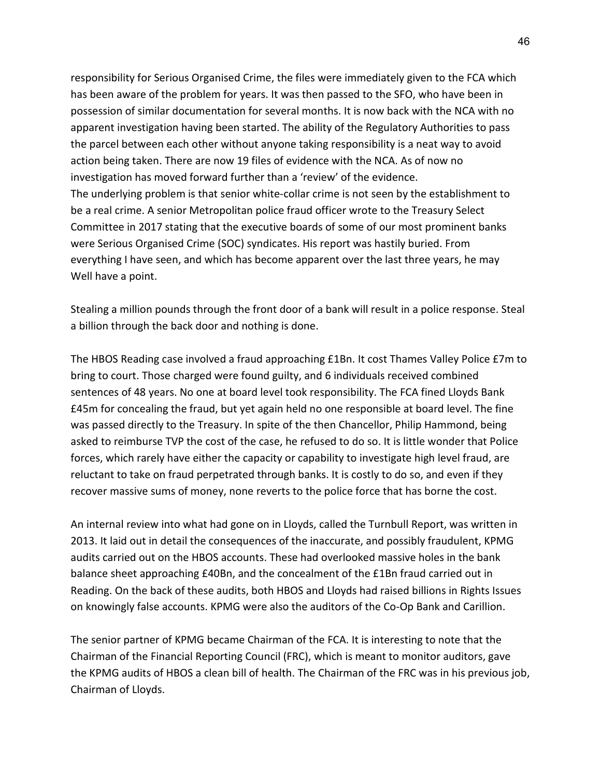responsibility for Serious Organised Crime, the files were immediately given to the FCA which has been aware of the problem for years. It was then passed to the SFO, who have been in possession of similar documentation for several months. It is now back with the NCA with no apparent investigation having been started. The ability of the Regulatory Authorities to pass the parcel between each other without anyone taking responsibility is a neat way to avoid action being taken. There are now 19 files of evidence with the NCA. As of now no investigation has moved forward further than a 'review' of the evidence. The underlying problem is that senior white-collar crime is not seen by the establishment to be a real crime. A senior Metropolitan police fraud officer wrote to the Treasury Select Committee in 2017 stating that the executive boards of some of our most prominent banks were Serious Organised Crime (SOC) syndicates. His report was hastily buried. From everything I have seen, and which has become apparent over the last three years, he may Well have a point.

Stealing a million pounds through the front door of a bank will result in a police response. Steal a billion through the back door and nothing is done.

The HBOS Reading case involved a fraud approaching £1Bn. It cost Thames Valley Police £7m to bring to court. Those charged were found guilty, and 6 individuals received combined sentences of 48 years. No one at board level took responsibility. The FCA fined Lloyds Bank £45m for concealing the fraud, but yet again held no one responsible at board level. The fine was passed directly to the Treasury. In spite of the then Chancellor, Philip Hammond, being asked to reimburse TVP the cost of the case, he refused to do so. It is little wonder that Police forces, which rarely have either the capacity or capability to investigate high level fraud, are reluctant to take on fraud perpetrated through banks. It is costly to do so, and even if they recover massive sums of money, none reverts to the police force that has borne the cost.

An internal review into what had gone on in Lloyds, called the Turnbull Report, was written in 2013. It laid out in detail the consequences of the inaccurate, and possibly fraudulent, KPMG audits carried out on the HBOS accounts. These had overlooked massive holes in the bank balance sheet approaching £40Bn, and the concealment of the £1Bn fraud carried out in Reading. On the back of these audits, both HBOS and Lloyds had raised billions in Rights Issues on knowingly false accounts. KPMG were also the auditors of the Co-Op Bank and Carillion.

The senior partner of KPMG became Chairman of the FCA. It is interesting to note that the Chairman of the Financial Reporting Council (FRC), which is meant to monitor auditors, gave the KPMG audits of HBOS a clean bill of health. The Chairman of the FRC was in his previous job, Chairman of Lloyds.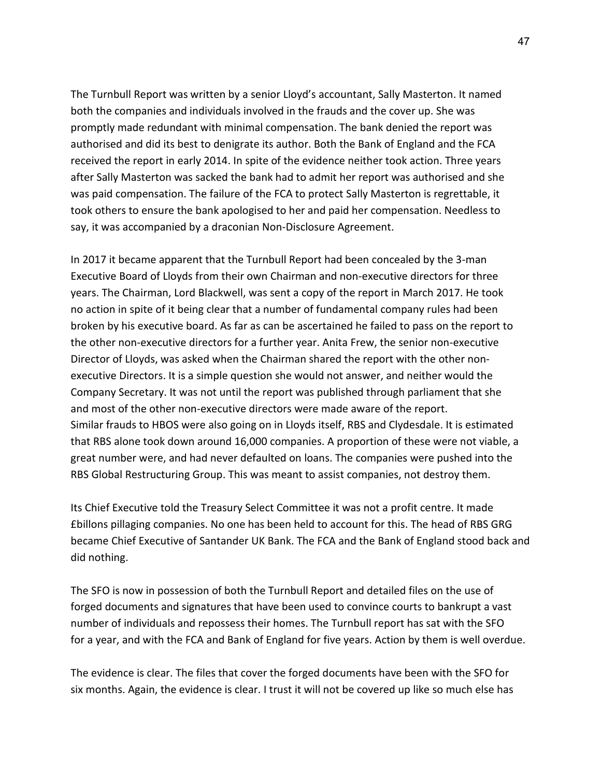The Turnbull Report was written by a senior Lloyd's accountant, Sally Masterton. It named both the companies and individuals involved in the frauds and the cover up. She was promptly made redundant with minimal compensation. The bank denied the report was authorised and did its best to denigrate its author. Both the Bank of England and the FCA received the report in early 2014. In spite of the evidence neither took action. Three years after Sally Masterton was sacked the bank had to admit her report was authorised and she was paid compensation. The failure of the FCA to protect Sally Masterton is regrettable, it took others to ensure the bank apologised to her and paid her compensation. Needless to say, it was accompanied by a draconian Non-Disclosure Agreement.

In 2017 it became apparent that the Turnbull Report had been concealed by the 3-man Executive Board of Lloyds from their own Chairman and non-executive directors for three years. The Chairman, Lord Blackwell, was sent a copy of the report in March 2017. He took no action in spite of it being clear that a number of fundamental company rules had been broken by his executive board. As far as can be ascertained he failed to pass on the report to the other non-executive directors for a further year. Anita Frew, the senior non-executive Director of Lloyds, was asked when the Chairman shared the report with the other nonexecutive Directors. It is a simple question she would not answer, and neither would the Company Secretary. It was not until the report was published through parliament that she and most of the other non-executive directors were made aware of the report. Similar frauds to HBOS were also going on in Lloyds itself, RBS and Clydesdale. It is estimated that RBS alone took down around 16,000 companies. A proportion of these were not viable, a great number were, and had never defaulted on loans. The companies were pushed into the RBS Global Restructuring Group. This was meant to assist companies, not destroy them.

Its Chief Executive told the Treasury Select Committee it was not a profit centre. It made £billons pillaging companies. No one has been held to account for this. The head of RBS GRG became Chief Executive of Santander UK Bank. The FCA and the Bank of England stood back and did nothing.

The SFO is now in possession of both the Turnbull Report and detailed files on the use of forged documents and signatures that have been used to convince courts to bankrupt a vast number of individuals and repossess their homes. The Turnbull report has sat with the SFO for a year, and with the FCA and Bank of England for five years. Action by them is well overdue.

The evidence is clear. The files that cover the forged documents have been with the SFO for six months. Again, the evidence is clear. I trust it will not be covered up like so much else has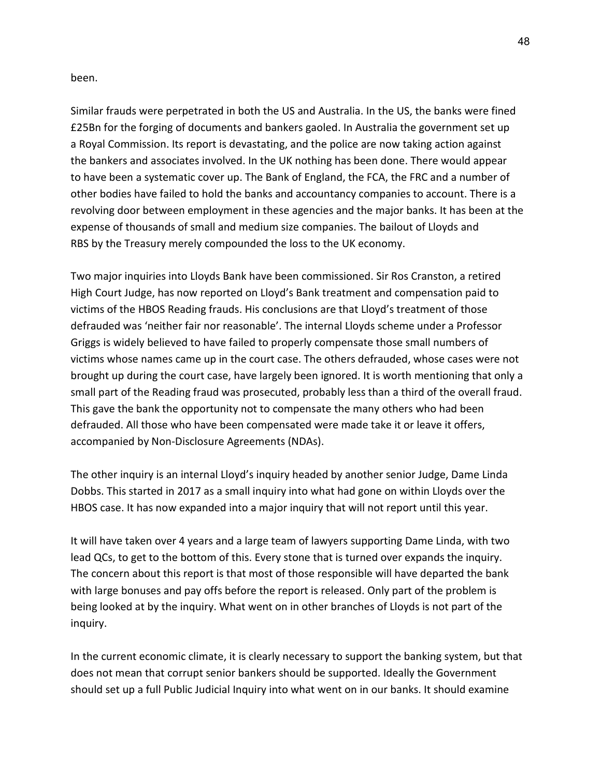been.

Similar frauds were perpetrated in both the US and Australia. In the US, the banks were fined £25Bn for the forging of documents and bankers gaoled. In Australia the government set up a Royal Commission. Its report is devastating, and the police are now taking action against the bankers and associates involved. In the UK nothing has been done. There would appear to have been a systematic cover up. The Bank of England, the FCA, the FRC and a number of other bodies have failed to hold the banks and accountancy companies to account. There is a revolving door between employment in these agencies and the major banks. It has been at the expense of thousands of small and medium size companies. The bailout of Lloyds and RBS by the Treasury merely compounded the loss to the UK economy.

Two major inquiries into Lloyds Bank have been commissioned. Sir Ros Cranston, a retired High Court Judge, has now reported on Lloyd's Bank treatment and compensation paid to victims of the HBOS Reading frauds. His conclusions are that Lloyd's treatment of those defrauded was 'neither fair nor reasonable'. The internal Lloyds scheme under a Professor Griggs is widely believed to have failed to properly compensate those small numbers of victims whose names came up in the court case. The others defrauded, whose cases were not brought up during the court case, have largely been ignored. It is worth mentioning that only a small part of the Reading fraud was prosecuted, probably less than a third of the overall fraud. This gave the bank the opportunity not to compensate the many others who had been defrauded. All those who have been compensated were made take it or leave it offers, accompanied by Non-Disclosure Agreements (NDAs).

The other inquiry is an internal Lloyd's inquiry headed by another senior Judge, Dame Linda Dobbs. This started in 2017 as a small inquiry into what had gone on within Lloyds over the HBOS case. It has now expanded into a major inquiry that will not report until this year.

It will have taken over 4 years and a large team of lawyers supporting Dame Linda, with two lead QCs, to get to the bottom of this. Every stone that is turned over expands the inquiry. The concern about this report is that most of those responsible will have departed the bank with large bonuses and pay offs before the report is released. Only part of the problem is being looked at by the inquiry. What went on in other branches of Lloyds is not part of the inquiry.

In the current economic climate, it is clearly necessary to support the banking system, but that does not mean that corrupt senior bankers should be supported. Ideally the Government should set up a full Public Judicial Inquiry into what went on in our banks. It should examine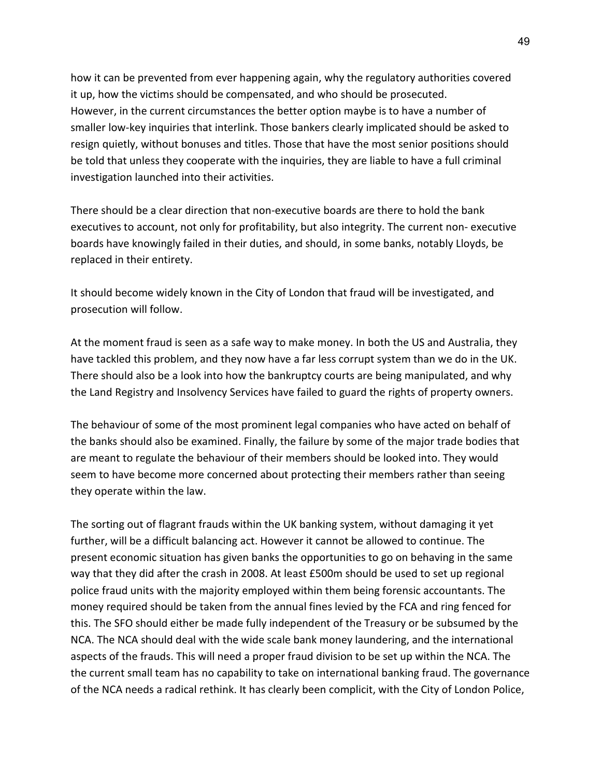how it can be prevented from ever happening again, why the regulatory authorities covered it up, how the victims should be compensated, and who should be prosecuted. However, in the current circumstances the better option maybe is to have a number of smaller low-key inquiries that interlink. Those bankers clearly implicated should be asked to resign quietly, without bonuses and titles. Those that have the most senior positions should be told that unless they cooperate with the inquiries, they are liable to have a full criminal investigation launched into their activities.

There should be a clear direction that non-executive boards are there to hold the bank executives to account, not only for profitability, but also integrity. The current non- executive boards have knowingly failed in their duties, and should, in some banks, notably Lloyds, be replaced in their entirety.

It should become widely known in the City of London that fraud will be investigated, and prosecution will follow.

At the moment fraud is seen as a safe way to make money. In both the US and Australia, they have tackled this problem, and they now have a far less corrupt system than we do in the UK. There should also be a look into how the bankruptcy courts are being manipulated, and why the Land Registry and Insolvency Services have failed to guard the rights of property owners.

The behaviour of some of the most prominent legal companies who have acted on behalf of the banks should also be examined. Finally, the failure by some of the major trade bodies that are meant to regulate the behaviour of their members should be looked into. They would seem to have become more concerned about protecting their members rather than seeing they operate within the law.

The sorting out of flagrant frauds within the UK banking system, without damaging it yet further, will be a difficult balancing act. However it cannot be allowed to continue. The present economic situation has given banks the opportunities to go on behaving in the same way that they did after the crash in 2008. At least £500m should be used to set up regional police fraud units with the majority employed within them being forensic accountants. The money required should be taken from the annual fines levied by the FCA and ring fenced for this. The SFO should either be made fully independent of the Treasury or be subsumed by the NCA. The NCA should deal with the wide scale bank money laundering, and the international aspects of the frauds. This will need a proper fraud division to be set up within the NCA. The the current small team has no capability to take on international banking fraud. The governance of the NCA needs a radical rethink. It has clearly been complicit, with the City of London Police,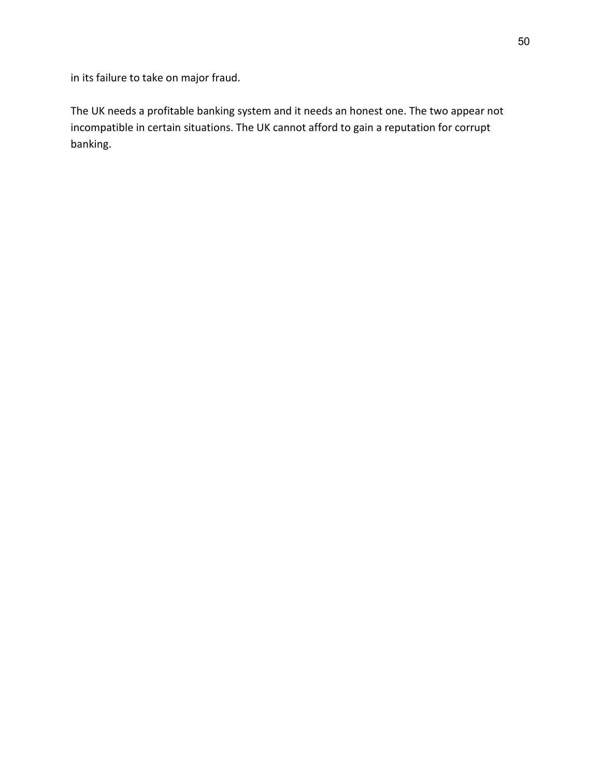in its failure to take on major fraud.

The UK needs a profitable banking system and it needs an honest one. The two appear not incompatible in certain situations. The UK cannot afford to gain a reputation for corrupt banking.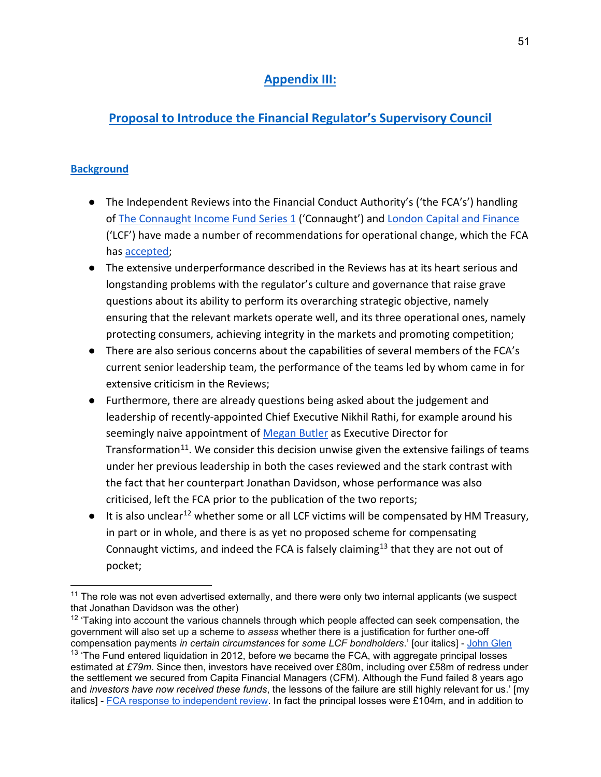## **Appendix III:**

## **Proposal to Introduce the Financial Regulator's Supervisory Council**

### **Background**

- The Independent Reviews into the Financial Conduct Authority's ('the FCA's') handling o[f The Connaught Income Fund Series 1](https://www.fca.org.uk/publication/corporate/connaught-independent-review.pdf) ('Connaught') and [London Capital and Finance](https://assets.publishing.service.gov.uk/government/uploads/system/uploads/attachment_data/file/945247/Gloster_Report_FINAL.pdf) ('LCF') have made a number of recommendations for operational change, which the FCA has [accepted;](https://www.fca.org.uk/news/press-releases/fca-responds-independent-reviews-london-capital-finance-connaught)
- The extensive underperformance described in the Reviews has at its heart serious and longstanding problems with the regulator's culture and governance that raise grave questions about its ability to perform its overarching strategic objective, namely ensuring that the relevant markets operate well, and its three operational ones, namely protecting consumers, achieving integrity in the markets and promoting competition;
- There are also serious concerns about the capabilities of several members of the FCA's current senior leadership team, the performance of the teams led by whom came in for extensive criticism in the Reviews;
- Furthermore, there are already questions being asked about the judgement and leadership of recently-appointed Chief Executive Nikhil Rathi, for example around his seemingly naive appointment of [Megan Butler](https://uk.finance.yahoo.com/news/broom-uk-financial-watchdog-starts-115136448.html) as Executive Director for Transformation<sup>[11](#page-50-0)</sup>. We consider this decision unwise given the extensive failings of teams under her previous leadership in both the cases reviewed and the stark contrast with the fact that her counterpart Jonathan Davidson, whose performance was also criticised, left the FCA prior to the publication of the two reports;
- $\bullet$  It is also unclear<sup>[12](#page-50-1)</sup> whether some or all LCF victims will be compensated by HM Treasury, in part or in whole, and there is as yet no proposed scheme for compensating Connaught victims, and indeed the FCA is falsely claiming<sup>[13](#page-50-2)</sup> that they are not out of pocket;

<span id="page-50-0"></span> $11$  The role was not even advertised externally, and there were only two internal applicants (we suspect that Jonathan Davidson was the other)

<span id="page-50-1"></span> $12$  'Taking into account the various channels through which people affected can seek compensation, the government will also set up a scheme to *assess* whether there is a justification for further one-off compensation payments *in certain circumstances* for *some LCF bondholders*.' [our italics] - [John Glen](https://www.gov.uk/government/news/independent-investigation-into-the-fcas-regulation-and-supervision-of-london-capital-finance-published)

<span id="page-50-2"></span> $13$  'The Fund entered liquidation in 2012, before we became the FCA, with aggregate principal losses estimated at *£79m*. Since then, investors have received over £80m, including over £58m of redress under the settlement we secured from Capita Financial Managers (CFM). Although the Fund failed 8 years ago and *investors have now received these funds*, the lessons of the failure are still highly relevant for us.' [my italics] - [FCA response to independent review.](https://www.fca.org.uk/publication/corporate/connaught-independent-review-response.pdf) In fact the principal losses were £104m, and in addition to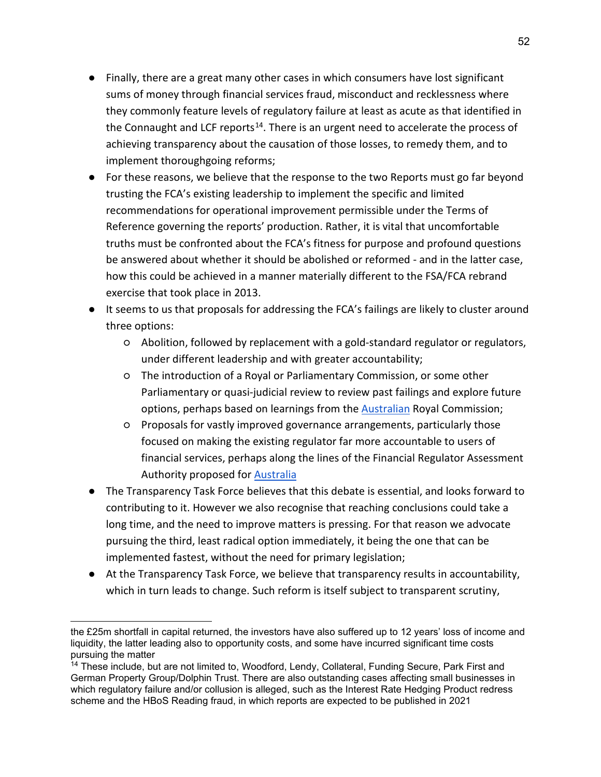- Finally, there are a great many other cases in which consumers have lost significant sums of money through financial services fraud, misconduct and recklessness where they commonly feature levels of regulatory failure at least as acute as that identified in the Connaught and LCF reports<sup>[14](#page-51-0)</sup>. There is an urgent need to accelerate the process of achieving transparency about the causation of those losses, to remedy them, and to implement thoroughgoing reforms;
- For these reasons, we believe that the response to the two Reports must go far beyond trusting the FCA's existing leadership to implement the specific and limited recommendations for operational improvement permissible under the Terms of Reference governing the reports' production. Rather, it is vital that uncomfortable truths must be confronted about the FCA's fitness for purpose and profound questions be answered about whether it should be abolished or reformed - and in the latter case, how this could be achieved in a manner materially different to the FSA/FCA rebrand exercise that took place in 2013.
- It seems to us that proposals for addressing the FCA's failings are likely to cluster around three options:
	- Abolition, followed by replacement with a gold-standard regulator or regulators, under different leadership and with greater accountability;
	- The introduction of a Royal or Parliamentary Commission, or some other Parliamentary or quasi-judicial review to review past failings and explore future options, perhaps based on learnings from the [Australian](https://financialservices.royalcommission.gov.au/Pages/default.html) Royal Commission;
	- Proposals for vastly improved governance arrangements, particularly those focused on making the existing regulator far more accountable to users of financial services, perhaps along the lines of the Financial Regulator Assessment Authority proposed for [Australia](https://treasury.gov.au/consultation/c2020-48919a)
- The Transparency Task Force believes that this debate is essential, and looks forward to contributing to it. However we also recognise that reaching conclusions could take a long time, and the need to improve matters is pressing. For that reason we advocate pursuing the third, least radical option immediately, it being the one that can be implemented fastest, without the need for primary legislation;
- At the Transparency Task Force, we believe that transparency results in accountability, which in turn leads to change. Such reform is itself subject to transparent scrutiny,

the £25m shortfall in capital returned, the investors have also suffered up to 12 years' loss of income and liquidity, the latter leading also to opportunity costs, and some have incurred significant time costs pursuing the matter

<span id="page-51-0"></span><sup>&</sup>lt;sup>14</sup> These include, but are not limited to, Woodford, Lendy, Collateral, Funding Secure, Park First and German Property Group/Dolphin Trust. There are also outstanding cases affecting small businesses in which regulatory failure and/or collusion is alleged, such as the Interest Rate Hedging Product redress scheme and the HBoS Reading fraud, in which reports are expected to be published in 2021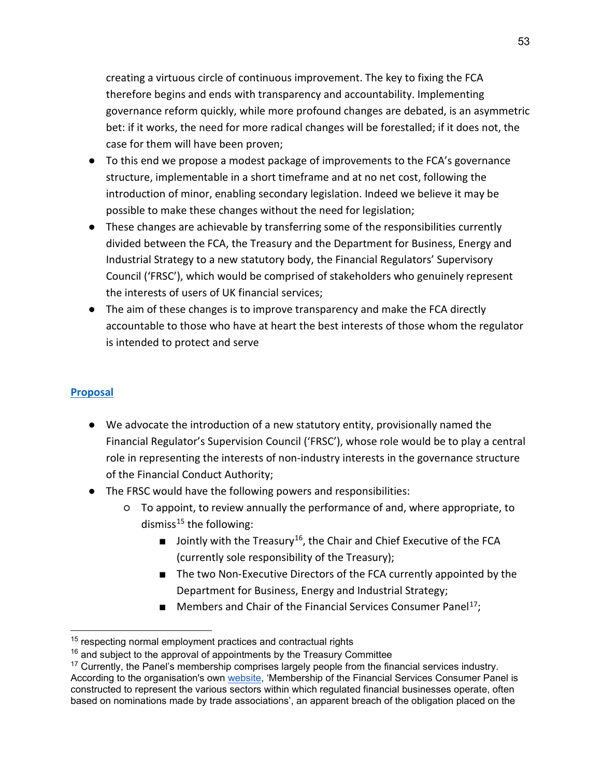creating a virtuous circle of continuous improvement. The key to fixing the FCA therefore begins and ends with transparency and accountability. Implementing governance reform quickly, while more profound changes are debated, is an asymmetric bet: if it works, the need for more radical changes will be forestalled; if it does not, the case for them will have been proven;

- To this end we propose a modest package of improvements to the FCA's governance structure, implementable in a short timeframe and at no net cost, following the introduction of minor, enabling secondary legislation. Indeed we believe it may be possible to make these changes without the need for legislation;
- These changes are achievable by transferring some of the responsibilities currently divided between the FCA, the Treasury and the Department for Business, Energy and Industrial Strategy to a new statutory body, the Financial Regulators' Supervisory Council ('FRSC'), which would be comprised of stakeholders who genuinely represent the interests of users of UK financial services;
- The aim of these changes is to improve transparency and make the FCA directly accountable to those who have at heart the best interests of those whom the regulator is intended to protect and serve

#### **Proposal**

- We advocate the introduction of a new statutory entity, provisionally named the Financial Regulator's Supervision Council ('FRSC'), whose role would be to play a central role in representing the interests of non-industry interests in the governance structure of the Financial Conduct Authority;
- The FRSC would have the following powers and responsibilities:
	- To appoint, to review annually the performance of and, where appropriate, to dismiss<sup>[15](#page-52-0)</sup> the following:
		- **■** Jointly with the Treasury<sup>16</sup>, the Chair and Chief Executive of the FCA (currently sole responsibility of the Treasury);
		- The two Non-Executive Directors of the FCA currently appointed by the Department for Business, Energy and Industrial Strategy;
		- Members and Chair of the Financial Services Consumer Panel<sup>17</sup>;

<span id="page-52-0"></span><sup>&</sup>lt;sup>15</sup> respecting normal employment practices and contractual rights

<span id="page-52-1"></span> $16$  and subject to the approval of appointments by the Treasury Committee

<span id="page-52-2"></span> $17$  Currently, the Panel's membership comprises largely people from the financial services industry. According to the organisation's own [website,](https://www.fs-cp.org.uk/who-is-on-the-panel) 'Membership of the Financial Services Consumer Panel is constructed to represent the various sectors within which regulated financial businesses operate, often based on nominations made by trade associations', an apparent breach of the obligation placed on the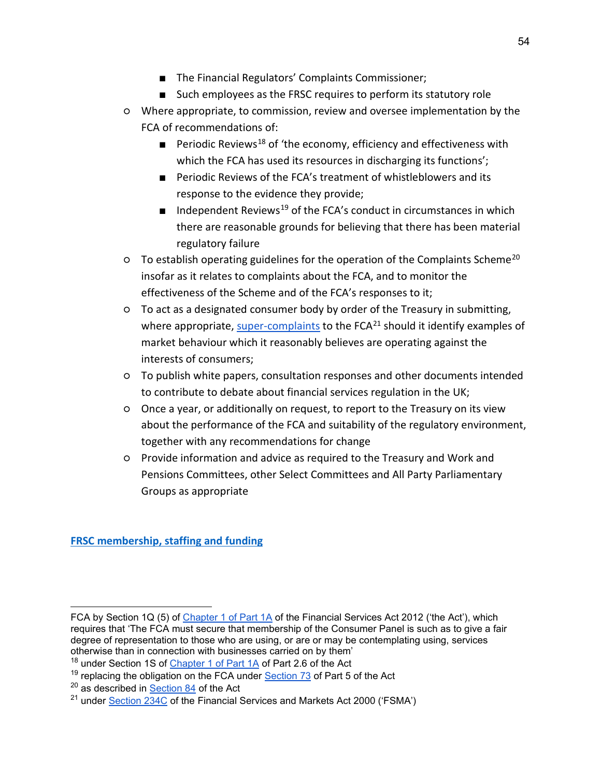- The Financial Regulators' Complaints Commissioner;
- Such employees as the FRSC requires to perform its statutory role
- Where appropriate, to commission, review and oversee implementation by the FCA of recommendations of:
	- **Periodic Reviews**<sup>[18](#page-53-0)</sup> of 'the economy, efficiency and effectiveness with which the FCA has used its resources in discharging its functions';
	- Periodic Reviews of the FCA's treatment of whistleblowers and its response to the evidence they provide;
	- $\blacksquare$  Independent Reviews<sup>[19](#page-53-1)</sup> of the FCA's conduct in circumstances in which there are reasonable grounds for believing that there has been material regulatory failure
- To establish operating guidelines for the operation of the Complaints Scheme[20](#page-53-2) insofar as it relates to complaints about the FCA, and to monitor the effectiveness of the Scheme and of the FCA's responses to it;
- To act as a designated consumer body by order of the Treasury in submitting, where appropriate, [super-complaints](https://www.fca.org.uk/publication/finalised-guidance/fg13-01-designated-consumer-bodies.pdf) to the  $FCA<sup>21</sup>$  $FCA<sup>21</sup>$  $FCA<sup>21</sup>$  should it identify examples of market behaviour which it reasonably believes are operating against the interests of consumers;
- To publish white papers, consultation responses and other documents intended to contribute to debate about financial services regulation in the UK;
- Once a year, or additionally on request, to report to the Treasury on its view about the performance of the FCA and suitability of the regulatory environment, together with any recommendations for change
- Provide information and advice as required to the Treasury and Work and Pensions Committees, other Select Committees and All Party Parliamentary Groups as appropriate

**FRSC membership, staffing and funding**

FCA by Section 1Q (5) of [Chapter 1 of Part 1A](https://www.legislation.gov.uk/ukpga/2012/21/section/6/enacted) of the Financial Services Act 2012 ('the Act'), which requires that 'The FCA must secure that membership of the Consumer Panel is such as to give a fair degree of representation to those who are using, or are or may be contemplating using, services otherwise than in connection with businesses carried on by them'

<span id="page-53-0"></span><sup>&</sup>lt;sup>18</sup> under Section 1S of [Chapter 1 of Part 1A](https://www.legislation.gov.uk/ukpga/2012/21/section/6/enacted) of Part 2.6 of the Act

<span id="page-53-1"></span><sup>&</sup>lt;sup>19</sup> replacing the obligation on the FCA under [Section 73](https://www.legislation.gov.uk/ukpga/2012/21/section/73/enacted) of Part 5 of the Act

<span id="page-53-2"></span> $20$  as described in [Section 84](https://www.legislation.gov.uk/ukpga/2012/21/section/84/enacted) of the Act

<span id="page-53-3"></span> $^{21}$  under [Section 234C](https://www.legislation.gov.uk/ukpga/2000/8/part/16A/crossheading/supercomplaints-and-references-to-fca) of the Financial Services and Markets Act 2000 ('FSMA')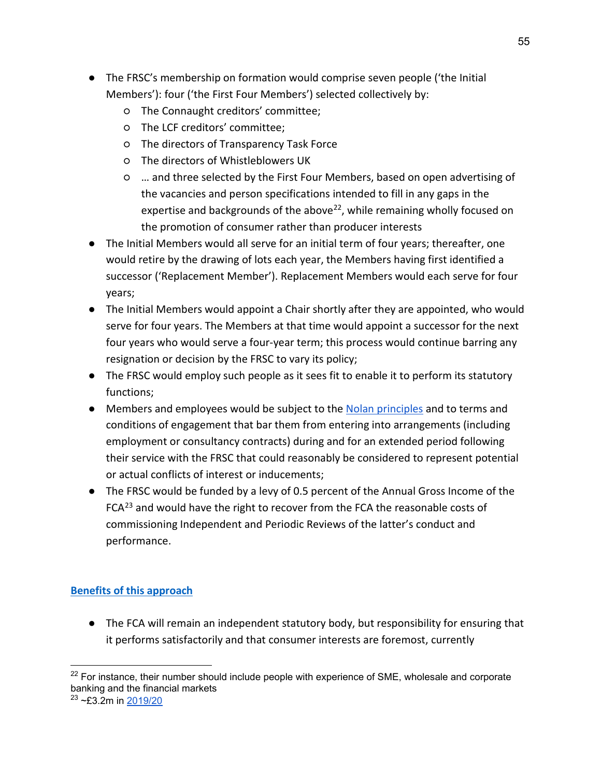- The FRSC's membership on formation would comprise seven people ('the Initial Members'): four ('the First Four Members') selected collectively by:
	- The Connaught creditors' committee;
	- The LCF creditors' committee;
	- The directors of Transparency Task Force
	- The directors of Whistleblowers UK
	- … and three selected by the First Four Members, based on open advertising of the vacancies and person specifications intended to fill in any gaps in the expertise and backgrounds of the above<sup>[22](#page-54-0)</sup>, while remaining wholly focused on the promotion of consumer rather than producer interests
- The Initial Members would all serve for an initial term of four years; thereafter, one would retire by the drawing of lots each year, the Members having first identified a successor ('Replacement Member'). Replacement Members would each serve for four years;
- The Initial Members would appoint a Chair shortly after they are appointed, who would serve for four years. The Members at that time would appoint a successor for the next four years who would serve a four-year term; this process would continue barring any resignation or decision by the FRSC to vary its policy;
- The FRSC would employ such people as it sees fit to enable it to perform its statutory functions;
- Members and employees would be subject to the [Nolan principles](https://www.gov.uk/government/publications/the-7-principles-of-public-life/the-7-principles-of-public-life--2) and to terms and conditions of engagement that bar them from entering into arrangements (including employment or consultancy contracts) during and for an extended period following their service with the FRSC that could reasonably be considered to represent potential or actual conflicts of interest or inducements;
- The FRSC would be funded by a levy of 0.5 percent of the Annual Gross Income of the  $FCA^{23}$  $FCA^{23}$  $FCA^{23}$  and would have the right to recover from the FCA the reasonable costs of commissioning Independent and Periodic Reviews of the latter's conduct and performance.

### **Benefits of this approach**

● The FCA will remain an independent statutory body, but responsibility for ensuring that it performs satisfactorily and that consumer interests are foremost, currently

<span id="page-54-1"></span><span id="page-54-0"></span> $22$  For instance, their number should include people with experience of SME, wholesale and corporate banking and the financial markets  $23 - 23.2$ m in [2019/20](https://www.fca.org.uk/annual-report-and-accounts-2019-20)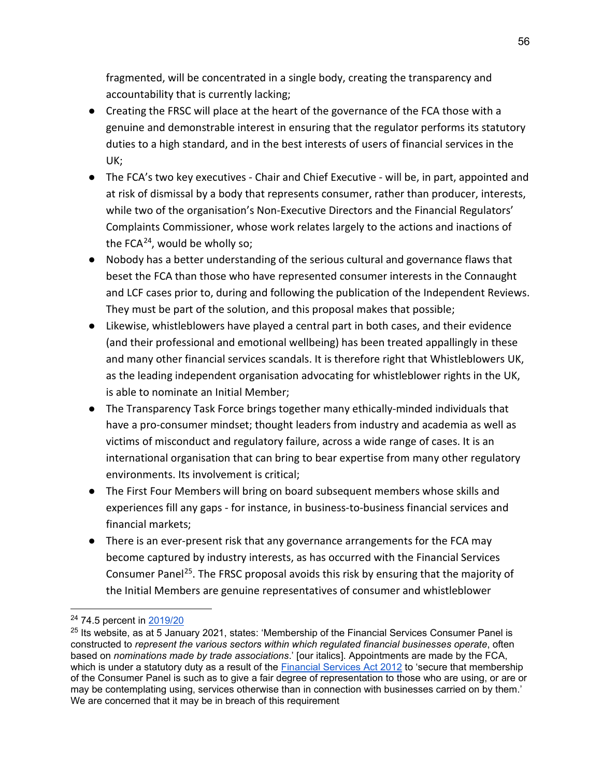fragmented, will be concentrated in a single body, creating the transparency and accountability that is currently lacking;

- Creating the FRSC will place at the heart of the governance of the FCA those with a genuine and demonstrable interest in ensuring that the regulator performs its statutory duties to a high standard, and in the best interests of users of financial services in the UK;
- The FCA's two key executives Chair and Chief Executive will be, in part, appointed and at risk of dismissal by a body that represents consumer, rather than producer, interests, while two of the organisation's Non-Executive Directors and the Financial Regulators' Complaints Commissioner, whose work relates largely to the actions and inactions of the FCA $^{24}$ , would be wholly so;
- Nobody has a better understanding of the serious cultural and governance flaws that beset the FCA than those who have represented consumer interests in the Connaught and LCF cases prior to, during and following the publication of the Independent Reviews. They must be part of the solution, and this proposal makes that possible;
- Likewise, whistleblowers have played a central part in both cases, and their evidence (and their professional and emotional wellbeing) has been treated appallingly in these and many other financial services scandals. It is therefore right that Whistleblowers UK, as the leading independent organisation advocating for whistleblower rights in the UK, is able to nominate an Initial Member;
- The Transparency Task Force brings together many ethically-minded individuals that have a pro-consumer mindset; thought leaders from industry and academia as well as victims of misconduct and regulatory failure, across a wide range of cases. It is an international organisation that can bring to bear expertise from many other regulatory environments. Its involvement is critical;
- The First Four Members will bring on board subsequent members whose skills and experiences fill any gaps - for instance, in business-to-business financial services and financial markets;
- There is an ever-present risk that any governance arrangements for the FCA may become captured by industry interests, as has occurred with the Financial Services Consumer Panel<sup>[25](#page-55-1)</sup>. The FRSC proposal avoids this risk by ensuring that the majority of the Initial Members are genuine representatives of consumer and whistleblower

<span id="page-55-0"></span><sup>&</sup>lt;sup>24</sup> 74.5 percent in [2019/20](https://frccommissioner.org.uk/wp-content/uploads/OCC-Annual-Report-2019-2020.pdf)

<span id="page-55-1"></span> $25$  Its website, as at 5 January 2021, states: 'Membership of the Financial Services Consumer Panel is constructed to *represent the various sectors within which regulated financial businesses operate*, often based on *nominations made by trade associations*.' [our italics]. Appointments are made by the FCA, which is under a statutory duty as a result of the [Financial Services Act 2012](https://www.legislation.gov.uk/ukpga/2012/21/section/6/enacted) to 'secure that membership of the Consumer Panel is such as to give a fair degree of representation to those who are using, or are or may be contemplating using, services otherwise than in connection with businesses carried on by them.' We are concerned that it may be in breach of this requirement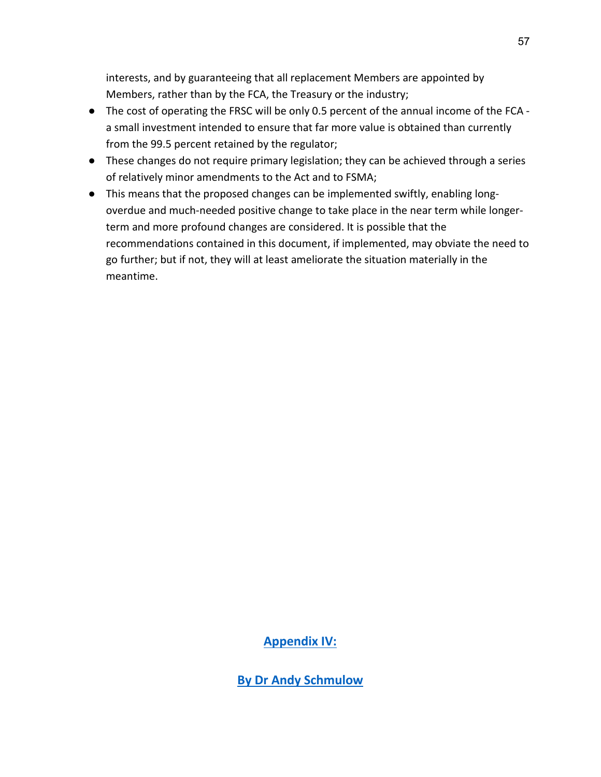interests, and by guaranteeing that all replacement Members are appointed by Members, rather than by the FCA, the Treasury or the industry;

- The cost of operating the FRSC will be only 0.5 percent of the annual income of the FCA a small investment intended to ensure that far more value is obtained than currently from the 99.5 percent retained by the regulator;
- These changes do not require primary legislation; they can be achieved through a series of relatively minor amendments to the Act and to FSMA;
- This means that the proposed changes can be implemented swiftly, enabling longoverdue and much-needed positive change to take place in the near term while longerterm and more profound changes are considered. It is possible that the recommendations contained in this document, if implemented, may obviate the need to go further; but if not, they will at least ameliorate the situation materially in the meantime.

**Appendix IV:** 

**By Dr Andy Schmulow**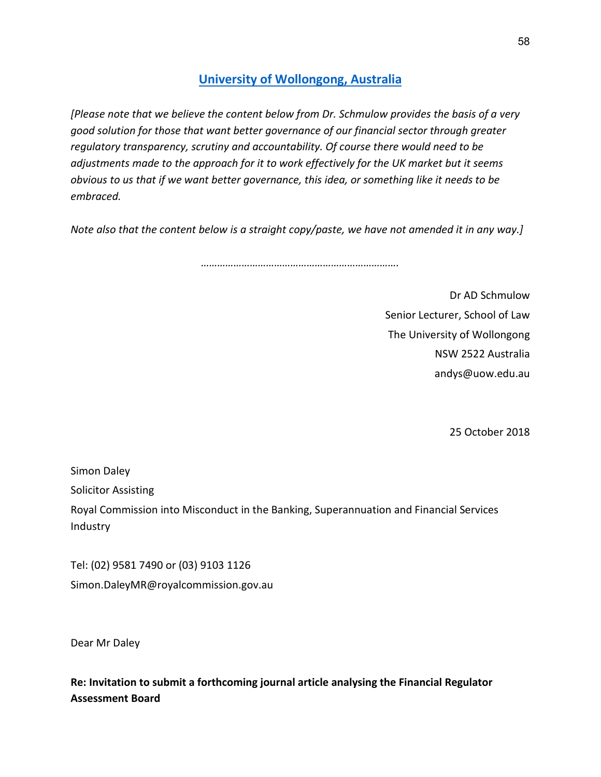## **University of Wollongong, Australia**

*[Please note that we believe the content below from Dr. Schmulow provides the basis of a very good solution for those that want better governance of our financial sector through greater regulatory transparency, scrutiny and accountability. Of course there would need to be adjustments made to the approach for it to work effectively for the UK market but it seems obvious to us that if we want better governance, this idea, or something like it needs to be embraced.*

*Note also that the content below is a straight copy/paste, we have not amended it in any way.]*

*……………………………………………………………….*

Dr AD Schmulow Senior Lecturer, School of Law The University of Wollongong NSW 2522 Australia andys@uow.edu.au

25 October 2018

Simon Daley

Solicitor Assisting

Royal Commission into Misconduct in the Banking, Superannuation and Financial Services Industry

Tel: (02) 9581 7490 or (03) 9103 1126 Simon.DaleyMR@royalcommission.gov.au

Dear Mr Daley

**Re: Invitation to submit a forthcoming journal article analysing the Financial Regulator Assessment Board**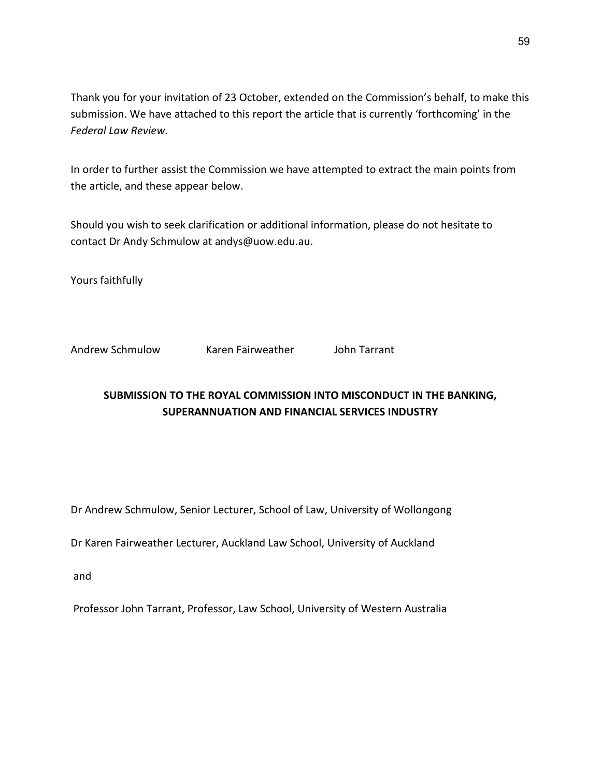Thank you for your invitation of 23 October, extended on the Commission's behalf, to make this submission. We have attached to this report the article that is currently 'forthcoming' in the *Federal Law Review*.

In order to further assist the Commission we have attempted to extract the main points from the article, and these appear below.

Should you wish to seek clarification or additional information, please do not hesitate to contact Dr Andy Schmulow at andys@uow.edu.au.

Yours faithfully

Andrew Schmulow Karen Fairweather John Tarrant

## **SUBMISSION TO THE ROYAL COMMISSION INTO MISCONDUCT IN THE BANKING, SUPERANNUATION AND FINANCIAL SERVICES INDUSTRY**

Dr Andrew Schmulow, Senior Lecturer, School of Law, University of Wollongong

Dr Karen Fairweather Lecturer, Auckland Law School, University of Auckland

and

Professor John Tarrant, Professor, Law School, University of Western Australia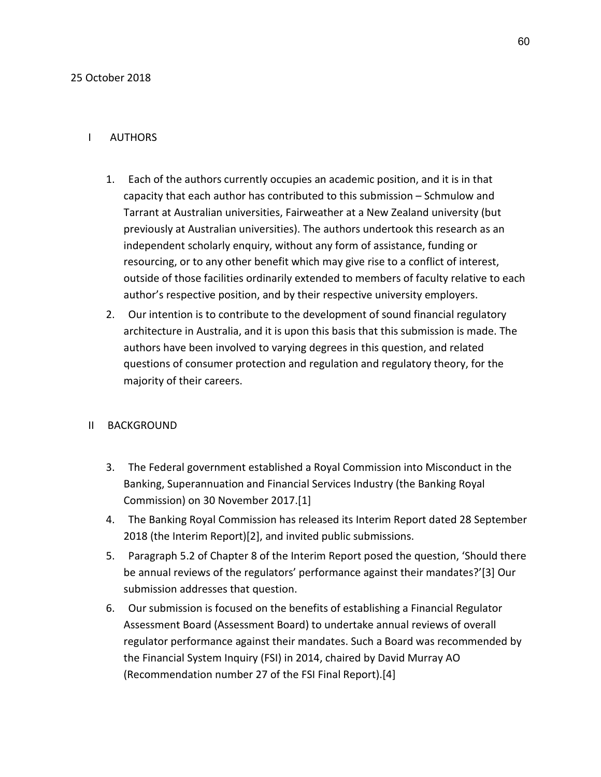### I AUTHORS

- 1. Each of the authors currently occupies an academic position, and it is in that capacity that each author has contributed to this submission – Schmulow and Tarrant at Australian universities, Fairweather at a New Zealand university (but previously at Australian universities). The authors undertook this research as an independent scholarly enquiry, without any form of assistance, funding or resourcing, or to any other benefit which may give rise to a conflict of interest, outside of those facilities ordinarily extended to members of faculty relative to each author's respective position, and by their respective university employers.
- 2. Our intention is to contribute to the development of sound financial regulatory architecture in Australia, and it is upon this basis that this submission is made. The authors have been involved to varying degrees in this question, and related questions of consumer protection and regulation and regulatory theory, for the majority of their careers.

### II BACKGROUND

- 3. The Federal government established a Royal Commission into Misconduct in the Banking, Superannuation and Financial Services Industry (the Banking Royal Commission) on 30 November 2017.[1]
- 4. The Banking Royal Commission has released its Interim Report dated 28 September 2018 (the Interim Report)[2], and invited public submissions.
- 5. Paragraph 5.2 of Chapter 8 of the Interim Report posed the question, 'Should there be annual reviews of the regulators' performance against their mandates?'[3] Our submission addresses that question.
- 6. Our submission is focused on the benefits of establishing a Financial Regulator Assessment Board (Assessment Board) to undertake annual reviews of overall regulator performance against their mandates. Such a Board was recommended by the Financial System Inquiry (FSI) in 2014, chaired by David Murray AO (Recommendation number 27 of the FSI Final Report).[4]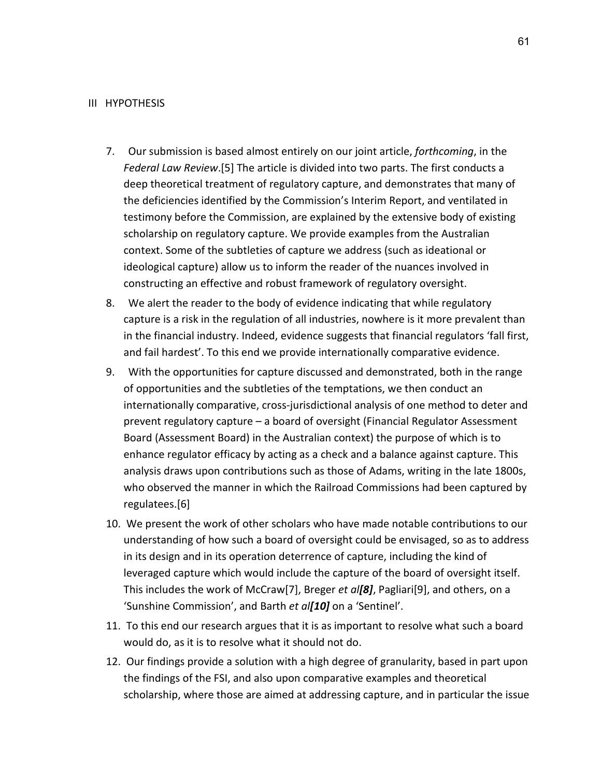#### III HYPOTHESIS

- 7. Our submission is based almost entirely on our joint article, *forthcoming*, in the *Federal Law Review*.[5] The article is divided into two parts. The first conducts a deep theoretical treatment of regulatory capture, and demonstrates that many of the deficiencies identified by the Commission's Interim Report, and ventilated in testimony before the Commission, are explained by the extensive body of existing scholarship on regulatory capture. We provide examples from the Australian context. Some of the subtleties of capture we address (such as ideational or ideological capture) allow us to inform the reader of the nuances involved in constructing an effective and robust framework of regulatory oversight.
- 8. We alert the reader to the body of evidence indicating that while regulatory capture is a risk in the regulation of all industries, nowhere is it more prevalent than in the financial industry. Indeed, evidence suggests that financial regulators 'fall first, and fail hardest'. To this end we provide internationally comparative evidence.
- 9. With the opportunities for capture discussed and demonstrated, both in the range of opportunities and the subtleties of the temptations, we then conduct an internationally comparative, cross-jurisdictional analysis of one method to deter and prevent regulatory capture – a board of oversight (Financial Regulator Assessment Board (Assessment Board) in the Australian context) the purpose of which is to enhance regulator efficacy by acting as a check and a balance against capture. This analysis draws upon contributions such as those of Adams, writing in the late 1800s, who observed the manner in which the Railroad Commissions had been captured by regulatees.[6]
- 10. We present the work of other scholars who have made notable contributions to our understanding of how such a board of oversight could be envisaged, so as to address in its design and in its operation deterrence of capture, including the kind of leveraged capture which would include the capture of the board of oversight itself. This includes the work of McCraw[7], Breger *et al[8]*, Pagliari[9], and others, on a 'Sunshine Commission', and Barth *et al[10]* on a 'Sentinel'.
- 11. To this end our research argues that it is as important to resolve what such a board would do, as it is to resolve what it should not do.
- 12. Our findings provide a solution with a high degree of granularity, based in part upon the findings of the FSI, and also upon comparative examples and theoretical scholarship, where those are aimed at addressing capture, and in particular the issue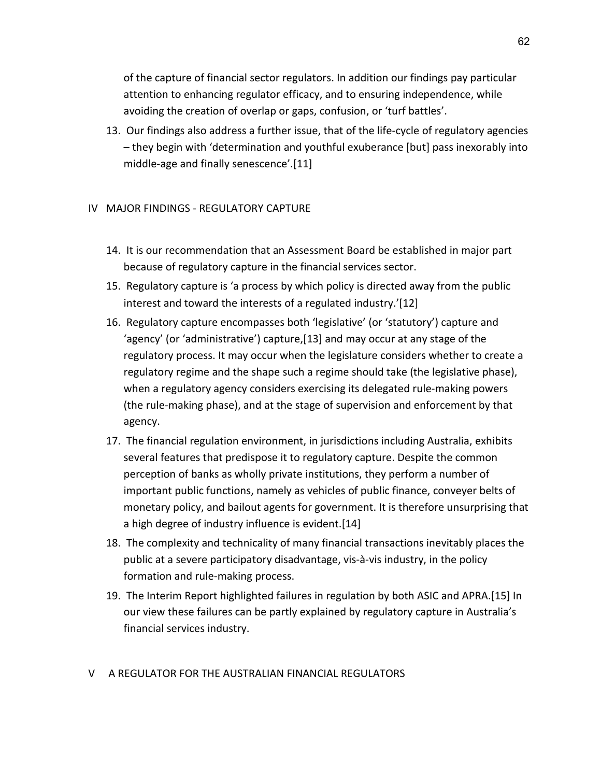of the capture of financial sector regulators. In addition our findings pay particular attention to enhancing regulator efficacy, and to ensuring independence, while avoiding the creation of overlap or gaps, confusion, or 'turf battles'.

13. Our findings also address a further issue, that of the life-cycle of regulatory agencies – they begin with 'determination and youthful exuberance [but] pass inexorably into middle-age and finally senescence'.[11]

### IV MAJOR FINDINGS - REGULATORY CAPTURE

- 14. It is our recommendation that an Assessment Board be established in major part because of regulatory capture in the financial services sector.
- 15. Regulatory capture is 'a process by which policy is directed away from the public interest and toward the interests of a regulated industry.'[12]
- 16. Regulatory capture encompasses both 'legislative' (or 'statutory') capture and 'agency' (or 'administrative') capture,[13] and may occur at any stage of the regulatory process. It may occur when the legislature considers whether to create a regulatory regime and the shape such a regime should take (the legislative phase), when a regulatory agency considers exercising its delegated rule-making powers (the rule-making phase), and at the stage of supervision and enforcement by that agency.
- 17. The financial regulation environment, in jurisdictions including Australia, exhibits several features that predispose it to regulatory capture. Despite the common perception of banks as wholly private institutions, they perform a number of important public functions, namely as vehicles of public finance, conveyer belts of monetary policy, and bailout agents for government. It is therefore unsurprising that a high degree of industry influence is evident.[14]
- 18. The complexity and technicality of many financial transactions inevitably places the public at a severe participatory disadvantage, vis-à-vis industry, in the policy formation and rule-making process.
- 19. The Interim Report highlighted failures in regulation by both ASIC and APRA.[15] In our view these failures can be partly explained by regulatory capture in Australia's financial services industry.

#### V A REGULATOR FOR THE AUSTRALIAN FINANCIAL REGULATORS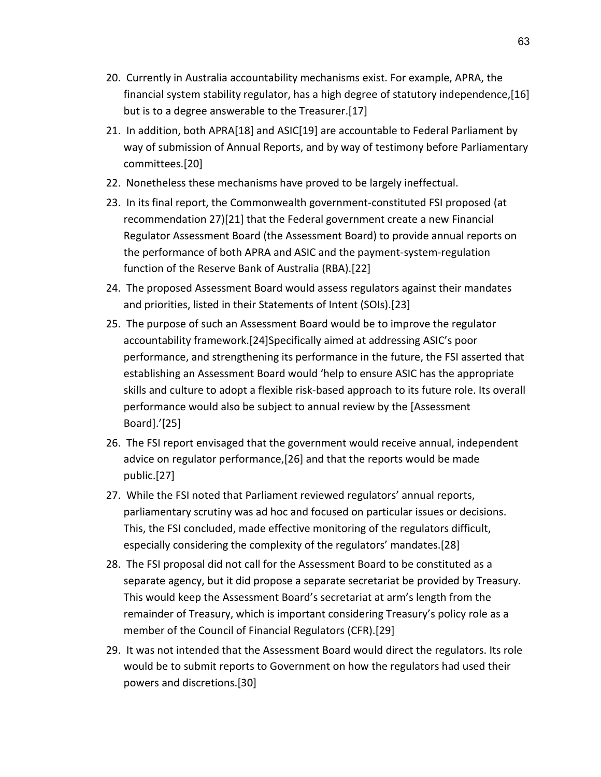- 20. Currently in Australia accountability mechanisms exist. For example, APRA, the financial system stability regulator, has a high degree of statutory independence,[16] but is to a degree answerable to the Treasurer.[17]
- 21. In addition, both APRA[18] and ASIC[19] are accountable to Federal Parliament by way of submission of Annual Reports, and by way of testimony before Parliamentary committees.[20]
- 22. Nonetheless these mechanisms have proved to be largely ineffectual.
- 23. In its final report, the Commonwealth government-constituted FSI proposed (at recommendation 27)[21] that the Federal government create a new Financial Regulator Assessment Board (the Assessment Board) to provide annual reports on the performance of both APRA and ASIC and the payment-system-regulation function of the Reserve Bank of Australia (RBA).[22]
- 24. The proposed Assessment Board would assess regulators against their mandates and priorities, listed in their Statements of Intent (SOIs).[23]
- 25. The purpose of such an Assessment Board would be to improve the regulator accountability framework.[24]Specifically aimed at addressing ASIC's poor performance, and strengthening its performance in the future, the FSI asserted that establishing an Assessment Board would 'help to ensure ASIC has the appropriate skills and culture to adopt a flexible risk-based approach to its future role. Its overall performance would also be subject to annual review by the [Assessment Board].'[25]
- 26. The FSI report envisaged that the government would receive annual, independent advice on regulator performance,[26] and that the reports would be made public.[27]
- 27. While the FSI noted that Parliament reviewed regulators' annual reports, parliamentary scrutiny was ad hoc and focused on particular issues or decisions. This, the FSI concluded, made effective monitoring of the regulators difficult, especially considering the complexity of the regulators' mandates.[28]
- 28. The FSI proposal did not call for the Assessment Board to be constituted as a separate agency, but it did propose a separate secretariat be provided by Treasury. This would keep the Assessment Board's secretariat at arm's length from the remainder of Treasury, which is important considering Treasury's policy role as a member of the Council of Financial Regulators (CFR).[29]
- 29. It was not intended that the Assessment Board would direct the regulators. Its role would be to submit reports to Government on how the regulators had used their powers and discretions.[30]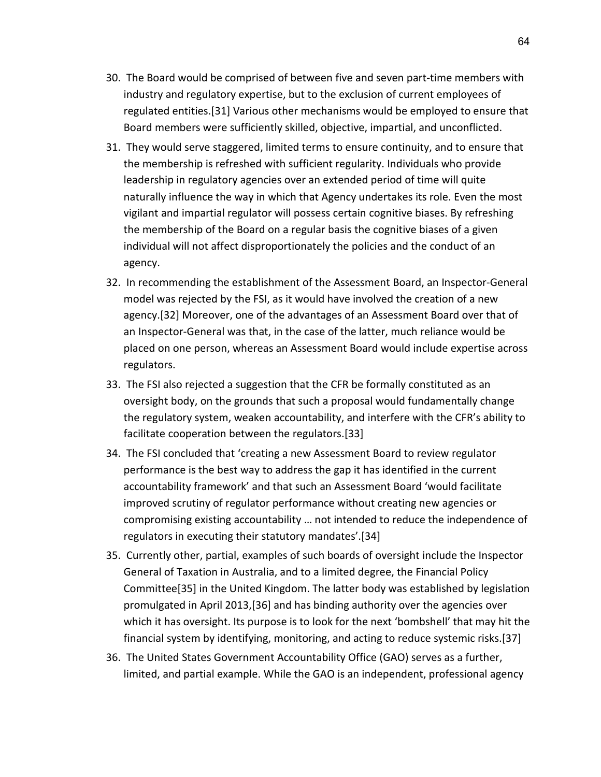- 30. The Board would be comprised of between five and seven part-time members with industry and regulatory expertise, but to the exclusion of current employees of regulated entities.[31] Various other mechanisms would be employed to ensure that Board members were sufficiently skilled, objective, impartial, and unconflicted.
- 31. They would serve staggered, limited terms to ensure continuity, and to ensure that the membership is refreshed with sufficient regularity. Individuals who provide leadership in regulatory agencies over an extended period of time will quite naturally influence the way in which that Agency undertakes its role. Even the most vigilant and impartial regulator will possess certain cognitive biases. By refreshing the membership of the Board on a regular basis the cognitive biases of a given individual will not affect disproportionately the policies and the conduct of an agency.
- 32. In recommending the establishment of the Assessment Board, an Inspector-General model was rejected by the FSI, as it would have involved the creation of a new agency.[32] Moreover, one of the advantages of an Assessment Board over that of an Inspector-General was that, in the case of the latter, much reliance would be placed on one person, whereas an Assessment Board would include expertise across regulators.
- 33. The FSI also rejected a suggestion that the CFR be formally constituted as an oversight body, on the grounds that such a proposal would fundamentally change the regulatory system, weaken accountability, and interfere with the CFR's ability to facilitate cooperation between the regulators.[33]
- 34. The FSI concluded that 'creating a new Assessment Board to review regulator performance is the best way to address the gap it has identified in the current accountability framework' and that such an Assessment Board 'would facilitate improved scrutiny of regulator performance without creating new agencies or compromising existing accountability … not intended to reduce the independence of regulators in executing their statutory mandates'.[34]
- 35. Currently other, partial, examples of such boards of oversight include the Inspector General of Taxation in Australia, and to a limited degree, the Financial Policy Committee[35] in the United Kingdom. The latter body was established by legislation promulgated in April 2013,[36] and has binding authority over the agencies over which it has oversight. Its purpose is to look for the next 'bombshell' that may hit the financial system by identifying, monitoring, and acting to reduce systemic risks.[37]
- 36. The United States Government Accountability Office (GAO) serves as a further, limited, and partial example. While the GAO is an independent, professional agency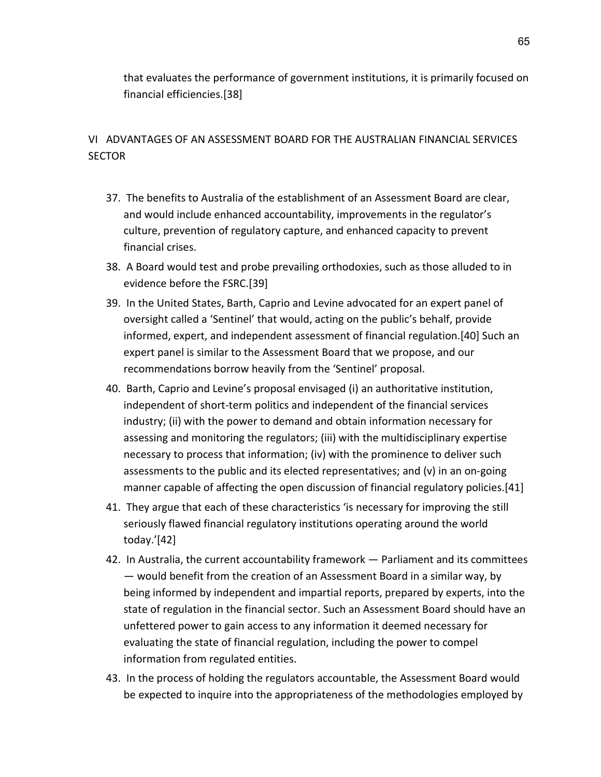that evaluates the performance of government institutions, it is primarily focused on financial efficiencies.[38]

### VI ADVANTAGES OF AN ASSESSMENT BOARD FOR THE AUSTRALIAN FINANCIAL SERVICES **SECTOR**

- 37. The benefits to Australia of the establishment of an Assessment Board are clear, and would include enhanced accountability, improvements in the regulator's culture, prevention of regulatory capture, and enhanced capacity to prevent financial crises.
- 38. A Board would test and probe prevailing orthodoxies, such as those alluded to in evidence before the FSRC.[39]
- 39. In the United States, Barth, Caprio and Levine advocated for an expert panel of oversight called a 'Sentinel' that would, acting on the public's behalf, provide informed, expert, and independent assessment of financial regulation.[40] Such an expert panel is similar to the Assessment Board that we propose, and our recommendations borrow heavily from the 'Sentinel' proposal.
- 40. Barth, Caprio and Levine's proposal envisaged (i) an authoritative institution, independent of short-term politics and independent of the financial services industry; (ii) with the power to demand and obtain information necessary for assessing and monitoring the regulators; (iii) with the multidisciplinary expertise necessary to process that information; (iv) with the prominence to deliver such assessments to the public and its elected representatives; and (v) in an on-going manner capable of affecting the open discussion of financial regulatory policies.[41]
- 41. They argue that each of these characteristics 'is necessary for improving the still seriously flawed financial regulatory institutions operating around the world today.'[42]
- 42. In Australia, the current accountability framework Parliament and its committees — would benefit from the creation of an Assessment Board in a similar way, by being informed by independent and impartial reports, prepared by experts, into the state of regulation in the financial sector. Such an Assessment Board should have an unfettered power to gain access to any information it deemed necessary for evaluating the state of financial regulation, including the power to compel information from regulated entities.
- 43. In the process of holding the regulators accountable, the Assessment Board would be expected to inquire into the appropriateness of the methodologies employed by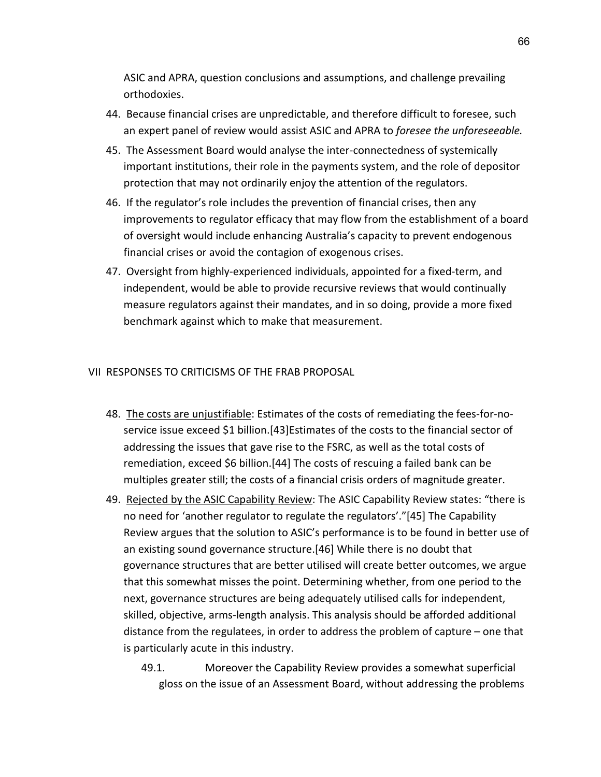ASIC and APRA, question conclusions and assumptions, and challenge prevailing orthodoxies.

- 44. Because financial crises are unpredictable, and therefore difficult to foresee, such an expert panel of review would assist ASIC and APRA to *foresee the unforeseeable.*
- 45. The Assessment Board would analyse the inter-connectedness of systemically important institutions, their role in the payments system, and the role of depositor protection that may not ordinarily enjoy the attention of the regulators.
- 46. If the regulator's role includes the prevention of financial crises, then any improvements to regulator efficacy that may flow from the establishment of a board of oversight would include enhancing Australia's capacity to prevent endogenous financial crises or avoid the contagion of exogenous crises.
- 47. Oversight from highly-experienced individuals, appointed for a fixed-term, and independent, would be able to provide recursive reviews that would continually measure regulators against their mandates, and in so doing, provide a more fixed benchmark against which to make that measurement.

#### VII RESPONSES TO CRITICISMS OF THE FRAB PROPOSAL

- 48. The costs are unjustifiable: Estimates of the costs of remediating the fees-for-noservice issue exceed \$1 billion.[43]Estimates of the costs to the financial sector of addressing the issues that gave rise to the FSRC, as well as the total costs of remediation, exceed \$6 billion.[44] The costs of rescuing a failed bank can be multiples greater still; the costs of a financial crisis orders of magnitude greater.
- 49. Rejected by the ASIC Capability Review: The ASIC Capability Review states: "there is no need for 'another regulator to regulate the regulators'."[45] The Capability Review argues that the solution to ASIC's performance is to be found in better use of an existing sound governance structure.[46] While there is no doubt that governance structures that are better utilised will create better outcomes, we argue that this somewhat misses the point. Determining whether, from one period to the next, governance structures are being adequately utilised calls for independent, skilled, objective, arms-length analysis. This analysis should be afforded additional distance from the regulatees, in order to address the problem of capture – one that is particularly acute in this industry.
	- 49.1. Moreover the Capability Review provides a somewhat superficial gloss on the issue of an Assessment Board, without addressing the problems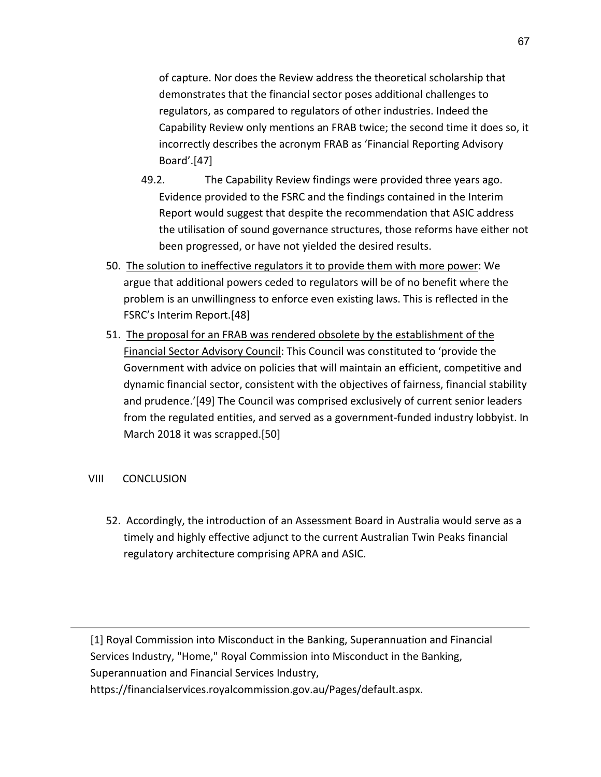of capture. Nor does the Review address the theoretical scholarship that demonstrates that the financial sector poses additional challenges to regulators, as compared to regulators of other industries. Indeed the Capability Review only mentions an FRAB twice; the second time it does so, it incorrectly describes the acronym FRAB as 'Financial Reporting Advisory Board'.[47]

- 49.2. The Capability Review findings were provided three years ago. Evidence provided to the FSRC and the findings contained in the Interim Report would suggest that despite the recommendation that ASIC address the utilisation of sound governance structures, those reforms have either not been progressed, or have not yielded the desired results.
- 50. The solution to ineffective regulators it to provide them with more power: We argue that additional powers ceded to regulators will be of no benefit where the problem is an unwillingness to enforce even existing laws. This is reflected in the FSRC's Interim Report.[48]
- 51. The proposal for an FRAB was rendered obsolete by the establishment of the Financial Sector Advisory Council: This Council was constituted to 'provide the Government with advice on policies that will maintain an efficient, competitive and dynamic financial sector, consistent with the objectives of fairness, financial stability and prudence.'[49] The Council was comprised exclusively of current senior leaders from the regulated entities, and served as a government-funded industry lobbyist. In March 2018 it was scrapped.[50]

#### VIII CONCLUSION

52. Accordingly, the introduction of an Assessment Board in Australia would serve as a timely and highly effective adjunct to the current Australian Twin Peaks financial regulatory architecture comprising APRA and ASIC.

[1] Royal Commission into Misconduct in the Banking, Superannuation and Financial Services Industry, "Home," Royal Commission into Misconduct in the Banking, Superannuation and Financial Services Industry, https://financialservices.royalcommission.gov.au/Pages/default.aspx.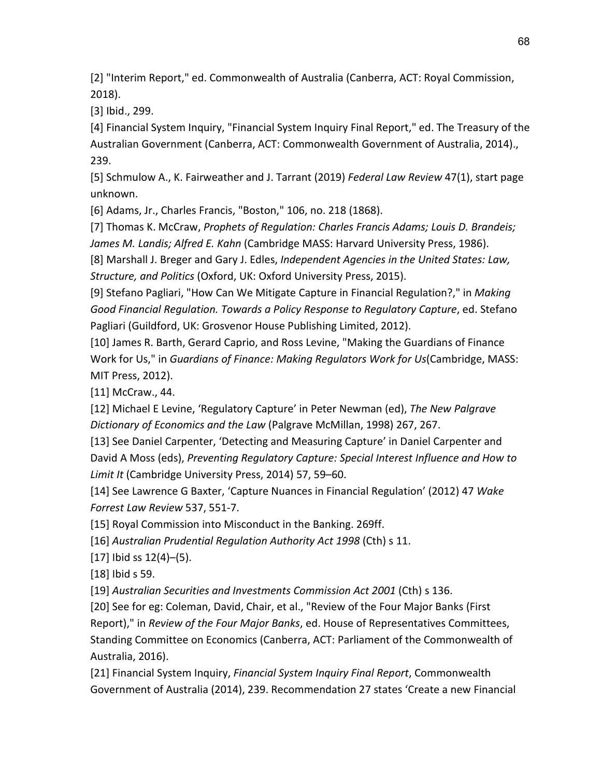[2] "Interim Report," ed. Commonwealth of Australia (Canberra, ACT: Royal Commission, 2018).

[3] Ibid., 299.

[4] Financial System Inquiry, "Financial System Inquiry Final Report," ed. The Treasury of the Australian Government (Canberra, ACT: Commonwealth Government of Australia, 2014)., 239.

[5] Schmulow A., K. Fairweather and J. Tarrant (2019) *Federal Law Review* 47(1), start page unknown.

[6] Adams, Jr., Charles Francis, "Boston," 106, no. 218 (1868).

[7] Thomas K. McCraw, *Prophets of Regulation: Charles Francis Adams; Louis D. Brandeis; James M. Landis; Alfred E. Kahn* (Cambridge MASS: Harvard University Press, 1986).

[8] Marshall J. Breger and Gary J. Edles, *Independent Agencies in the United States: Law, Structure, and Politics* (Oxford, UK: Oxford University Press, 2015).

[9] Stefano Pagliari, "How Can We Mitigate Capture in Financial Regulation?," in *Making Good Financial Regulation. Towards a Policy Response to Regulatory Capture*, ed. Stefano Pagliari (Guildford, UK: Grosvenor House Publishing Limited, 2012).

[10] James R. Barth, Gerard Caprio, and Ross Levine, "Making the Guardians of Finance Work for Us," in *Guardians of Finance: Making Regulators Work for Us*(Cambridge, MASS: MIT Press, 2012).

[11] McCraw., 44.

[12] Michael E Levine, 'Regulatory Capture' in Peter Newman (ed), *The New Palgrave Dictionary of Economics and the Law* (Palgrave McMillan, 1998) 267, 267.

[13] See Daniel Carpenter, 'Detecting and Measuring Capture' in Daniel Carpenter and David A Moss (eds), *Preventing Regulatory Capture: Special Interest Influence and How to Limit It* (Cambridge University Press, 2014) 57, 59–60.

[14] See Lawrence G Baxter, 'Capture Nuances in Financial Regulation' (2012) 47 *Wake Forrest Law Review* 537, 551-7.

[15] Royal Commission into Misconduct in the Banking. 269ff.

[16] *Australian Prudential Regulation Authority Act 1998* (Cth) s 11.

[17] Ibid ss 12(4)–(5).

[18] Ibid s 59.

[19] *Australian Securities and Investments Commission Act 2001* (Cth) s 136.

[20] See for eg: Coleman, David, Chair, et al., "Review of the Four Major Banks (First Report)," in *Review of the Four Major Banks*, ed. House of Representatives Committees, Standing Committee on Economics (Canberra, ACT: Parliament of the Commonwealth of Australia, 2016).

[21] Financial System Inquiry, *Financial System Inquiry Final Report*, Commonwealth Government of Australia (2014), 239. Recommendation 27 states 'Create a new Financial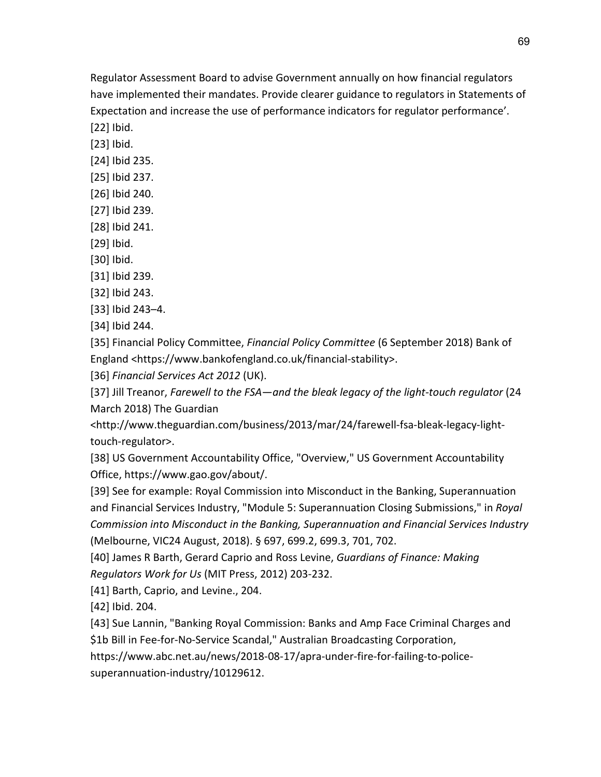Regulator Assessment Board to advise Government annually on how financial regulators have implemented their mandates. Provide clearer guidance to regulators in Statements of Expectation and increase the use of performance indicators for regulator performance'.

[22] Ibid. [23] Ibid.

- [24] Ibid 235.
- [25] Ibid 237.
- [26] Ibid 240.
- [27] Ibid 239.
- [28] Ibid 241.
- [29] Ibid.
- [30] Ibid.
- [31] Ibid 239.
- [32] Ibid 243.
- [33] Ibid 243–4.

[34] Ibid 244.

[35] Financial Policy Committee, *Financial Policy Committee* (6 September 2018) Bank of England <https://www.bankofengland.co.uk/financial-stability>.

[36] *Financial Services Act 2012* (UK).

[37] Jill Treanor, *Farewell to the FSA—and the bleak legacy of the light-touch regulator* (24 March 2018) The Guardian

<http://www.theguardian.com/business/2013/mar/24/farewell-fsa-bleak-legacy-lighttouch-regulator>.

[38] US Government Accountability Office, "Overview," US Government Accountability Office, https://www.gao.gov/about/.

[39] See for example: Royal Commission into Misconduct in the Banking, Superannuation and Financial Services Industry, "Module 5: Superannuation Closing Submissions," in *Royal Commission into Misconduct in the Banking, Superannuation and Financial Services Industry* (Melbourne, VIC24 August, 2018). § 697, 699.2, 699.3, 701, 702.

[40] James R Barth, Gerard Caprio and Ross Levine, *Guardians of Finance: Making Regulators Work for Us* (MIT Press, 2012) 203-232.

[41] Barth, Caprio, and Levine., 204.

[42] Ibid. 204.

[43] Sue Lannin, "Banking Royal Commission: Banks and Amp Face Criminal Charges and

\$1b Bill in Fee-for-No-Service Scandal," Australian Broadcasting Corporation,

https://www.abc.net.au/news/2018-08-17/apra-under-fire-for-failing-to-police-

superannuation-industry/10129612.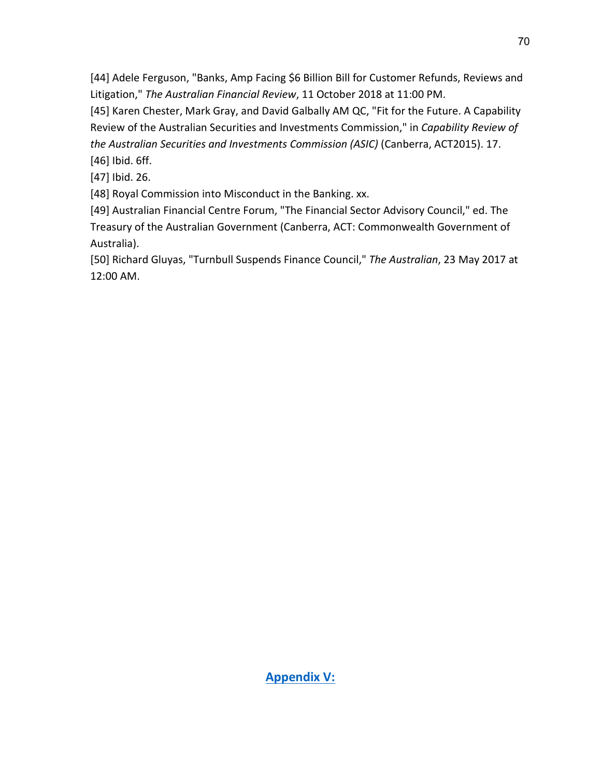[44] Adele Ferguson, "Banks, Amp Facing \$6 Billion Bill for Customer Refunds, Reviews and Litigation," *The Australian Financial Review*, 11 October 2018 at 11:00 PM.

[45] Karen Chester, Mark Gray, and David Galbally AM QC, "Fit for the Future. A Capability Review of the Australian Securities and Investments Commission," in *Capability Review of the Australian Securities and Investments Commission (ASIC)* (Canberra, ACT2015). 17.

[46] Ibid. 6ff.

[47] Ibid. 26.

[48] Royal Commission into Misconduct in the Banking. xx.

[49] Australian Financial Centre Forum, "The Financial Sector Advisory Council," ed. The Treasury of the Australian Government (Canberra, ACT: Commonwealth Government of Australia).

[50] Richard Gluyas, "Turnbull Suspends Finance Council," *The Australian*, 23 May 2017 at 12:00 AM.

**Appendix V:**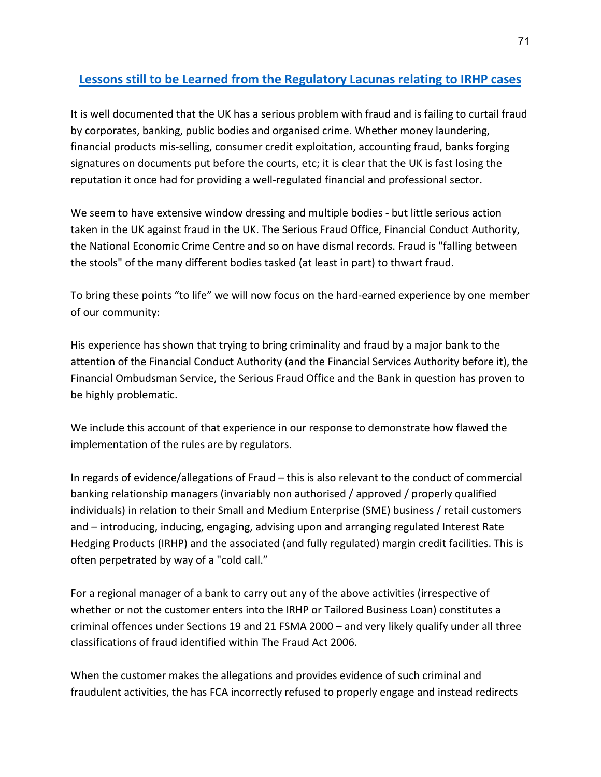## **Lessons still to be Learned from the Regulatory Lacunas relating to IRHP cases**

It is well documented that the UK has a serious problem with fraud and is failing to curtail fraud by corporates, banking, public bodies and organised crime. Whether money laundering, financial products mis-selling, consumer credit exploitation, accounting fraud, banks forging signatures on documents put before the courts, etc; it is clear that the UK is fast losing the reputation it once had for providing a well-regulated financial and professional sector.

We seem to have extensive window dressing and multiple bodies - but little serious action taken in the UK against fraud in the UK. The Serious Fraud Office, Financial Conduct Authority, the National Economic Crime Centre and so on have dismal records. Fraud is "falling between the stools" of the many different bodies tasked (at least in part) to thwart fraud.

To bring these points "to life" we will now focus on the hard-earned experience by one member of our community:

His experience has shown that trying to bring criminality and fraud by a major bank to the attention of the Financial Conduct Authority (and the Financial Services Authority before it), the Financial Ombudsman Service, the Serious Fraud Office and the Bank in question has proven to be highly problematic.

We include this account of that experience in our response to demonstrate how flawed the implementation of the rules are by regulators.

In regards of evidence/allegations of Fraud – this is also relevant to the conduct of commercial banking relationship managers (invariably non authorised / approved / properly qualified individuals) in relation to their Small and Medium Enterprise (SME) business / retail customers and – introducing, inducing, engaging, advising upon and arranging regulated Interest Rate Hedging Products (IRHP) and the associated (and fully regulated) margin credit facilities. This is often perpetrated by way of a "cold call."

For a regional manager of a bank to carry out any of the above activities (irrespective of whether or not the customer enters into the IRHP or Tailored Business Loan) constitutes a criminal offences under Sections 19 and 21 FSMA 2000 – and very likely qualify under all three classifications of fraud identified within The Fraud Act 2006.

When the customer makes the allegations and provides evidence of such criminal and fraudulent activities, the has FCA incorrectly refused to properly engage and instead redirects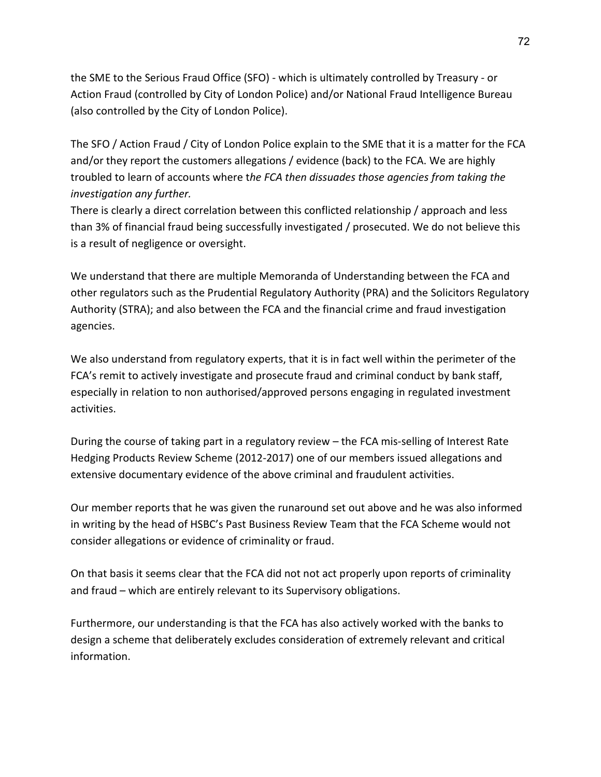the SME to the Serious Fraud Office (SFO) - which is ultimately controlled by Treasury - or Action Fraud (controlled by City of London Police) and/or National Fraud Intelligence Bureau (also controlled by the City of London Police).

The SFO / Action Fraud / City of London Police explain to the SME that it is a matter for the FCA and/or they report the customers allegations / evidence (back) to the FCA. We are highly troubled to learn of accounts where t*he FCA then dissuades those agencies from taking the investigation any further.*

There is clearly a direct correlation between this conflicted relationship / approach and less than 3% of financial fraud being successfully investigated / prosecuted. We do not believe this is a result of negligence or oversight.

We understand that there are multiple Memoranda of Understanding between the FCA and other regulators such as the Prudential Regulatory Authority (PRA) and the Solicitors Regulatory Authority (STRA); and also between the FCA and the financial crime and fraud investigation agencies.

We also understand from regulatory experts, that it is in fact well within the perimeter of the FCA's remit to actively investigate and prosecute fraud and criminal conduct by bank staff, especially in relation to non authorised/approved persons engaging in regulated investment activities.

During the course of taking part in a regulatory review – the FCA mis-selling of Interest Rate Hedging Products Review Scheme (2012-2017) one of our members issued allegations and extensive documentary evidence of the above criminal and fraudulent activities.

Our member reports that he was given the runaround set out above and he was also informed in writing by the head of HSBC's Past Business Review Team that the FCA Scheme would not consider allegations or evidence of criminality or fraud.

On that basis it seems clear that the FCA did not not act properly upon reports of criminality and fraud – which are entirely relevant to its Supervisory obligations.

Furthermore, our understanding is that the FCA has also actively worked with the banks to design a scheme that deliberately excludes consideration of extremely relevant and critical information.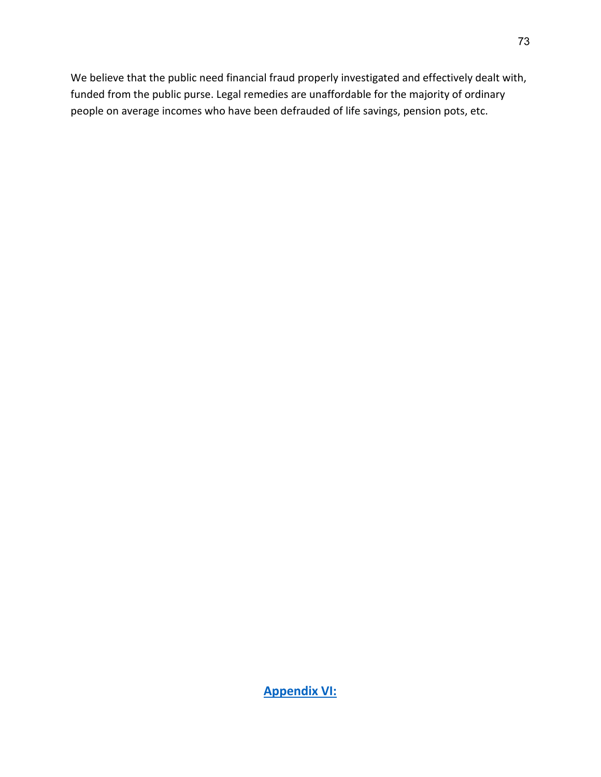We believe that the public need financial fraud properly investigated and effectively dealt with, funded from the public purse. Legal remedies are unaffordable for the majority of ordinary people on average incomes who have been defrauded of life savings, pension pots, etc.

**Appendix VI:**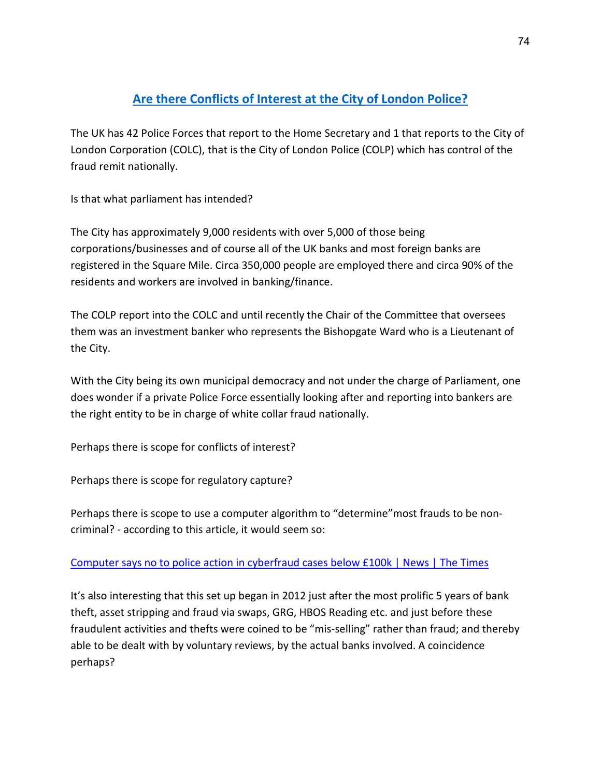# **Are there Conflicts of Interest at the City of London Police?**

The UK has 42 Police Forces that report to the Home Secretary and 1 that reports to the City of London Corporation (COLC), that is the City of London Police (COLP) which has control of the fraud remit nationally.

Is that what parliament has intended?

The City has approximately 9,000 residents with over 5,000 of those being corporations/businesses and of course all of the UK banks and most foreign banks are registered in the Square Mile. Circa 350,000 people are employed there and circa 90% of the residents and workers are involved in banking/finance.

The COLP report into the COLC and until recently the Chair of the Committee that oversees them was an investment banker who represents the Bishopgate Ward who is a Lieutenant of the City.

With the City being its own municipal democracy and not under the charge of Parliament, one does wonder if a private Police Force essentially looking after and reporting into bankers are the right entity to be in charge of white collar fraud nationally.

Perhaps there is scope for conflicts of interest?

Perhaps there is scope for regulatory capture?

Perhaps there is scope to use a computer algorithm to "determine"most frauds to be noncriminal? - according to this article, it would seem so:

#### [Computer says no to police action in cyberfraud cases below £100k | News | The Times](https://www.thetimes.co.uk/article/computer-says-no-to-police-action-in-cyberfraud-cases-below-100k-znsvwcp3s)

It's also interesting that this set up began in 2012 just after the most prolific 5 years of bank theft, asset stripping and fraud via swaps, GRG, HBOS Reading etc. and just before these fraudulent activities and thefts were coined to be "mis-selling" rather than fraud; and thereby able to be dealt with by voluntary reviews, by the actual banks involved. A coincidence perhaps?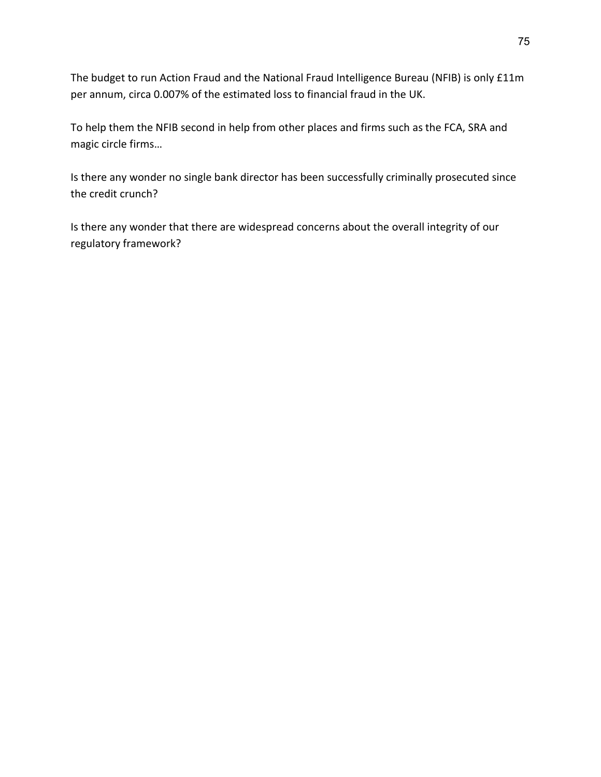The budget to run Action Fraud and the National Fraud Intelligence Bureau (NFIB) is only £11m per annum, circa 0.007% of the estimated loss to financial fraud in the UK.

To help them the NFIB second in help from other places and firms such as the FCA, SRA and magic circle firms…

Is there any wonder no single bank director has been successfully criminally prosecuted since the credit crunch?

Is there any wonder that there are widespread concerns about the overall integrity of our regulatory framework?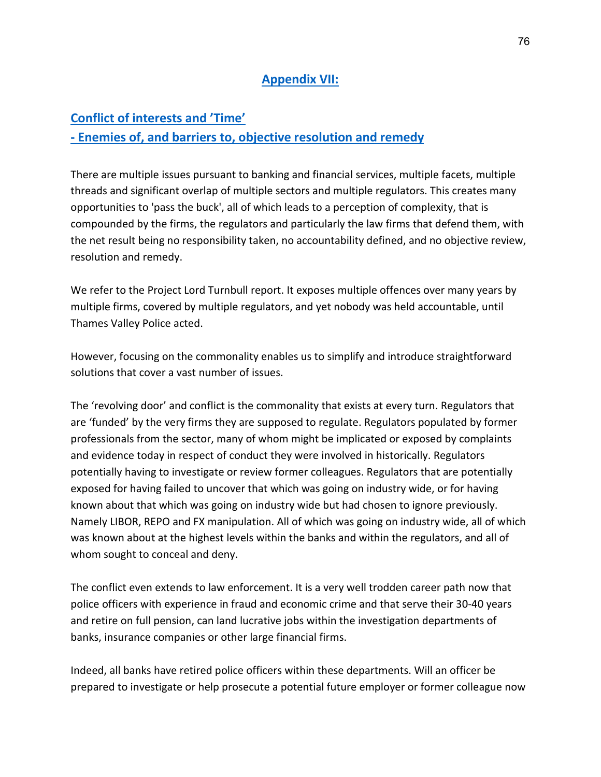### **Appendix VII:**

#### **Conflict of interests and 'Time'**

## **- Enemies of, and barriers to, objective resolution and remedy**

There are multiple issues pursuant to banking and financial services, multiple facets, multiple threads and significant overlap of multiple sectors and multiple regulators. This creates many opportunities to 'pass the buck', all of which leads to a perception of complexity, that is compounded by the firms, the regulators and particularly the law firms that defend them, with the net result being no responsibility taken, no accountability defined, and no objective review, resolution and remedy.

We refer to the Project Lord Turnbull report. It exposes multiple offences over many years by multiple firms, covered by multiple regulators, and yet nobody was held accountable, until Thames Valley Police acted.

However, focusing on the commonality enables us to simplify and introduce straightforward solutions that cover a vast number of issues.

The 'revolving door' and conflict is the commonality that exists at every turn. Regulators that are 'funded' by the very firms they are supposed to regulate. Regulators populated by former professionals from the sector, many of whom might be implicated or exposed by complaints and evidence today in respect of conduct they were involved in historically. Regulators potentially having to investigate or review former colleagues. Regulators that are potentially exposed for having failed to uncover that which was going on industry wide, or for having known about that which was going on industry wide but had chosen to ignore previously. Namely LIBOR, REPO and FX manipulation. All of which was going on industry wide, all of which was known about at the highest levels within the banks and within the regulators, and all of whom sought to conceal and deny.

The conflict even extends to law enforcement. It is a very well trodden career path now that police officers with experience in fraud and economic crime and that serve their 30-40 years and retire on full pension, can land lucrative jobs within the investigation departments of banks, insurance companies or other large financial firms.

Indeed, all banks have retired police officers within these departments. Will an officer be prepared to investigate or help prosecute a potential future employer or former colleague now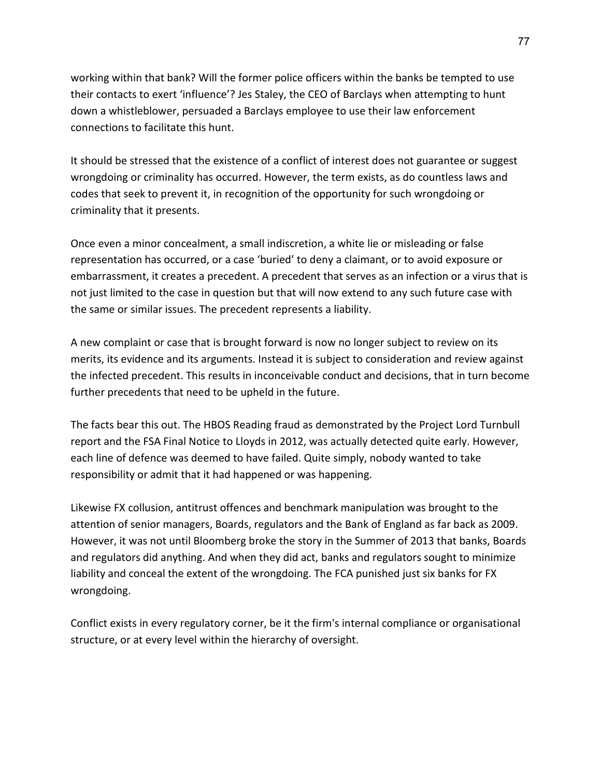working within that bank? Will the former police officers within the banks be tempted to use their contacts to exert 'influence'? Jes Staley, the CEO of Barclays when attempting to hunt down a whistleblower, persuaded a Barclays employee to use their law enforcement connections to facilitate this hunt.

It should be stressed that the existence of a conflict of interest does not guarantee or suggest wrongdoing or criminality has occurred. However, the term exists, as do countless laws and codes that seek to prevent it, in recognition of the opportunity for such wrongdoing or criminality that it presents.

Once even a minor concealment, a small indiscretion, a white lie or misleading or false representation has occurred, or a case 'buried' to deny a claimant, or to avoid exposure or embarrassment, it creates a precedent. A precedent that serves as an infection or a virus that is not just limited to the case in question but that will now extend to any such future case with the same or similar issues. The precedent represents a liability.

A new complaint or case that is brought forward is now no longer subject to review on its merits, its evidence and its arguments. Instead it is subject to consideration and review against the infected precedent. This results in inconceivable conduct and decisions, that in turn become further precedents that need to be upheld in the future.

The facts bear this out. The HBOS Reading fraud as demonstrated by the Project Lord Turnbull report and the FSA Final Notice to Lloyds in 2012, was actually detected quite early. However, each line of defence was deemed to have failed. Quite simply, nobody wanted to take responsibility or admit that it had happened or was happening.

Likewise FX collusion, antitrust offences and benchmark manipulation was brought to the attention of senior managers, Boards, regulators and the Bank of England as far back as 2009. However, it was not until Bloomberg broke the story in the Summer of 2013 that banks, Boards and regulators did anything. And when they did act, banks and regulators sought to minimize liability and conceal the extent of the wrongdoing. The FCA punished just six banks for FX wrongdoing.

Conflict exists in every regulatory corner, be it the firm's internal compliance or organisational structure, or at every level within the hierarchy of oversight.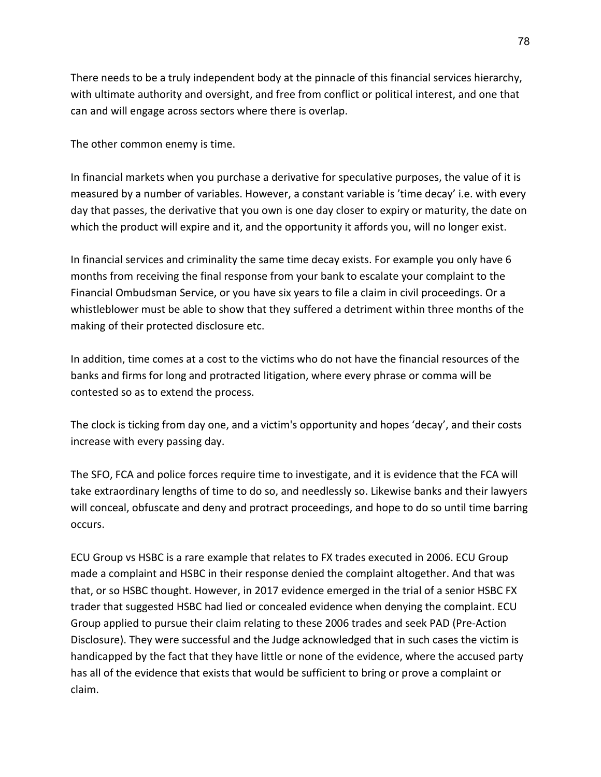There needs to be a truly independent body at the pinnacle of this financial services hierarchy, with ultimate authority and oversight, and free from conflict or political interest, and one that can and will engage across sectors where there is overlap.

The other common enemy is time.

In financial markets when you purchase a derivative for speculative purposes, the value of it is measured by a number of variables. However, a constant variable is 'time decay' i.e. with every day that passes, the derivative that you own is one day closer to expiry or maturity, the date on which the product will expire and it, and the opportunity it affords you, will no longer exist.

In financial services and criminality the same time decay exists. For example you only have 6 months from receiving the final response from your bank to escalate your complaint to the Financial Ombudsman Service, or you have six years to file a claim in civil proceedings. Or a whistleblower must be able to show that they suffered a detriment within three months of the making of their protected disclosure etc.

In addition, time comes at a cost to the victims who do not have the financial resources of the banks and firms for long and protracted litigation, where every phrase or comma will be contested so as to extend the process.

The clock is ticking from day one, and a victim's opportunity and hopes 'decay', and their costs increase with every passing day.

The SFO, FCA and police forces require time to investigate, and it is evidence that the FCA will take extraordinary lengths of time to do so, and needlessly so. Likewise banks and their lawyers will conceal, obfuscate and deny and protract proceedings, and hope to do so until time barring occurs.

ECU Group vs HSBC is a rare example that relates to FX trades executed in 2006. ECU Group made a complaint and HSBC in their response denied the complaint altogether. And that was that, or so HSBC thought. However, in 2017 evidence emerged in the trial of a senior HSBC FX trader that suggested HSBC had lied or concealed evidence when denying the complaint. ECU Group applied to pursue their claim relating to these 2006 trades and seek PAD (Pre-Action Disclosure). They were successful and the Judge acknowledged that in such cases the victim is handicapped by the fact that they have little or none of the evidence, where the accused party has all of the evidence that exists that would be sufficient to bring or prove a complaint or claim.